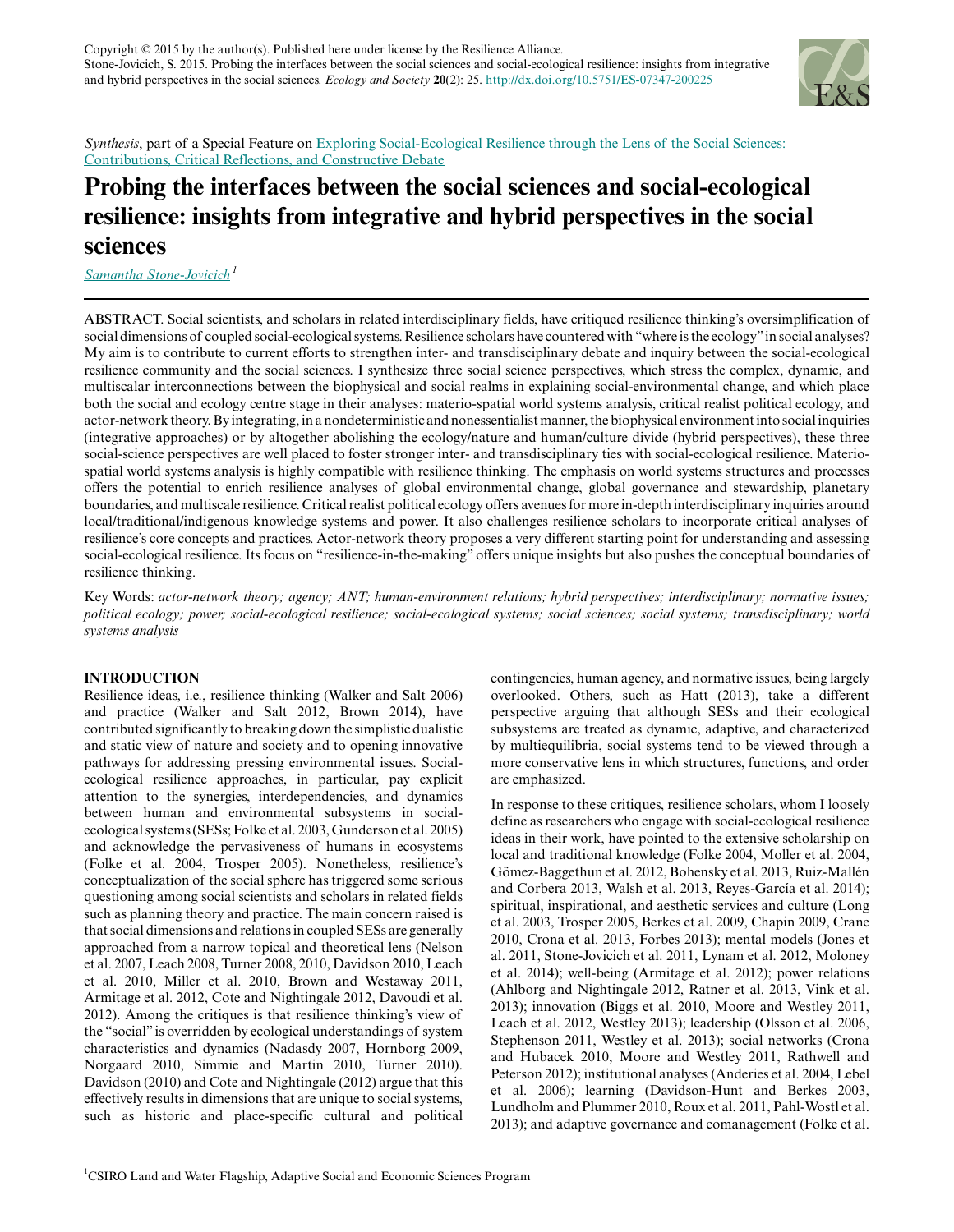

*Synthesis*, part of a Special Feature on [Exploring Social-Ecological Resilience through the Lens of the Social Sciences:](http://www.ecologyandsociety.org/viewissue.php?sf=99) [Contributions, Critical Reflections, and Constructive Debate](http://www.ecologyandsociety.org/viewissue.php?sf=99)

# **Probing the interfaces between the social sciences and social-ecological resilience: insights from integrative and hybrid perspectives in the social sciences**

*[Samantha Stone-Jovicich](mailto:samantha.stone-jovicich@csiro.au)<sup>1</sup>*

ABSTRACT. Social scientists, and scholars in related interdisciplinary fields, have critiqued resilience thinking's oversimplification of social dimensions of coupled social-ecological systems. Resilience scholars have countered with "where is the ecology" in social analyses? My aim is to contribute to current efforts to strengthen inter- and transdisciplinary debate and inquiry between the social-ecological resilience community and the social sciences. I synthesize three social science perspectives, which stress the complex, dynamic, and multiscalar interconnections between the biophysical and social realms in explaining social-environmental change, and which place both the social and ecology centre stage in their analyses: materio-spatial world systems analysis, critical realist political ecology, and actor-network theory. By integrating, in a nondeterministic and nonessentialist manner, the biophysical environment into social inquiries (integrative approaches) or by altogether abolishing the ecology/nature and human/culture divide (hybrid perspectives), these three social-science perspectives are well placed to foster stronger inter- and transdisciplinary ties with social-ecological resilience. Materiospatial world systems analysis is highly compatible with resilience thinking. The emphasis on world systems structures and processes offers the potential to enrich resilience analyses of global environmental change, global governance and stewardship, planetary boundaries, and multiscale resilience. Critical realist political ecology offers avenues for more in-depth interdisciplinary inquiries around local/traditional/indigenous knowledge systems and power. It also challenges resilience scholars to incorporate critical analyses of resilience's core concepts and practices. Actor-network theory proposes a very different starting point for understanding and assessing social-ecological resilience. Its focus on "resilience-in-the-making" offers unique insights but also pushes the conceptual boundaries of resilience thinking.

Key Words: *actor-network theory; agency; ANT; human-environment relations; hybrid perspectives; interdisciplinary; normative issues; political ecology; power; social-ecological resilience; social-ecological systems; social sciences; social systems; transdisciplinary; world systems analysis*

## **INTRODUCTION**

Resilience ideas, i.e., resilience thinking (Walker and Salt 2006) and practice (Walker and Salt 2012, Brown 2014), have contributed significantly to breaking down the simplistic dualistic and static view of nature and society and to opening innovative pathways for addressing pressing environmental issues. Socialecological resilience approaches, in particular, pay explicit attention to the synergies, interdependencies, and dynamics between human and environmental subsystems in socialecological systems (SESs; Folke et al. 2003, Gunderson et al. 2005) and acknowledge the pervasiveness of humans in ecosystems (Folke et al. 2004, Trosper 2005). Nonetheless, resilience's conceptualization of the social sphere has triggered some serious questioning among social scientists and scholars in related fields such as planning theory and practice. The main concern raised is that social dimensions and relations in coupled SESs are generally approached from a narrow topical and theoretical lens (Nelson et al. 2007, Leach 2008, Turner 2008, 2010, Davidson 2010, Leach et al. 2010, Miller et al. 2010, Brown and Westaway 2011, Armitage et al. 2012, Cote and Nightingale 2012, Davoudi et al. 2012). Among the critiques is that resilience thinking's view of the "social" is overridden by ecological understandings of system characteristics and dynamics (Nadasdy 2007, Hornborg 2009, Norgaard 2010, Simmie and Martin 2010, Turner 2010). Davidson (2010) and Cote and Nightingale (2012) argue that this effectively results in dimensions that are unique to social systems, such as historic and place-specific cultural and political

contingencies, human agency, and normative issues, being largely overlooked. Others, such as Hatt (2013), take a different perspective arguing that although SESs and their ecological subsystems are treated as dynamic, adaptive, and characterized by multiequilibria, social systems tend to be viewed through a more conservative lens in which structures, functions, and order are emphasized.

In response to these critiques, resilience scholars, whom I loosely define as researchers who engage with social-ecological resilience ideas in their work, have pointed to the extensive scholarship on local and traditional knowledge (Folke 2004, Moller et al. 2004, Gömez-Baggethun et al. 2012, Bohensky et al. 2013, Ruiz-Mallén and Corbera 2013, Walsh et al. 2013, Reyes-García et al. 2014); spiritual, inspirational, and aesthetic services and culture (Long et al. 2003, Trosper 2005, Berkes et al. 2009, Chapin 2009, Crane 2010, Crona et al. 2013, Forbes 2013); mental models (Jones et al. 2011, Stone-Jovicich et al. 2011, Lynam et al. 2012, Moloney et al. 2014); well-being (Armitage et al. 2012); power relations (Ahlborg and Nightingale 2012, Ratner et al. 2013, Vink et al. 2013); innovation (Biggs et al. 2010, Moore and Westley 2011, Leach et al. 2012, Westley 2013); leadership (Olsson et al. 2006, Stephenson 2011, Westley et al. 2013); social networks (Crona and Hubacek 2010, Moore and Westley 2011, Rathwell and Peterson 2012); institutional analyses (Anderies et al. 2004, Lebel et al. 2006); learning (Davidson-Hunt and Berkes 2003, Lundholm and Plummer 2010, Roux et al. 2011, Pahl-Wostl et al. 2013); and adaptive governance and comanagement (Folke et al.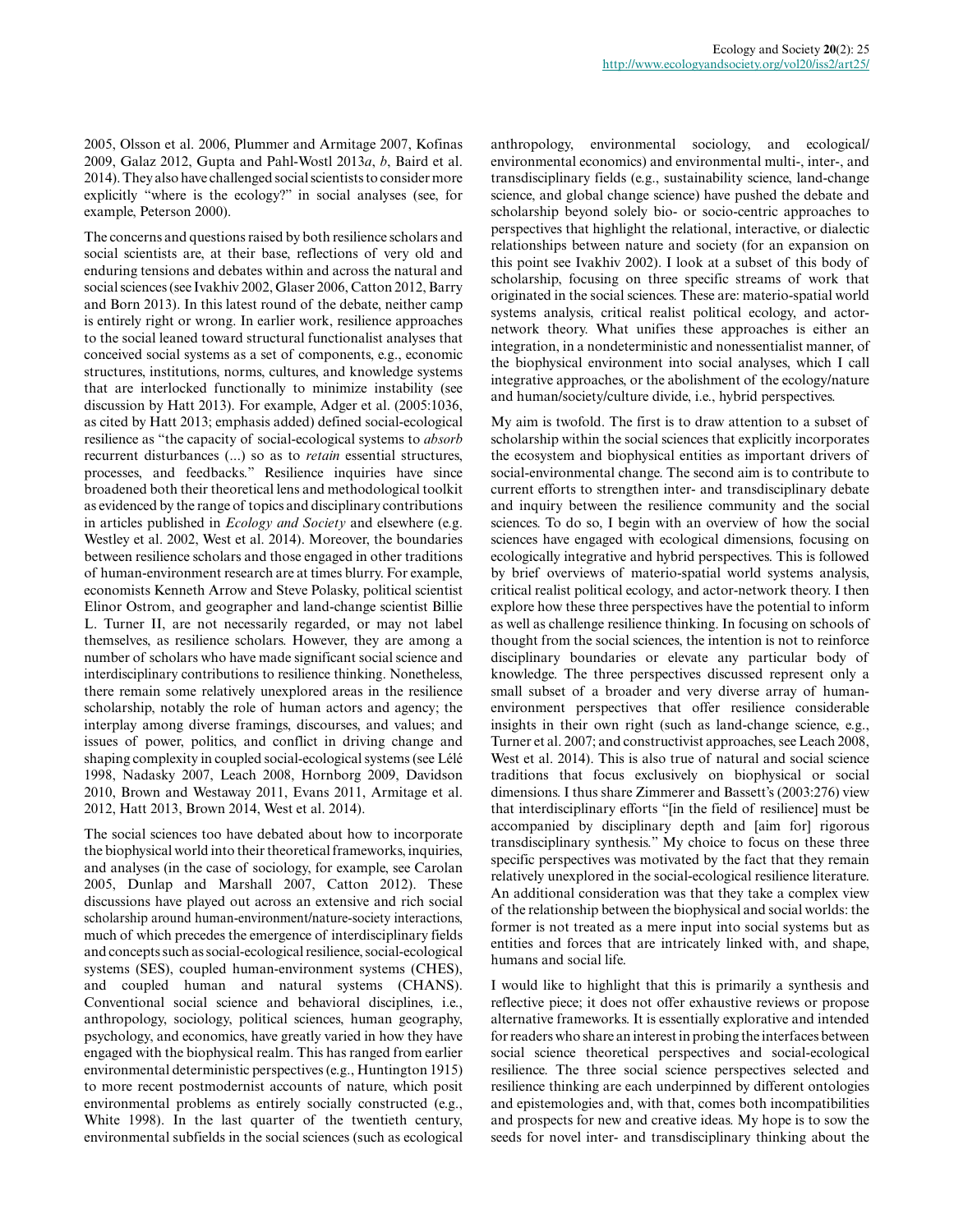2005, Olsson et al. 2006, Plummer and Armitage 2007, Kofinas 2009, Galaz 2012, Gupta and Pahl-Wostl 2013*a*, *b*, Baird et al. 2014). They also have challenged social scientists to consider more explicitly "where is the ecology?" in social analyses (see, for example, Peterson 2000).

The concerns and questions raised by both resilience scholars and social scientists are, at their base, reflections of very old and enduring tensions and debates within and across the natural and social sciences (see Ivakhiv 2002, Glaser 2006, Catton 2012, Barry and Born 2013). In this latest round of the debate, neither camp is entirely right or wrong. In earlier work, resilience approaches to the social leaned toward structural functionalist analyses that conceived social systems as a set of components, e.g., economic structures, institutions, norms, cultures, and knowledge systems that are interlocked functionally to minimize instability (see discussion by Hatt 2013). For example, Adger et al. (2005:1036, as cited by Hatt 2013; emphasis added) defined social-ecological resilience as "the capacity of social-ecological systems to *absorb* recurrent disturbances (...) so as to *retain* essential structures, processes, and feedbacks." Resilience inquiries have since broadened both their theoretical lens and methodological toolkit as evidenced by the range of topics and disciplinary contributions in articles published in *Ecology and Society* and elsewhere (e.g. Westley et al. 2002, West et al. 2014). Moreover, the boundaries between resilience scholars and those engaged in other traditions of human-environment research are at times blurry. For example, economists Kenneth Arrow and Steve Polasky, political scientist Elinor Ostrom, and geographer and land-change scientist Billie L. Turner II, are not necessarily regarded, or may not label themselves, as resilience scholars. However, they are among a number of scholars who have made significant social science and interdisciplinary contributions to resilience thinking. Nonetheless, there remain some relatively unexplored areas in the resilience scholarship, notably the role of human actors and agency; the interplay among diverse framings, discourses, and values; and issues of power, politics, and conflict in driving change and shaping complexity in coupled social-ecological systems (see Lélé 1998, Nadasky 2007, Leach 2008, Hornborg 2009, Davidson 2010, Brown and Westaway 2011, Evans 2011, Armitage et al. 2012, Hatt 2013, Brown 2014, West et al. 2014).

The social sciences too have debated about how to incorporate the biophysical world into their theoretical frameworks, inquiries, and analyses (in the case of sociology, for example, see Carolan 2005, Dunlap and Marshall 2007, Catton 2012). These discussions have played out across an extensive and rich social scholarship around human-environment/nature-society interactions, much of which precedes the emergence of interdisciplinary fields and concepts such as social-ecological resilience, social-ecological systems (SES), coupled human-environment systems (CHES), and coupled human and natural systems (CHANS). Conventional social science and behavioral disciplines, i.e., anthropology, sociology, political sciences, human geography, psychology, and economics, have greatly varied in how they have engaged with the biophysical realm. This has ranged from earlier environmental deterministic perspectives (e.g., Huntington 1915) to more recent postmodernist accounts of nature, which posit environmental problems as entirely socially constructed (e.g., White 1998). In the last quarter of the twentieth century, environmental subfields in the social sciences (such as ecological

anthropology, environmental sociology, and ecological/ environmental economics) and environmental multi-, inter-, and transdisciplinary fields (e.g., sustainability science, land-change science, and global change science) have pushed the debate and scholarship beyond solely bio- or socio-centric approaches to perspectives that highlight the relational, interactive, or dialectic relationships between nature and society (for an expansion on this point see Ivakhiv 2002). I look at a subset of this body of scholarship, focusing on three specific streams of work that originated in the social sciences. These are: materio-spatial world systems analysis, critical realist political ecology, and actornetwork theory. What unifies these approaches is either an integration, in a nondeterministic and nonessentialist manner, of the biophysical environment into social analyses, which I call integrative approaches, or the abolishment of the ecology/nature and human/society/culture divide, i.e., hybrid perspectives.

My aim is twofold. The first is to draw attention to a subset of scholarship within the social sciences that explicitly incorporates the ecosystem and biophysical entities as important drivers of social-environmental change. The second aim is to contribute to current efforts to strengthen inter- and transdisciplinary debate and inquiry between the resilience community and the social sciences. To do so, I begin with an overview of how the social sciences have engaged with ecological dimensions, focusing on ecologically integrative and hybrid perspectives. This is followed by brief overviews of materio-spatial world systems analysis, critical realist political ecology, and actor-network theory. I then explore how these three perspectives have the potential to inform as well as challenge resilience thinking. In focusing on schools of thought from the social sciences, the intention is not to reinforce disciplinary boundaries or elevate any particular body of knowledge. The three perspectives discussed represent only a small subset of a broader and very diverse array of humanenvironment perspectives that offer resilience considerable insights in their own right (such as land-change science, e.g., Turner et al. 2007; and constructivist approaches, see Leach 2008, West et al. 2014). This is also true of natural and social science traditions that focus exclusively on biophysical or social dimensions. I thus share Zimmerer and Bassett's (2003:276) view that interdisciplinary efforts "[in the field of resilience] must be accompanied by disciplinary depth and [aim for] rigorous transdisciplinary synthesis." My choice to focus on these three specific perspectives was motivated by the fact that they remain relatively unexplored in the social-ecological resilience literature. An additional consideration was that they take a complex view of the relationship between the biophysical and social worlds: the former is not treated as a mere input into social systems but as entities and forces that are intricately linked with, and shape, humans and social life.

I would like to highlight that this is primarily a synthesis and reflective piece; it does not offer exhaustive reviews or propose alternative frameworks. It is essentially explorative and intended for readers who share an interest in probing the interfaces between social science theoretical perspectives and social-ecological resilience. The three social science perspectives selected and resilience thinking are each underpinned by different ontologies and epistemologies and, with that, comes both incompatibilities and prospects for new and creative ideas. My hope is to sow the seeds for novel inter- and transdisciplinary thinking about the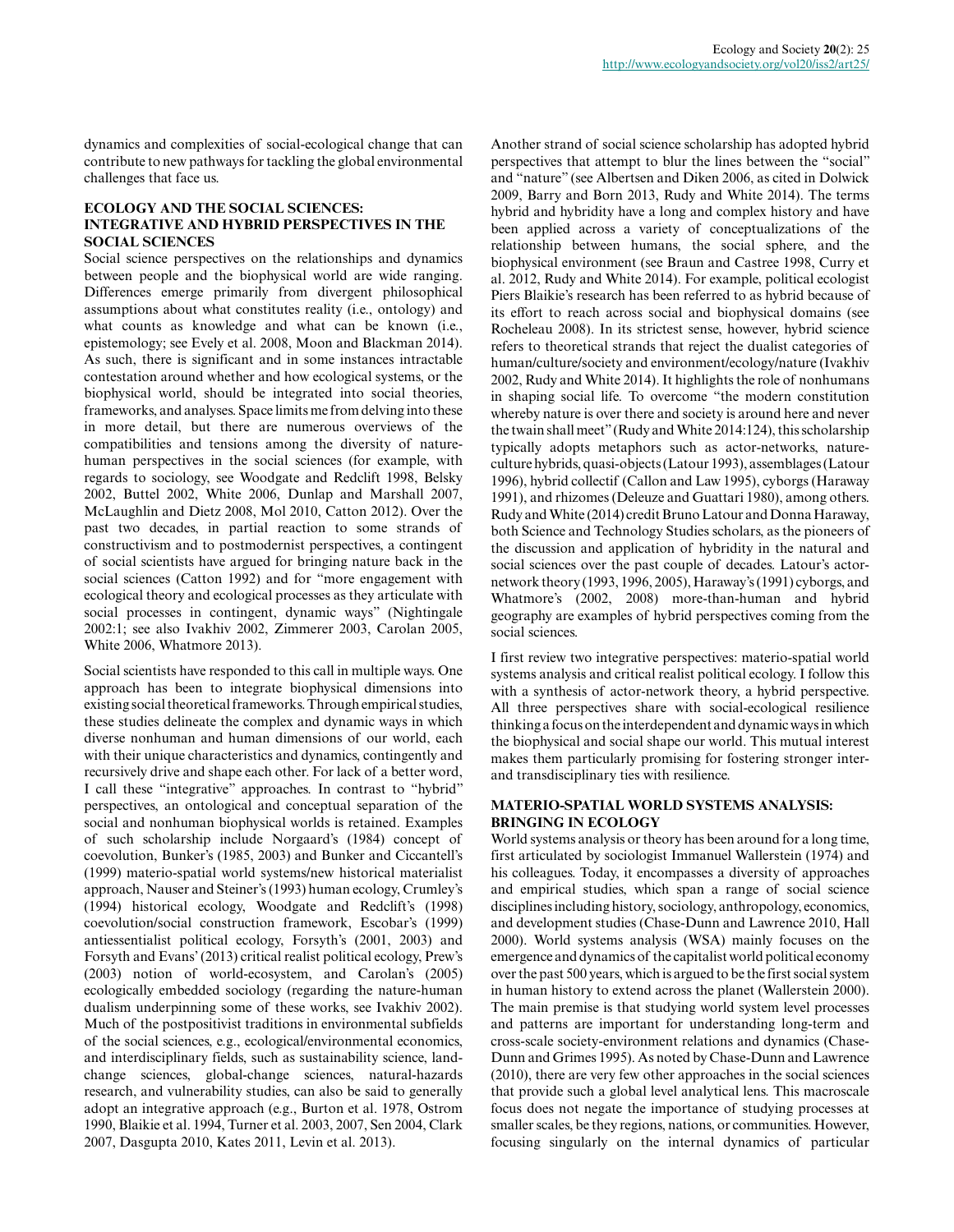dynamics and complexities of social-ecological change that can contribute to new pathways for tackling the global environmental challenges that face us.

#### **ECOLOGY AND THE SOCIAL SCIENCES: INTEGRATIVE AND HYBRID PERSPECTIVES IN THE SOCIAL SCIENCES**

Social science perspectives on the relationships and dynamics between people and the biophysical world are wide ranging. Differences emerge primarily from divergent philosophical assumptions about what constitutes reality (i.e., ontology) and what counts as knowledge and what can be known (i.e., epistemology; see Evely et al. 2008, Moon and Blackman 2014). As such, there is significant and in some instances intractable contestation around whether and how ecological systems, or the biophysical world, should be integrated into social theories, frameworks, and analyses. Space limits me from delving into these in more detail, but there are numerous overviews of the compatibilities and tensions among the diversity of naturehuman perspectives in the social sciences (for example, with regards to sociology, see Woodgate and Redclift 1998, Belsky 2002, Buttel 2002, White 2006, Dunlap and Marshall 2007, McLaughlin and Dietz 2008, Mol 2010, Catton 2012). Over the past two decades, in partial reaction to some strands of constructivism and to postmodernist perspectives, a contingent of social scientists have argued for bringing nature back in the social sciences (Catton 1992) and for "more engagement with ecological theory and ecological processes as they articulate with social processes in contingent, dynamic ways" (Nightingale 2002:1; see also Ivakhiv 2002, Zimmerer 2003, Carolan 2005, White 2006, Whatmore 2013).

Social scientists have responded to this call in multiple ways. One approach has been to integrate biophysical dimensions into existing social theoretical frameworks. Through empirical studies, these studies delineate the complex and dynamic ways in which diverse nonhuman and human dimensions of our world, each with their unique characteristics and dynamics, contingently and recursively drive and shape each other. For lack of a better word, I call these "integrative" approaches. In contrast to "hybrid" perspectives, an ontological and conceptual separation of the social and nonhuman biophysical worlds is retained. Examples of such scholarship include Norgaard's (1984) concept of coevolution, Bunker's (1985, 2003) and Bunker and Ciccantell's (1999) materio-spatial world systems/new historical materialist approach, Nauser and Steiner's (1993) human ecology, Crumley's (1994) historical ecology, Woodgate and Redclift's (1998) coevolution/social construction framework, Escobar's (1999) antiessentialist political ecology, Forsyth's (2001, 2003) and Forsyth and Evans' (2013) critical realist political ecology, Prew's (2003) notion of world-ecosystem, and Carolan's (2005) ecologically embedded sociology (regarding the nature-human dualism underpinning some of these works, see Ivakhiv 2002). Much of the postpositivist traditions in environmental subfields of the social sciences, e.g., ecological/environmental economics, and interdisciplinary fields, such as sustainability science, landchange sciences, global-change sciences, natural-hazards research, and vulnerability studies, can also be said to generally adopt an integrative approach (e.g., Burton et al. 1978, Ostrom 1990, Blaikie et al. 1994, Turner et al. 2003, 2007, Sen 2004, Clark 2007, Dasgupta 2010, Kates 2011, Levin et al. 2013).

Another strand of social science scholarship has adopted hybrid perspectives that attempt to blur the lines between the "social" and "nature" (see Albertsen and Diken 2006, as cited in Dolwick 2009, Barry and Born 2013, Rudy and White 2014). The terms hybrid and hybridity have a long and complex history and have been applied across a variety of conceptualizations of the relationship between humans, the social sphere, and the biophysical environment (see Braun and Castree 1998, Curry et al. 2012, Rudy and White 2014). For example, political ecologist Piers Blaikie's research has been referred to as hybrid because of its effort to reach across social and biophysical domains (see Rocheleau 2008). In its strictest sense, however, hybrid science refers to theoretical strands that reject the dualist categories of human/culture/society and environment/ecology/nature (Ivakhiv 2002, Rudy and White 2014). It highlights the role of nonhumans in shaping social life. To overcome "the modern constitution whereby nature is over there and society is around here and never the twain shall meet" (Rudy and White 2014:124), this scholarship typically adopts metaphors such as actor-networks, natureculture hybrids, quasi-objects (Latour 1993), assemblages (Latour 1996), hybrid collectif (Callon and Law 1995), cyborgs (Haraway 1991), and rhizomes (Deleuze and Guattari 1980), among others. Rudy and White (2014) credit Bruno Latour and Donna Haraway, both Science and Technology Studies scholars, as the pioneers of the discussion and application of hybridity in the natural and social sciences over the past couple of decades. Latour's actornetwork theory (1993, 1996, 2005), Haraway's (1991) cyborgs, and Whatmore's (2002, 2008) more-than-human and hybrid geography are examples of hybrid perspectives coming from the social sciences.

I first review two integrative perspectives: materio-spatial world systems analysis and critical realist political ecology. I follow this with a synthesis of actor-network theory, a hybrid perspective. All three perspectives share with social-ecological resilience thinking a focus on the interdependent and dynamic ways in which the biophysical and social shape our world. This mutual interest makes them particularly promising for fostering stronger interand transdisciplinary ties with resilience.

## **MATERIO-SPATIAL WORLD SYSTEMS ANALYSIS: BRINGING IN ECOLOGY**

World systems analysis or theory has been around for a long time, first articulated by sociologist Immanuel Wallerstein (1974) and his colleagues. Today, it encompasses a diversity of approaches and empirical studies, which span a range of social science disciplines including history, sociology, anthropology, economics, and development studies (Chase-Dunn and Lawrence 2010, Hall 2000). World systems analysis (WSA) mainly focuses on the emergence and dynamics of the capitalist world political economy over the past 500 years, which is argued to be the first social system in human history to extend across the planet (Wallerstein 2000). The main premise is that studying world system level processes and patterns are important for understanding long-term and cross-scale society-environment relations and dynamics (Chase-Dunn and Grimes 1995). As noted by Chase-Dunn and Lawrence (2010), there are very few other approaches in the social sciences that provide such a global level analytical lens. This macroscale focus does not negate the importance of studying processes at smaller scales, be they regions, nations, or communities. However, focusing singularly on the internal dynamics of particular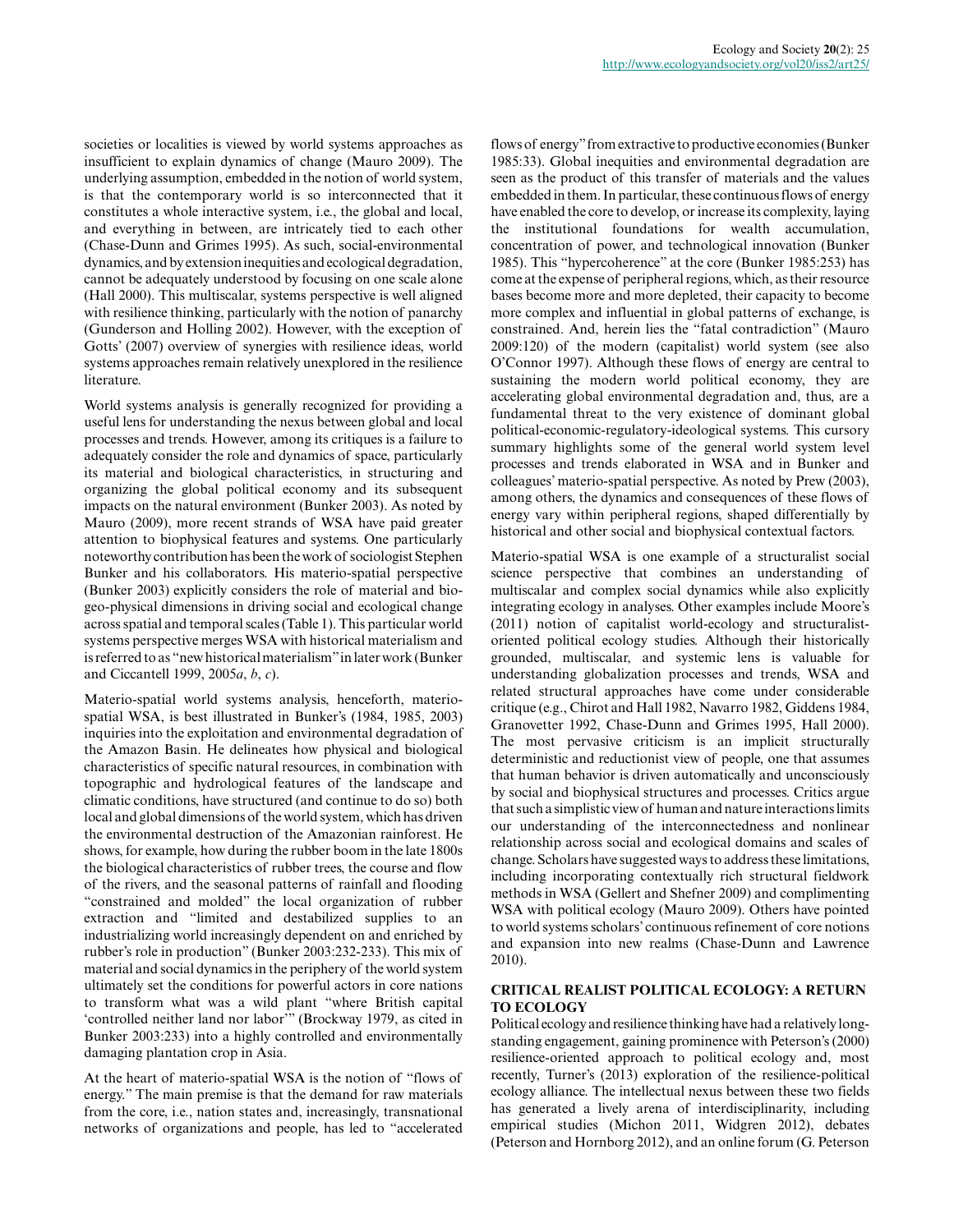societies or localities is viewed by world systems approaches as insufficient to explain dynamics of change (Mauro 2009). The underlying assumption, embedded in the notion of world system, is that the contemporary world is so interconnected that it constitutes a whole interactive system, i.e., the global and local, and everything in between, are intricately tied to each other (Chase-Dunn and Grimes 1995). As such, social-environmental dynamics, and by extension inequities and ecological degradation, cannot be adequately understood by focusing on one scale alone (Hall 2000). This multiscalar, systems perspective is well aligned with resilience thinking, particularly with the notion of panarchy (Gunderson and Holling 2002). However, with the exception of Gotts' (2007) overview of synergies with resilience ideas, world systems approaches remain relatively unexplored in the resilience literature.

World systems analysis is generally recognized for providing a useful lens for understanding the nexus between global and local processes and trends. However, among its critiques is a failure to adequately consider the role and dynamics of space, particularly its material and biological characteristics, in structuring and organizing the global political economy and its subsequent impacts on the natural environment (Bunker 2003). As noted by Mauro (2009), more recent strands of WSA have paid greater attention to biophysical features and systems. One particularly noteworthy contribution has been the work of sociologist Stephen Bunker and his collaborators. His materio-spatial perspective (Bunker 2003) explicitly considers the role of material and biogeo-physical dimensions in driving social and ecological change across spatial and temporal scales (Table 1). This particular world systems perspective merges WSA with historical materialism and is referred to as "new historical materialism" in later work (Bunker and Ciccantell 1999, 2005*a*, *b*, *c*).

Materio-spatial world systems analysis, henceforth, materiospatial WSA, is best illustrated in Bunker's (1984, 1985, 2003) inquiries into the exploitation and environmental degradation of the Amazon Basin. He delineates how physical and biological characteristics of specific natural resources, in combination with topographic and hydrological features of the landscape and climatic conditions, have structured (and continue to do so) both local and global dimensions of the world system, which has driven the environmental destruction of the Amazonian rainforest. He shows, for example, how during the rubber boom in the late 1800s the biological characteristics of rubber trees, the course and flow of the rivers, and the seasonal patterns of rainfall and flooding "constrained and molded" the local organization of rubber extraction and "limited and destabilized supplies to an industrializing world increasingly dependent on and enriched by rubber's role in production" (Bunker 2003:232-233). This mix of material and social dynamics in the periphery of the world system ultimately set the conditions for powerful actors in core nations to transform what was a wild plant "where British capital 'controlled neither land nor labor'" (Brockway 1979, as cited in Bunker 2003:233) into a highly controlled and environmentally damaging plantation crop in Asia.

At the heart of materio-spatial WSA is the notion of "flows of energy." The main premise is that the demand for raw materials from the core, i.e., nation states and, increasingly, transnational networks of organizations and people, has led to "accelerated flows of energy" from extractive to productive economies (Bunker 1985:33). Global inequities and environmental degradation are seen as the product of this transfer of materials and the values embedded in them. In particular, these continuous flows of energy have enabled the core to develop, or increase its complexity, laying the institutional foundations for wealth accumulation, concentration of power, and technological innovation (Bunker 1985). This "hypercoherence" at the core (Bunker 1985:253) has come at the expense of peripheral regions, which, as their resource bases become more and more depleted, their capacity to become more complex and influential in global patterns of exchange, is constrained. And, herein lies the "fatal contradiction" (Mauro 2009:120) of the modern (capitalist) world system (see also O'Connor 1997). Although these flows of energy are central to sustaining the modern world political economy, they are accelerating global environmental degradation and, thus, are a fundamental threat to the very existence of dominant global political-economic-regulatory-ideological systems. This cursory summary highlights some of the general world system level processes and trends elaborated in WSA and in Bunker and colleagues' materio-spatial perspective. As noted by Prew (2003), among others, the dynamics and consequences of these flows of energy vary within peripheral regions, shaped differentially by historical and other social and biophysical contextual factors.

Materio-spatial WSA is one example of a structuralist social science perspective that combines an understanding of multiscalar and complex social dynamics while also explicitly integrating ecology in analyses. Other examples include Moore's (2011) notion of capitalist world-ecology and structuralistoriented political ecology studies. Although their historically grounded, multiscalar, and systemic lens is valuable for understanding globalization processes and trends, WSA and related structural approaches have come under considerable critique (e.g., Chirot and Hall 1982, Navarro 1982, Giddens 1984, Granovetter 1992, Chase-Dunn and Grimes 1995, Hall 2000). The most pervasive criticism is an implicit structurally deterministic and reductionist view of people, one that assumes that human behavior is driven automatically and unconsciously by social and biophysical structures and processes. Critics argue that such a simplistic view of human and nature interactions limits our understanding of the interconnectedness and nonlinear relationship across social and ecological domains and scales of change. Scholars have suggested ways to address these limitations, including incorporating contextually rich structural fieldwork methods in WSA (Gellert and Shefner 2009) and complimenting WSA with political ecology (Mauro 2009). Others have pointed to world systems scholars' continuous refinement of core notions and expansion into new realms (Chase-Dunn and Lawrence 2010).

## **CRITICAL REALIST POLITICAL ECOLOGY: A RETURN TO ECOLOGY**

Political ecology and resilience thinking have had a relatively longstanding engagement, gaining prominence with Peterson's (2000) resilience-oriented approach to political ecology and, most recently, Turner's (2013) exploration of the resilience-political ecology alliance. The intellectual nexus between these two fields has generated a lively arena of interdisciplinarity, including empirical studies (Michon 2011, Widgren 2012), debates (Peterson and Hornborg 2012), and an online forum (G. Peterson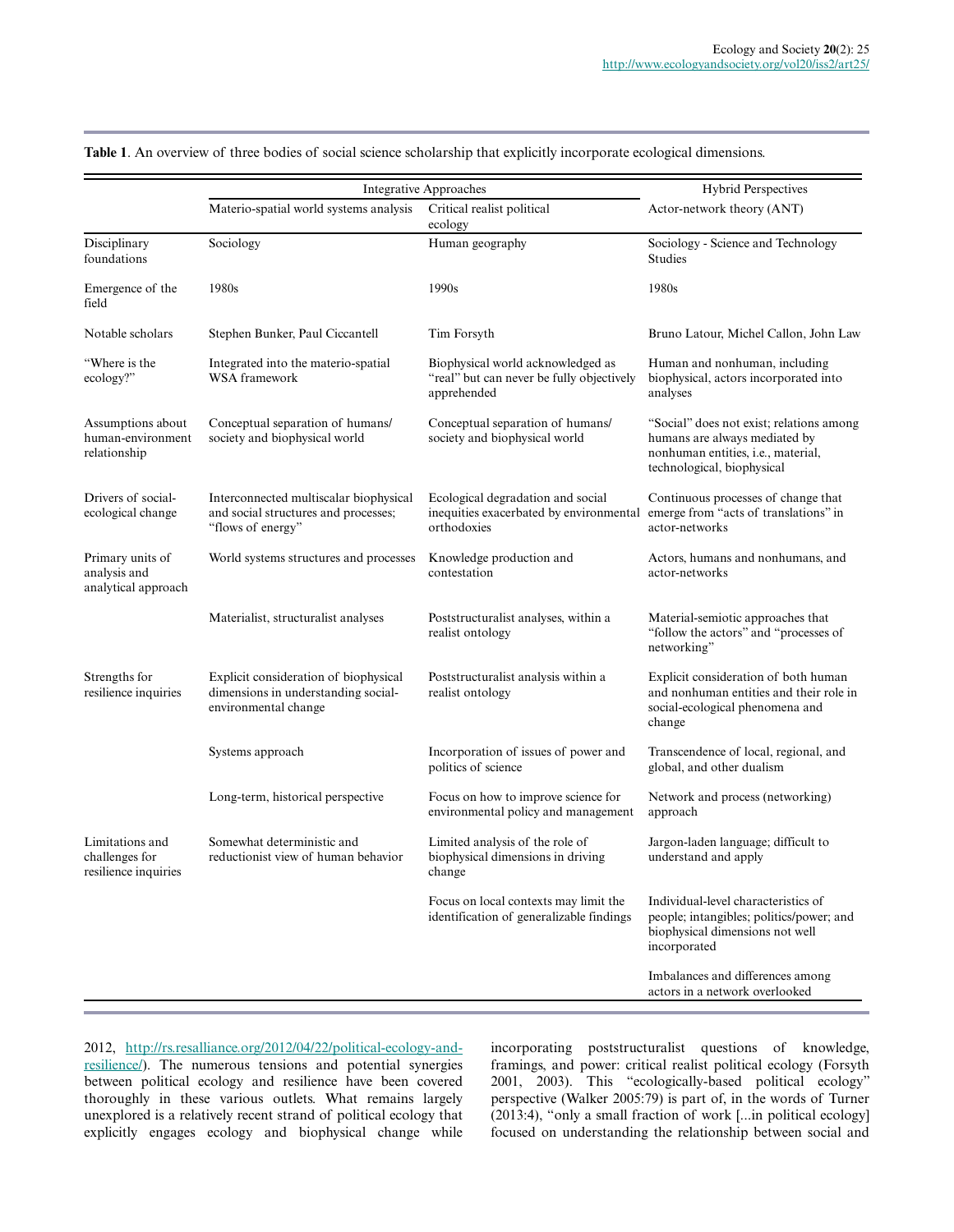|                                                           | <b>Integrative Approaches</b>                                                                        |                                                                                               | <b>Hybrid Perspectives</b>                                                                                                                    |
|-----------------------------------------------------------|------------------------------------------------------------------------------------------------------|-----------------------------------------------------------------------------------------------|-----------------------------------------------------------------------------------------------------------------------------------------------|
|                                                           | Materio-spatial world systems analysis                                                               | Critical realist political<br>ecology                                                         | Actor-network theory (ANT)                                                                                                                    |
| Disciplinary<br>foundations                               | Sociology                                                                                            | Human geography                                                                               | Sociology - Science and Technology<br>Studies                                                                                                 |
| Emergence of the<br>field                                 | 1980s                                                                                                | 1990s                                                                                         | 1980s                                                                                                                                         |
| Notable scholars                                          | Stephen Bunker, Paul Ciccantell                                                                      | Tim Forsyth                                                                                   | Bruno Latour, Michel Callon, John Law                                                                                                         |
| "Where is the<br>ecology?"                                | Integrated into the materio-spatial<br>WSA framework                                                 | Biophysical world acknowledged as<br>"real" but can never be fully objectively<br>apprehended | Human and nonhuman, including<br>biophysical, actors incorporated into<br>analyses                                                            |
| Assumptions about<br>human-environment<br>relationship    | Conceptual separation of humans/<br>society and biophysical world                                    | Conceptual separation of humans/<br>society and biophysical world                             | "Social" does not exist; relations among<br>humans are always mediated by<br>nonhuman entities, i.e., material,<br>technological, biophysical |
| Drivers of social-<br>ecological change                   | Interconnected multiscalar biophysical<br>and social structures and processes;<br>"flows of energy"  | Ecological degradation and social<br>inequities exacerbated by environmental<br>orthodoxies   | Continuous processes of change that<br>emerge from "acts of translations" in<br>actor-networks                                                |
| Primary units of<br>analysis and<br>analytical approach   | World systems structures and processes                                                               | Knowledge production and<br>contestation                                                      | Actors, humans and nonhumans, and<br>actor-networks                                                                                           |
|                                                           | Materialist, structuralist analyses                                                                  | Poststructuralist analyses, within a<br>realist ontology                                      | Material-semiotic approaches that<br>"follow the actors" and "processes of<br>networking"                                                     |
| Strengths for<br>resilience inquiries                     | Explicit consideration of biophysical<br>dimensions in understanding social-<br>environmental change | Poststructuralist analysis within a<br>realist ontology                                       | Explicit consideration of both human<br>and nonhuman entities and their role in<br>social-ecological phenomena and<br>change                  |
|                                                           | Systems approach                                                                                     | Incorporation of issues of power and<br>politics of science                                   | Transcendence of local, regional, and<br>global, and other dualism                                                                            |
|                                                           | Long-term, historical perspective                                                                    | Focus on how to improve science for<br>environmental policy and management                    | Network and process (networking)<br>approach                                                                                                  |
| Limitations and<br>challenges for<br>resilience inquiries | Somewhat deterministic and<br>reduction ist view of human behavior                                   | Limited analysis of the role of<br>biophysical dimensions in driving<br>change                | Jargon-laden language; difficult to<br>understand and apply                                                                                   |
|                                                           |                                                                                                      | Focus on local contexts may limit the<br>identification of generalizable findings             | Individual-level characteristics of<br>people; intangibles; politics/power; and<br>biophysical dimensions not well<br>incorporated            |
|                                                           |                                                                                                      |                                                                                               | Imbalances and differences among<br>actors in a network overlooked                                                                            |

**Table 1**. An overview of three bodies of social science scholarship that explicitly incorporate ecological dimensions.

2012, [http://rs.resalliance.org/2012/04/22/political-ecology-and](http://rs.resalliance.org/2012/04/22/political-ecology-and-resilience/)[resilience/](http://rs.resalliance.org/2012/04/22/political-ecology-and-resilience/)). The numerous tensions and potential synergies between political ecology and resilience have been covered thoroughly in these various outlets. What remains largely unexplored is a relatively recent strand of political ecology that explicitly engages ecology and biophysical change while

incorporating poststructuralist questions of knowledge, framings, and power: critical realist political ecology (Forsyth 2001, 2003). This "ecologically-based political ecology" perspective (Walker 2005:79) is part of, in the words of Turner (2013:4), "only a small fraction of work [...in political ecology] focused on understanding the relationship between social and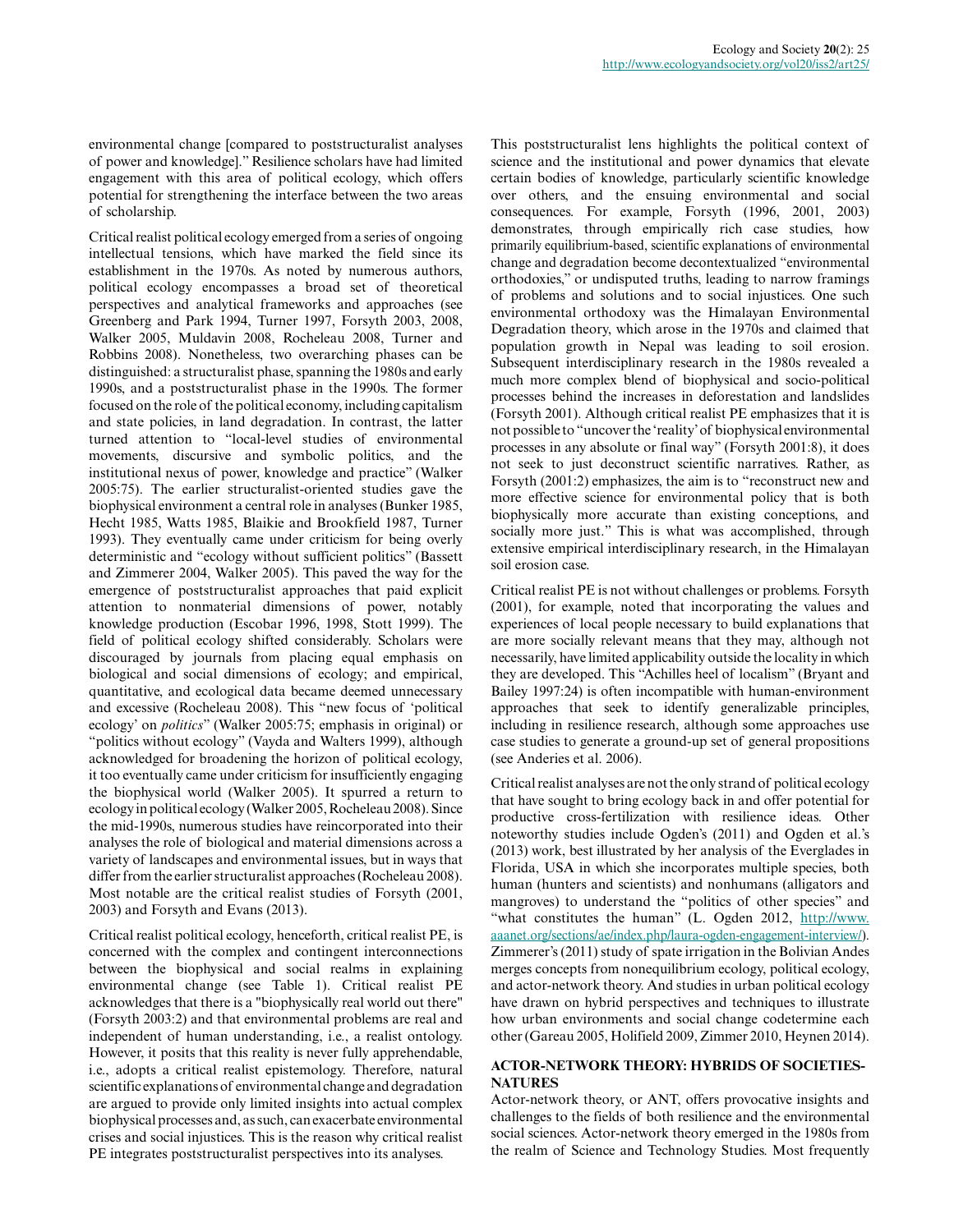environmental change [compared to poststructuralist analyses of power and knowledge]." Resilience scholars have had limited engagement with this area of political ecology, which offers potential for strengthening the interface between the two areas of scholarship.

Critical realist political ecology emerged from a series of ongoing intellectual tensions, which have marked the field since its establishment in the 1970s. As noted by numerous authors, political ecology encompasses a broad set of theoretical perspectives and analytical frameworks and approaches (see Greenberg and Park 1994, Turner 1997, Forsyth 2003, 2008, Walker 2005, Muldavin 2008, Rocheleau 2008, Turner and Robbins 2008). Nonetheless, two overarching phases can be distinguished: a structuralist phase, spanning the 1980s and early 1990s, and a poststructuralist phase in the 1990s. The former focused on the role of the political economy, including capitalism and state policies, in land degradation. In contrast, the latter turned attention to "local-level studies of environmental movements, discursive and symbolic politics, and the institutional nexus of power, knowledge and practice" (Walker 2005:75). The earlier structuralist-oriented studies gave the biophysical environment a central role in analyses (Bunker 1985, Hecht 1985, Watts 1985, Blaikie and Brookfield 1987, Turner 1993). They eventually came under criticism for being overly deterministic and "ecology without sufficient politics" (Bassett and Zimmerer 2004, Walker 2005). This paved the way for the emergence of poststructuralist approaches that paid explicit attention to nonmaterial dimensions of power, notably knowledge production (Escobar 1996, 1998, Stott 1999). The field of political ecology shifted considerably. Scholars were discouraged by journals from placing equal emphasis on biological and social dimensions of ecology; and empirical, quantitative, and ecological data became deemed unnecessary and excessive (Rocheleau 2008). This "new focus of 'political ecology' on *politics*" (Walker 2005:75; emphasis in original) or "politics without ecology" (Vayda and Walters 1999), although acknowledged for broadening the horizon of political ecology, it too eventually came under criticism for insufficiently engaging the biophysical world (Walker 2005). It spurred a return to ecology in political ecology (Walker 2005, Rocheleau 2008). Since the mid-1990s, numerous studies have reincorporated into their analyses the role of biological and material dimensions across a variety of landscapes and environmental issues, but in ways that differ from the earlier structuralist approaches (Rocheleau 2008). Most notable are the critical realist studies of Forsyth (2001, 2003) and Forsyth and Evans (2013).

Critical realist political ecology, henceforth, critical realist PE, is concerned with the complex and contingent interconnections between the biophysical and social realms in explaining environmental change (see Table 1). Critical realist PE acknowledges that there is a "biophysically real world out there" (Forsyth 2003:2) and that environmental problems are real and independent of human understanding, i.e., a realist ontology. However, it posits that this reality is never fully apprehendable, i.e., adopts a critical realist epistemology. Therefore, natural scientific explanations of environmental change and degradation are argued to provide only limited insights into actual complex biophysical processes and, as such, can exacerbate environmental crises and social injustices. This is the reason why critical realist PE integrates poststructuralist perspectives into its analyses.

This poststructuralist lens highlights the political context of science and the institutional and power dynamics that elevate certain bodies of knowledge, particularly scientific knowledge over others, and the ensuing environmental and social consequences. For example, Forsyth (1996, 2001, 2003) demonstrates, through empirically rich case studies, how primarily equilibrium-based, scientific explanations of environmental change and degradation become decontextualized "environmental orthodoxies," or undisputed truths, leading to narrow framings of problems and solutions and to social injustices. One such environmental orthodoxy was the Himalayan Environmental Degradation theory, which arose in the 1970s and claimed that population growth in Nepal was leading to soil erosion. Subsequent interdisciplinary research in the 1980s revealed a much more complex blend of biophysical and socio-political processes behind the increases in deforestation and landslides (Forsyth 2001). Although critical realist PE emphasizes that it is not possible to "uncover the 'reality' of biophysical environmental processes in any absolute or final way" (Forsyth 2001:8), it does not seek to just deconstruct scientific narratives. Rather, as Forsyth (2001:2) emphasizes, the aim is to "reconstruct new and more effective science for environmental policy that is both biophysically more accurate than existing conceptions, and socially more just." This is what was accomplished, through extensive empirical interdisciplinary research, in the Himalayan soil erosion case.

Critical realist PE is not without challenges or problems. Forsyth (2001), for example, noted that incorporating the values and experiences of local people necessary to build explanations that are more socially relevant means that they may, although not necessarily, have limited applicability outside the locality in which they are developed. This "Achilles heel of localism" (Bryant and Bailey 1997:24) is often incompatible with human-environment approaches that seek to identify generalizable principles, including in resilience research, although some approaches use case studies to generate a ground-up set of general propositions (see Anderies et al. 2006).

Critical realist analyses are not the only strand of political ecology that have sought to bring ecology back in and offer potential for productive cross-fertilization with resilience ideas. Other noteworthy studies include Ogden's (2011) and Ogden et al.'s (2013) work, best illustrated by her analysis of the Everglades in Florida, USA in which she incorporates multiple species, both human (hunters and scientists) and nonhumans (alligators and mangroves) to understand the "politics of other species" and "what constitutes the human" (L. Ogden 2012, [http://www.](http://www.aaanet.org/sections/ae/index.php/laura-ogden-engagement-interview/) [aaanet.org/sections/ae/index.php/laura-ogden-engagement-interview/](http://www.aaanet.org/sections/ae/index.php/laura-ogden-engagement-interview/)). Zimmerer's (2011) study of spate irrigation in the Bolivian Andes merges concepts from nonequilibrium ecology, political ecology, and actor-network theory. And studies in urban political ecology have drawn on hybrid perspectives and techniques to illustrate how urban environments and social change codetermine each other (Gareau 2005, Holifield 2009, Zimmer 2010, Heynen 2014).

## **ACTOR-NETWORK THEORY: HYBRIDS OF SOCIETIES-NATURES**

Actor-network theory, or ANT, offers provocative insights and challenges to the fields of both resilience and the environmental social sciences. Actor-network theory emerged in the 1980s from the realm of Science and Technology Studies. Most frequently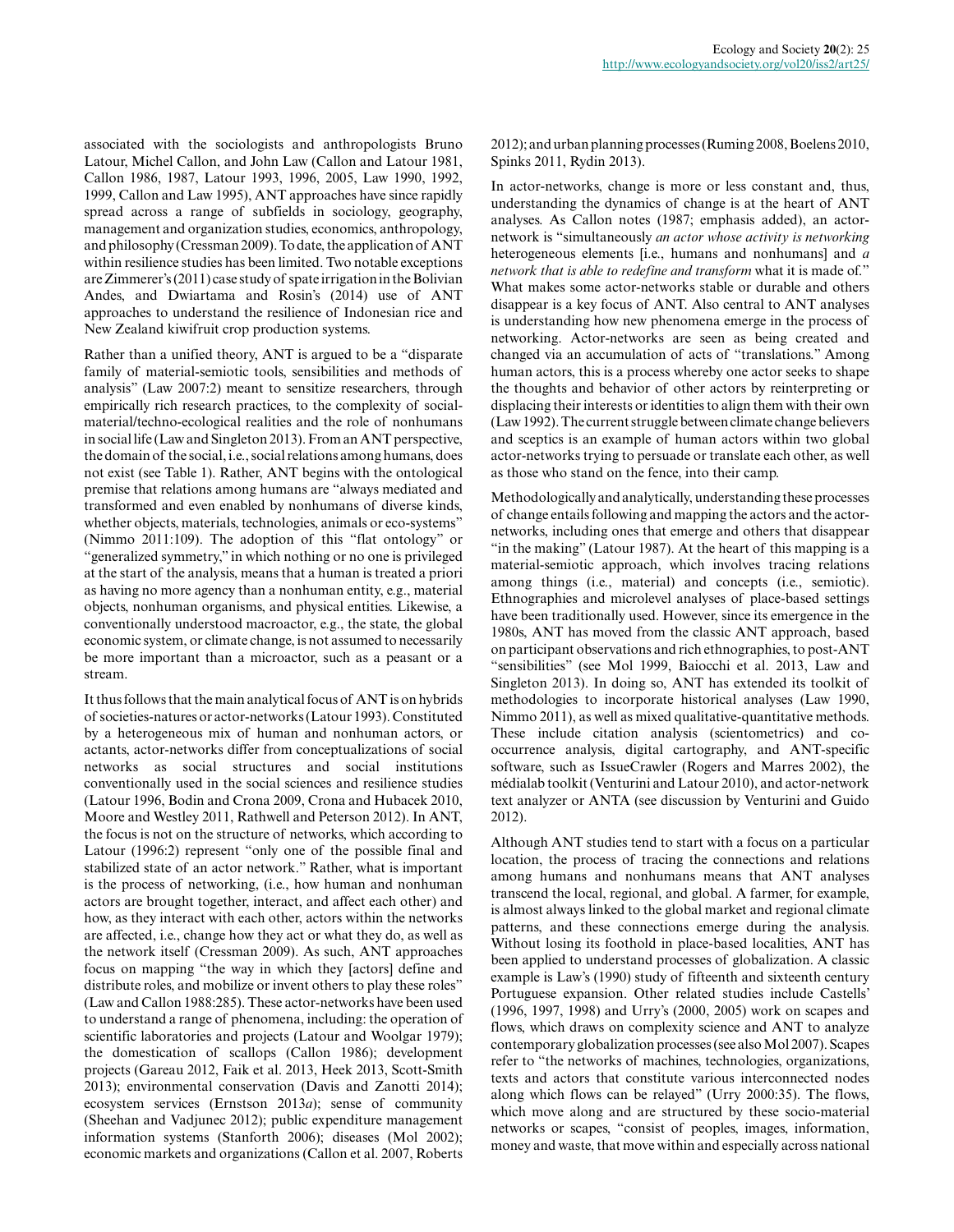associated with the sociologists and anthropologists Bruno Latour, Michel Callon, and John Law (Callon and Latour 1981, Callon 1986, 1987, Latour 1993, 1996, 2005, Law 1990, 1992, 1999, Callon and Law 1995), ANT approaches have since rapidly spread across a range of subfields in sociology, geography, management and organization studies, economics, anthropology, and philosophy (Cressman 2009). To date, the application of ANT within resilience studies has been limited. Two notable exceptions are Zimmerer's (2011) case study of spate irrigation in the Bolivian Andes, and Dwiartama and Rosin's (2014) use of ANT approaches to understand the resilience of Indonesian rice and New Zealand kiwifruit crop production systems.

Rather than a unified theory, ANT is argued to be a "disparate family of material-semiotic tools, sensibilities and methods of analysis" (Law 2007:2) meant to sensitize researchers, through empirically rich research practices, to the complexity of socialmaterial/techno-ecological realities and the role of nonhumans in social life (Law and Singleton 2013). From an ANT perspective, the domain of the social, i.e., social relations among humans, does not exist (see Table 1). Rather, ANT begins with the ontological premise that relations among humans are "always mediated and transformed and even enabled by nonhumans of diverse kinds, whether objects, materials, technologies, animals or eco-systems" (Nimmo 2011:109). The adoption of this "flat ontology" or "generalized symmetry," in which nothing or no one is privileged at the start of the analysis, means that a human is treated a priori as having no more agency than a nonhuman entity, e.g., material objects, nonhuman organisms, and physical entities. Likewise, a conventionally understood macroactor, e.g., the state, the global economic system, or climate change, is not assumed to necessarily be more important than a microactor, such as a peasant or a stream.

It thus follows that the main analytical focus of ANT is on hybrids of societies-natures or actor-networks (Latour 1993). Constituted by a heterogeneous mix of human and nonhuman actors, or actants, actor-networks differ from conceptualizations of social networks as social structures and social institutions conventionally used in the social sciences and resilience studies (Latour 1996, Bodin and Crona 2009, Crona and Hubacek 2010, Moore and Westley 2011, Rathwell and Peterson 2012). In ANT, the focus is not on the structure of networks, which according to Latour (1996:2) represent "only one of the possible final and stabilized state of an actor network." Rather, what is important is the process of networking, (i.e., how human and nonhuman actors are brought together, interact, and affect each other) and how, as they interact with each other, actors within the networks are affected, i.e., change how they act or what they do, as well as the network itself (Cressman 2009). As such, ANT approaches focus on mapping "the way in which they [actors] define and distribute roles, and mobilize or invent others to play these roles" (Law and Callon 1988:285). These actor-networks have been used to understand a range of phenomena, including: the operation of scientific laboratories and projects (Latour and Woolgar 1979); the domestication of scallops (Callon 1986); development projects (Gareau 2012, Faik et al. 2013, Heek 2013, Scott-Smith 2013); environmental conservation (Davis and Zanotti 2014); ecosystem services (Ernstson 2013*a*); sense of community (Sheehan and Vadjunec 2012); public expenditure management information systems (Stanforth 2006); diseases (Mol 2002); economic markets and organizations (Callon et al. 2007, Roberts 2012); and urban planning processes (Ruming 2008, Boelens 2010, Spinks 2011, Rydin 2013).

In actor-networks, change is more or less constant and, thus, understanding the dynamics of change is at the heart of ANT analyses. As Callon notes (1987; emphasis added), an actornetwork is "simultaneously *an actor whose activity is networking* heterogeneous elements [i.e., humans and nonhumans] and *a network that is able to redefine and transform* what it is made of." What makes some actor-networks stable or durable and others disappear is a key focus of ANT. Also central to ANT analyses is understanding how new phenomena emerge in the process of networking. Actor-networks are seen as being created and changed via an accumulation of acts of "translations." Among human actors, this is a process whereby one actor seeks to shape the thoughts and behavior of other actors by reinterpreting or displacing their interests or identities to align them with their own (Law 1992). The current struggle between climate change believers and sceptics is an example of human actors within two global actor-networks trying to persuade or translate each other, as well as those who stand on the fence, into their camp.

Methodologically and analytically, understanding these processes of change entails following and mapping the actors and the actornetworks, including ones that emerge and others that disappear "in the making" (Latour 1987). At the heart of this mapping is a material-semiotic approach, which involves tracing relations among things (i.e., material) and concepts (i.e., semiotic). Ethnographies and microlevel analyses of place-based settings have been traditionally used. However, since its emergence in the 1980s, ANT has moved from the classic ANT approach, based on participant observations and rich ethnographies, to post-ANT "sensibilities" (see Mol 1999, Baiocchi et al. 2013, Law and Singleton 2013). In doing so, ANT has extended its toolkit of methodologies to incorporate historical analyses (Law 1990, Nimmo 2011), as well as mixed qualitative-quantitative methods. These include citation analysis (scientometrics) and cooccurrence analysis, digital cartography, and ANT-specific software, such as IssueCrawler (Rogers and Marres 2002), the médialab toolkit (Venturini and Latour 2010), and actor-network text analyzer or ANTA (see discussion by Venturini and Guido 2012).

Although ANT studies tend to start with a focus on a particular location, the process of tracing the connections and relations among humans and nonhumans means that ANT analyses transcend the local, regional, and global. A farmer, for example, is almost always linked to the global market and regional climate patterns, and these connections emerge during the analysis. Without losing its foothold in place-based localities, ANT has been applied to understand processes of globalization. A classic example is Law's (1990) study of fifteenth and sixteenth century Portuguese expansion. Other related studies include Castells' (1996, 1997, 1998) and Urry's (2000, 2005) work on scapes and flows, which draws on complexity science and ANT to analyze contemporary globalization processes (see also Mol 2007). Scapes refer to "the networks of machines, technologies, organizations, texts and actors that constitute various interconnected nodes along which flows can be relayed" (Urry 2000:35). The flows, which move along and are structured by these socio-material networks or scapes, "consist of peoples, images, information, money and waste, that move within and especially across national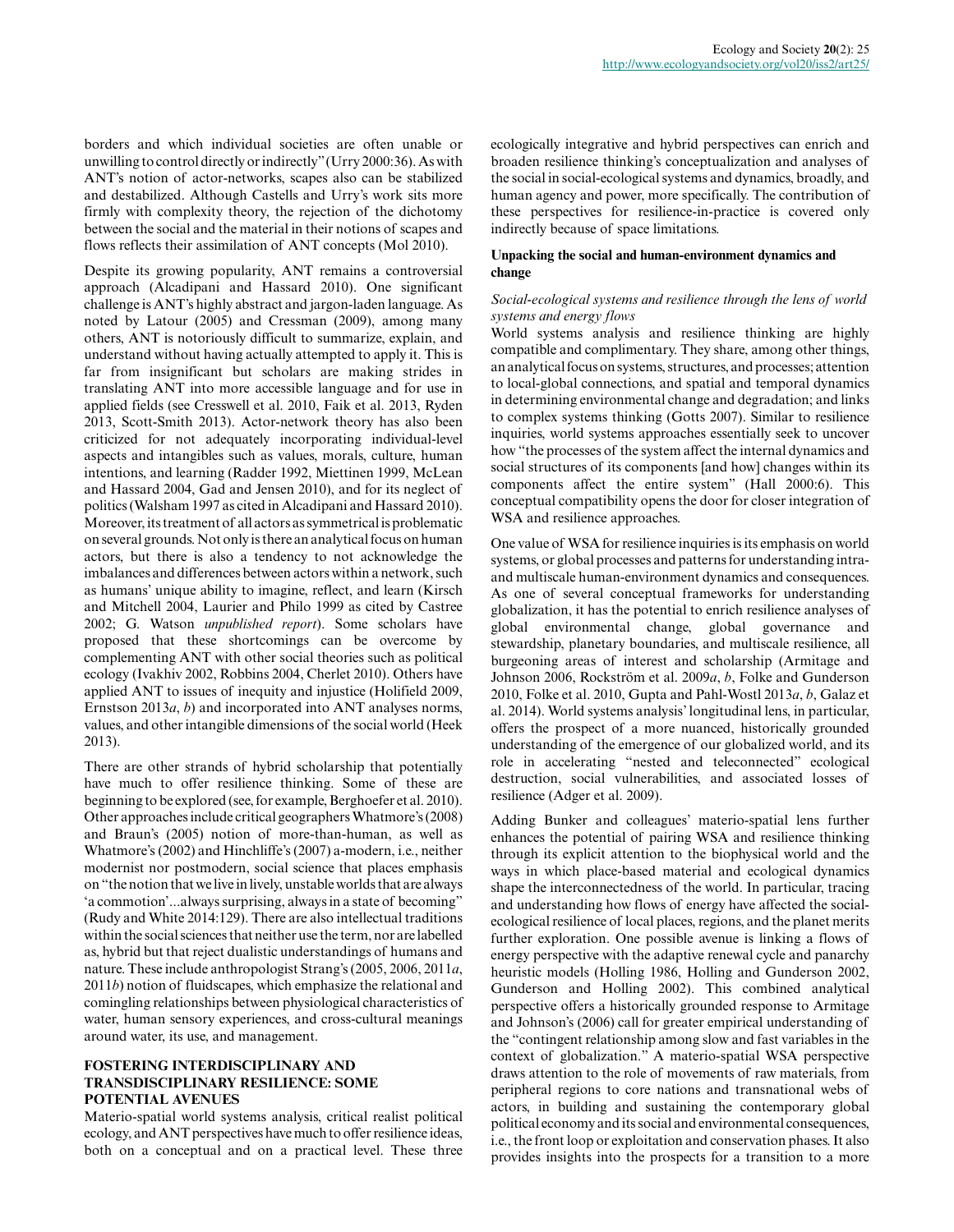borders and which individual societies are often unable or unwilling to control directly or indirectly" (Urry 2000:36). As with ANT's notion of actor-networks, scapes also can be stabilized and destabilized. Although Castells and Urry's work sits more firmly with complexity theory, the rejection of the dichotomy between the social and the material in their notions of scapes and flows reflects their assimilation of ANT concepts (Mol 2010).

Despite its growing popularity, ANT remains a controversial approach (Alcadipani and Hassard 2010). One significant challenge is ANT's highly abstract and jargon-laden language. As noted by Latour (2005) and Cressman (2009), among many others, ANT is notoriously difficult to summarize, explain, and understand without having actually attempted to apply it. This is far from insignificant but scholars are making strides in translating ANT into more accessible language and for use in applied fields (see Cresswell et al. 2010, Faik et al. 2013, Ryden 2013, Scott-Smith 2013). Actor-network theory has also been criticized for not adequately incorporating individual-level aspects and intangibles such as values, morals, culture, human intentions, and learning (Radder 1992, Miettinen 1999, McLean and Hassard 2004, Gad and Jensen 2010), and for its neglect of politics (Walsham 1997 as cited in Alcadipani and Hassard 2010). Moreover, its treatment of all actors as symmetrical is problematic on several grounds. Not only is there an analytical focus on human actors, but there is also a tendency to not acknowledge the imbalances and differences between actors within a network, such as humans' unique ability to imagine, reflect, and learn (Kirsch and Mitchell 2004, Laurier and Philo 1999 as cited by Castree 2002; G. Watson *unpublished report*). Some scholars have proposed that these shortcomings can be overcome by complementing ANT with other social theories such as political ecology (Ivakhiv 2002, Robbins 2004, Cherlet 2010). Others have applied ANT to issues of inequity and injustice (Holifield 2009, Ernstson 2013*a*, *b*) and incorporated into ANT analyses norms, values, and other intangible dimensions of the social world (Heek 2013).

There are other strands of hybrid scholarship that potentially have much to offer resilience thinking. Some of these are beginning to be explored (see, for example, Berghoefer et al. 2010). Other approaches include critical geographers Whatmore's (2008) and Braun's (2005) notion of more-than-human, as well as Whatmore's (2002) and Hinchliffe's (2007) a-modern, i.e., neither modernist nor postmodern, social science that places emphasis on "the notion that we live in lively, unstable worlds that are always 'a commotion'...always surprising, always in a state of becoming" (Rudy and White 2014:129). There are also intellectual traditions within the social sciences that neither use the term, nor are labelled as, hybrid but that reject dualistic understandings of humans and nature. These include anthropologist Strang's (2005, 2006, 2011*a*, 2011*b*) notion of fluidscapes, which emphasize the relational and comingling relationships between physiological characteristics of water, human sensory experiences, and cross-cultural meanings around water, its use, and management.

## **FOSTERING INTERDISCIPLINARY AND TRANSDISCIPLINARY RESILIENCE: SOME POTENTIAL AVENUES**

Materio-spatial world systems analysis, critical realist political ecology, and ANT perspectives have much to offer resilience ideas, both on a conceptual and on a practical level. These three ecologically integrative and hybrid perspectives can enrich and broaden resilience thinking's conceptualization and analyses of the social in social-ecological systems and dynamics, broadly, and human agency and power, more specifically. The contribution of these perspectives for resilience-in-practice is covered only indirectly because of space limitations.

## **Unpacking the social and human-environment dynamics and change**

### *Social-ecological systems and resilience through the lens of world systems and energy flows*

World systems analysis and resilience thinking are highly compatible and complimentary. They share, among other things, an analytical focus on systems, structures, and processes; attention to local-global connections, and spatial and temporal dynamics in determining environmental change and degradation; and links to complex systems thinking (Gotts 2007). Similar to resilience inquiries, world systems approaches essentially seek to uncover how "the processes of the system affect the internal dynamics and social structures of its components [and how] changes within its components affect the entire system" (Hall 2000:6). This conceptual compatibility opens the door for closer integration of WSA and resilience approaches.

One value of WSA for resilience inquiries is its emphasis on world systems, or global processes and patterns for understanding intraand multiscale human-environment dynamics and consequences. As one of several conceptual frameworks for understanding globalization, it has the potential to enrich resilience analyses of global environmental change, global governance and stewardship, planetary boundaries, and multiscale resilience, all burgeoning areas of interest and scholarship (Armitage and Johnson 2006, Rockström et al. 2009*a*, *b*, Folke and Gunderson 2010, Folke et al. 2010, Gupta and Pahl-Wostl 2013*a*, *b*, Galaz et al. 2014). World systems analysis' longitudinal lens, in particular, offers the prospect of a more nuanced, historically grounded understanding of the emergence of our globalized world, and its role in accelerating "nested and teleconnected" ecological destruction, social vulnerabilities, and associated losses of resilience (Adger et al. 2009).

Adding Bunker and colleagues' materio-spatial lens further enhances the potential of pairing WSA and resilience thinking through its explicit attention to the biophysical world and the ways in which place-based material and ecological dynamics shape the interconnectedness of the world. In particular, tracing and understanding how flows of energy have affected the socialecological resilience of local places, regions, and the planet merits further exploration. One possible avenue is linking a flows of energy perspective with the adaptive renewal cycle and panarchy heuristic models (Holling 1986, Holling and Gunderson 2002, Gunderson and Holling 2002). This combined analytical perspective offers a historically grounded response to Armitage and Johnson's (2006) call for greater empirical understanding of the "contingent relationship among slow and fast variables in the context of globalization." A materio-spatial WSA perspective draws attention to the role of movements of raw materials, from peripheral regions to core nations and transnational webs of actors, in building and sustaining the contemporary global political economy and its social and environmental consequences, i.e., the front loop or exploitation and conservation phases. It also provides insights into the prospects for a transition to a more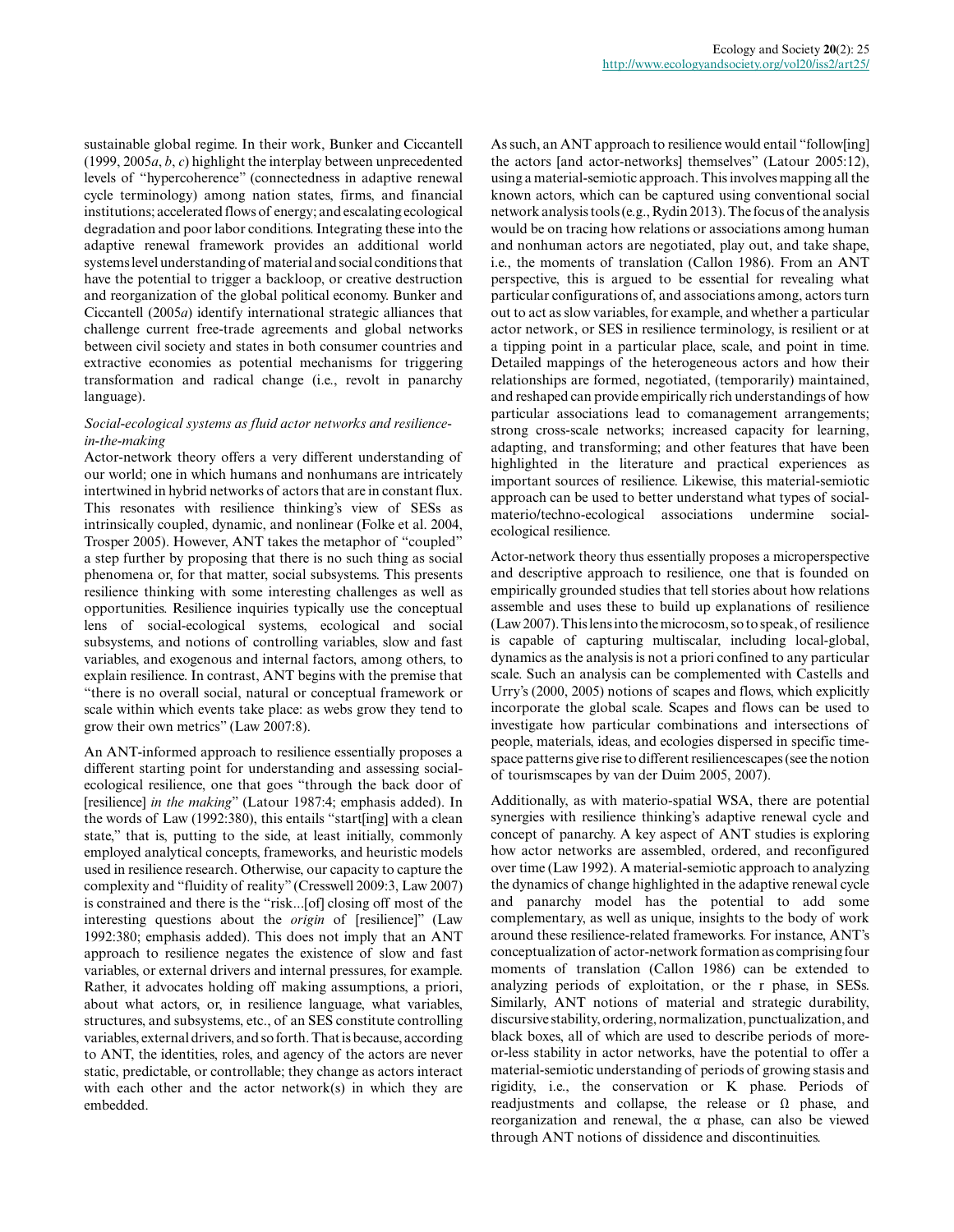sustainable global regime. In their work, Bunker and Ciccantell (1999, 2005*a*, *b*, *c*) highlight the interplay between unprecedented levels of "hypercoherence" (connectedness in adaptive renewal cycle terminology) among nation states, firms, and financial institutions; accelerated flows of energy; and escalating ecological degradation and poor labor conditions. Integrating these into the adaptive renewal framework provides an additional world systems level understanding of material and social conditions that have the potential to trigger a backloop, or creative destruction and reorganization of the global political economy. Bunker and Ciccantell (2005*a*) identify international strategic alliances that challenge current free-trade agreements and global networks between civil society and states in both consumer countries and extractive economies as potential mechanisms for triggering transformation and radical change (i.e., revolt in panarchy language).

#### *Social-ecological systems as fluid actor networks and resiliencein-the-making*

Actor-network theory offers a very different understanding of our world; one in which humans and nonhumans are intricately intertwined in hybrid networks of actors that are in constant flux. This resonates with resilience thinking's view of SESs as intrinsically coupled, dynamic, and nonlinear (Folke et al. 2004, Trosper 2005). However, ANT takes the metaphor of "coupled" a step further by proposing that there is no such thing as social phenomena or, for that matter, social subsystems. This presents resilience thinking with some interesting challenges as well as opportunities. Resilience inquiries typically use the conceptual lens of social-ecological systems, ecological and social subsystems, and notions of controlling variables, slow and fast variables, and exogenous and internal factors, among others, to explain resilience. In contrast, ANT begins with the premise that "there is no overall social, natural or conceptual framework or scale within which events take place: as webs grow they tend to grow their own metrics" (Law 2007:8).

An ANT-informed approach to resilience essentially proposes a different starting point for understanding and assessing socialecological resilience, one that goes "through the back door of [resilience] *in the making*" (Latour 1987:4; emphasis added). In the words of Law (1992:380), this entails "start[ing] with a clean state," that is, putting to the side, at least initially, commonly employed analytical concepts, frameworks, and heuristic models used in resilience research. Otherwise, our capacity to capture the complexity and "fluidity of reality" (Cresswell 2009:3, Law 2007) is constrained and there is the "risk...[of] closing off most of the interesting questions about the *origin* of [resilience]" (Law 1992:380; emphasis added). This does not imply that an ANT approach to resilience negates the existence of slow and fast variables, or external drivers and internal pressures, for example. Rather, it advocates holding off making assumptions, a priori, about what actors, or, in resilience language, what variables, structures, and subsystems, etc., of an SES constitute controlling variables, external drivers, and so forth. That is because, according to ANT, the identities, roles, and agency of the actors are never static, predictable, or controllable; they change as actors interact with each other and the actor network(s) in which they are embedded.

As such, an ANT approach to resilience would entail "follow[ing] the actors [and actor-networks] themselves" (Latour 2005:12), using a material-semiotic approach. This involves mapping all the known actors, which can be captured using conventional social network analysis tools (e.g., Rydin 2013). The focus of the analysis would be on tracing how relations or associations among human and nonhuman actors are negotiated, play out, and take shape, i.e., the moments of translation (Callon 1986). From an ANT perspective, this is argued to be essential for revealing what particular configurations of, and associations among, actors turn out to act as slow variables, for example, and whether a particular actor network, or SES in resilience terminology, is resilient or at a tipping point in a particular place, scale, and point in time. Detailed mappings of the heterogeneous actors and how their relationships are formed, negotiated, (temporarily) maintained, and reshaped can provide empirically rich understandings of how particular associations lead to comanagement arrangements; strong cross-scale networks; increased capacity for learning, adapting, and transforming; and other features that have been highlighted in the literature and practical experiences as important sources of resilience. Likewise, this material-semiotic approach can be used to better understand what types of socialmaterio/techno-ecological associations undermine socialecological resilience.

Actor-network theory thus essentially proposes a microperspective and descriptive approach to resilience, one that is founded on empirically grounded studies that tell stories about how relations assemble and uses these to build up explanations of resilience (Law 2007). This lens into the microcosm, so to speak, of resilience is capable of capturing multiscalar, including local-global, dynamics as the analysis is not a priori confined to any particular scale. Such an analysis can be complemented with Castells and Urry's (2000, 2005) notions of scapes and flows, which explicitly incorporate the global scale. Scapes and flows can be used to investigate how particular combinations and intersections of people, materials, ideas, and ecologies dispersed in specific timespace patterns give rise to different resiliencescapes (see the notion of tourismscapes by van der Duim 2005, 2007).

Additionally, as with materio-spatial WSA, there are potential synergies with resilience thinking's adaptive renewal cycle and concept of panarchy. A key aspect of ANT studies is exploring how actor networks are assembled, ordered, and reconfigured over time (Law 1992). A material-semiotic approach to analyzing the dynamics of change highlighted in the adaptive renewal cycle and panarchy model has the potential to add some complementary, as well as unique, insights to the body of work around these resilience-related frameworks. For instance, ANT's conceptualization of actor-network formation as comprising four moments of translation (Callon 1986) can be extended to analyzing periods of exploitation, or the r phase, in SESs. Similarly, ANT notions of material and strategic durability, discursive stability, ordering, normalization, punctualization, and black boxes, all of which are used to describe periods of moreor-less stability in actor networks, have the potential to offer a material-semiotic understanding of periods of growing stasis and rigidity, i.e., the conservation or K phase. Periods of readjustments and collapse, the release or  $\Omega$  phase, and reorganization and renewal, the α phase, can also be viewed through ANT notions of dissidence and discontinuities.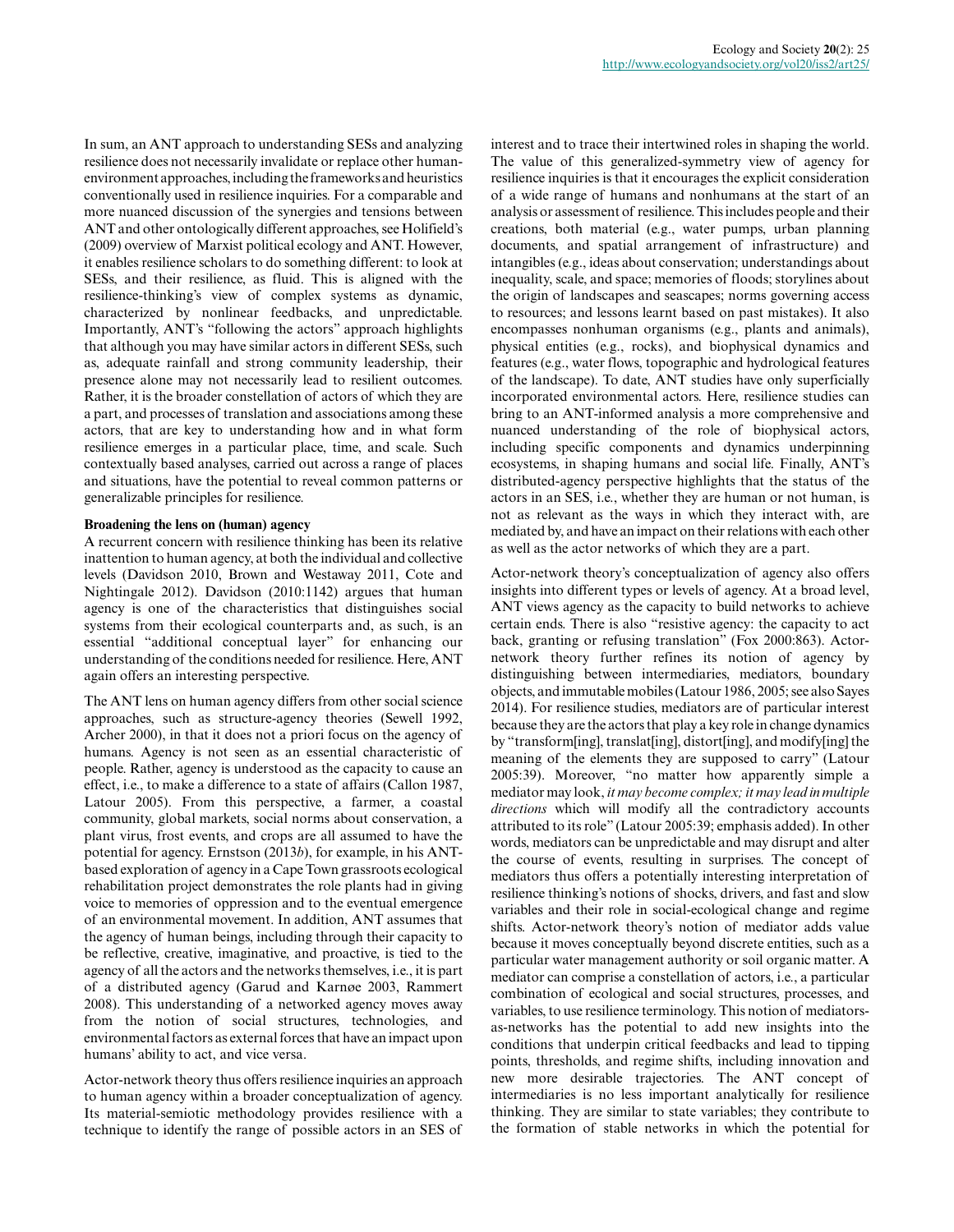In sum, an ANT approach to understanding SESs and analyzing resilience does not necessarily invalidate or replace other humanenvironment approaches, including the frameworks and heuristics conventionally used in resilience inquiries. For a comparable and more nuanced discussion of the synergies and tensions between ANT and other ontologically different approaches, see Holifield's (2009) overview of Marxist political ecology and ANT. However, it enables resilience scholars to do something different: to look at SESs, and their resilience, as fluid. This is aligned with the resilience-thinking's view of complex systems as dynamic, characterized by nonlinear feedbacks, and unpredictable. Importantly, ANT's "following the actors" approach highlights that although you may have similar actors in different SESs, such as, adequate rainfall and strong community leadership, their presence alone may not necessarily lead to resilient outcomes. Rather, it is the broader constellation of actors of which they are a part, and processes of translation and associations among these actors, that are key to understanding how and in what form resilience emerges in a particular place, time, and scale. Such contextually based analyses, carried out across a range of places and situations, have the potential to reveal common patterns or generalizable principles for resilience.

### **Broadening the lens on (human) agency**

A recurrent concern with resilience thinking has been its relative inattention to human agency, at both the individual and collective levels (Davidson 2010, Brown and Westaway 2011, Cote and Nightingale 2012). Davidson (2010:1142) argues that human agency is one of the characteristics that distinguishes social systems from their ecological counterparts and, as such, is an essential "additional conceptual layer" for enhancing our understanding of the conditions needed for resilience. Here, ANT again offers an interesting perspective.

The ANT lens on human agency differs from other social science approaches, such as structure-agency theories (Sewell 1992, Archer 2000), in that it does not a priori focus on the agency of humans. Agency is not seen as an essential characteristic of people. Rather, agency is understood as the capacity to cause an effect, i.e., to make a difference to a state of affairs (Callon 1987, Latour 2005). From this perspective, a farmer, a coastal community, global markets, social norms about conservation, a plant virus, frost events, and crops are all assumed to have the potential for agency. Ernstson (2013*b*), for example, in his ANTbased exploration of agency in a Cape Town grassroots ecological rehabilitation project demonstrates the role plants had in giving voice to memories of oppression and to the eventual emergence of an environmental movement. In addition, ANT assumes that the agency of human beings, including through their capacity to be reflective, creative, imaginative, and proactive, is tied to the agency of all the actors and the networks themselves, i.e., it is part of a distributed agency (Garud and Karnøe 2003, Rammert 2008). This understanding of a networked agency moves away from the notion of social structures, technologies, and environmental factors as external forces that have an impact upon humans' ability to act, and vice versa.

Actor-network theory thus offers resilience inquiries an approach to human agency within a broader conceptualization of agency. Its material-semiotic methodology provides resilience with a technique to identify the range of possible actors in an SES of interest and to trace their intertwined roles in shaping the world. The value of this generalized-symmetry view of agency for resilience inquiries is that it encourages the explicit consideration of a wide range of humans and nonhumans at the start of an analysis or assessment of resilience. This includes people and their creations, both material (e.g., water pumps, urban planning documents, and spatial arrangement of infrastructure) and intangibles (e.g., ideas about conservation; understandings about inequality, scale, and space; memories of floods; storylines about the origin of landscapes and seascapes; norms governing access to resources; and lessons learnt based on past mistakes). It also encompasses nonhuman organisms (e.g., plants and animals), physical entities (e.g., rocks), and biophysical dynamics and features (e.g., water flows, topographic and hydrological features of the landscape). To date, ANT studies have only superficially incorporated environmental actors. Here, resilience studies can bring to an ANT-informed analysis a more comprehensive and nuanced understanding of the role of biophysical actors, including specific components and dynamics underpinning ecosystems, in shaping humans and social life. Finally, ANT's distributed-agency perspective highlights that the status of the actors in an SES, i.e., whether they are human or not human, is not as relevant as the ways in which they interact with, are mediated by, and have an impact on their relations with each other as well as the actor networks of which they are a part.

Actor-network theory's conceptualization of agency also offers insights into different types or levels of agency. At a broad level, ANT views agency as the capacity to build networks to achieve certain ends. There is also "resistive agency: the capacity to act back, granting or refusing translation" (Fox 2000:863). Actornetwork theory further refines its notion of agency by distinguishing between intermediaries, mediators, boundary objects, and immutable mobiles (Latour 1986, 2005; see also Sayes 2014). For resilience studies, mediators are of particular interest because they are the actors that play a key role in change dynamics by "transform[ing], translat[ing], distort[ing], and modify[ing] the meaning of the elements they are supposed to carry" (Latour 2005:39). Moreover, "no matter how apparently simple a mediator may look, *it may become complex; it may lead in multiple directions* which will modify all the contradictory accounts attributed to its role" (Latour 2005:39; emphasis added). In other words, mediators can be unpredictable and may disrupt and alter the course of events, resulting in surprises. The concept of mediators thus offers a potentially interesting interpretation of resilience thinking's notions of shocks, drivers, and fast and slow variables and their role in social-ecological change and regime shifts. Actor-network theory's notion of mediator adds value because it moves conceptually beyond discrete entities, such as a particular water management authority or soil organic matter. A mediator can comprise a constellation of actors, i.e., a particular combination of ecological and social structures, processes, and variables, to use resilience terminology. This notion of mediatorsas-networks has the potential to add new insights into the conditions that underpin critical feedbacks and lead to tipping points, thresholds, and regime shifts, including innovation and new more desirable trajectories. The ANT concept of intermediaries is no less important analytically for resilience thinking. They are similar to state variables; they contribute to the formation of stable networks in which the potential for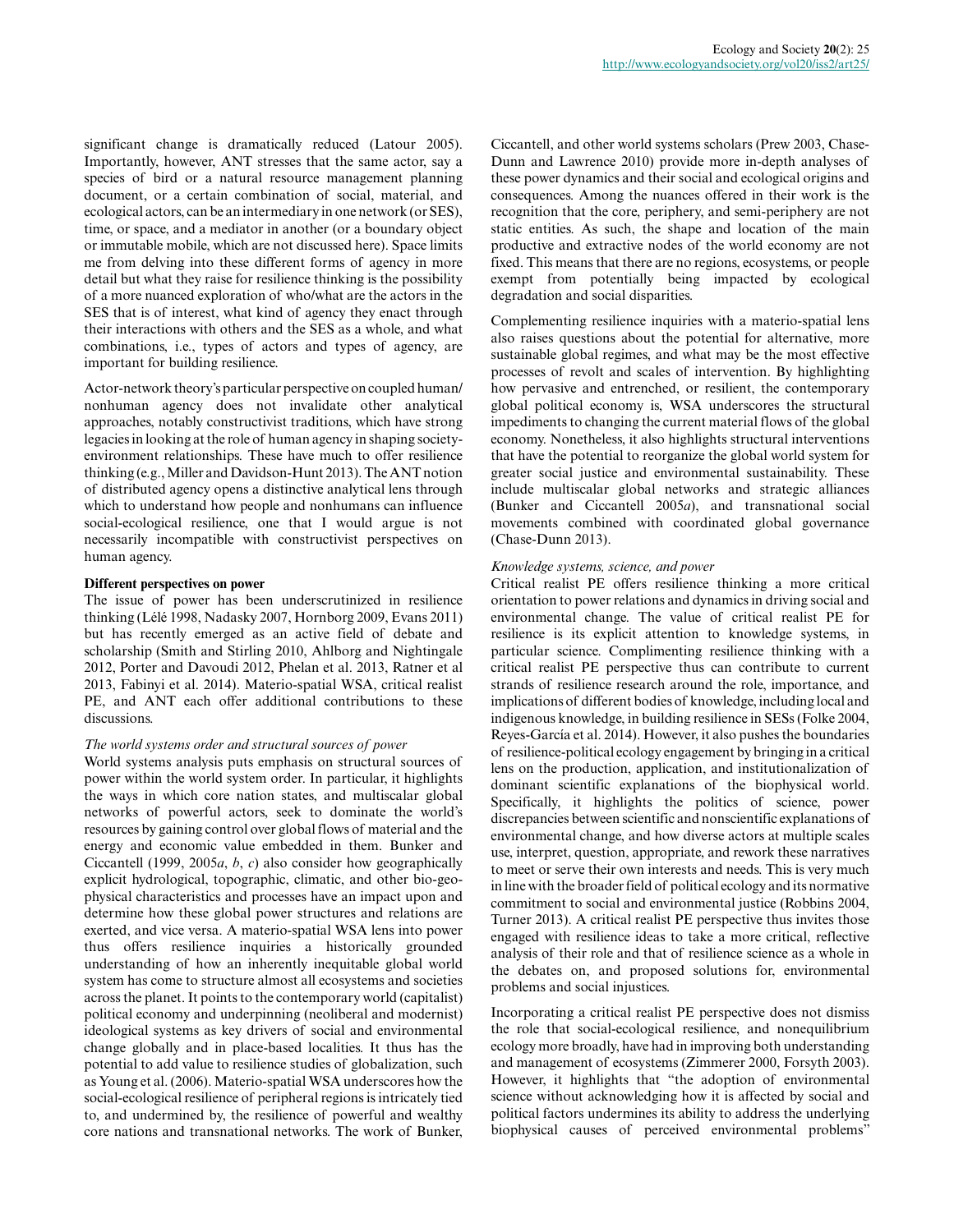significant change is dramatically reduced (Latour 2005). Importantly, however, ANT stresses that the same actor, say a species of bird or a natural resource management planning document, or a certain combination of social, material, and ecological actors, can be an intermediary in one network (or SES), time, or space, and a mediator in another (or a boundary object or immutable mobile, which are not discussed here). Space limits me from delving into these different forms of agency in more detail but what they raise for resilience thinking is the possibility of a more nuanced exploration of who/what are the actors in the SES that is of interest, what kind of agency they enact through their interactions with others and the SES as a whole, and what combinations, i.e., types of actors and types of agency, are important for building resilience.

Actor-network theory's particular perspective on coupled human/ nonhuman agency does not invalidate other analytical approaches, notably constructivist traditions, which have strong legacies in looking at the role of human agency in shaping societyenvironment relationships. These have much to offer resilience thinking (e.g., Miller and Davidson-Hunt 2013). The ANT notion of distributed agency opens a distinctive analytical lens through which to understand how people and nonhumans can influence social-ecological resilience, one that I would argue is not necessarily incompatible with constructivist perspectives on human agency.

### **Different perspectives on power**

The issue of power has been underscrutinized in resilience thinking (Lélé 1998, Nadasky 2007, Hornborg 2009, Evans 2011) but has recently emerged as an active field of debate and scholarship (Smith and Stirling 2010, Ahlborg and Nightingale 2012, Porter and Davoudi 2012, Phelan et al. 2013, Ratner et al 2013, Fabinyi et al. 2014). Materio-spatial WSA, critical realist PE, and ANT each offer additional contributions to these discussions.

#### *The world systems order and structural sources of power*

World systems analysis puts emphasis on structural sources of power within the world system order. In particular, it highlights the ways in which core nation states, and multiscalar global networks of powerful actors, seek to dominate the world's resources by gaining control over global flows of material and the energy and economic value embedded in them. Bunker and Ciccantell (1999, 2005*a*, *b*, *c*) also consider how geographically explicit hydrological, topographic, climatic, and other bio-geophysical characteristics and processes have an impact upon and determine how these global power structures and relations are exerted, and vice versa. A materio-spatial WSA lens into power thus offers resilience inquiries a historically grounded understanding of how an inherently inequitable global world system has come to structure almost all ecosystems and societies across the planet. It points to the contemporary world (capitalist) political economy and underpinning (neoliberal and modernist) ideological systems as key drivers of social and environmental change globally and in place-based localities. It thus has the potential to add value to resilience studies of globalization, such as Young et al. (2006). Materio-spatial WSA underscores how the social-ecological resilience of peripheral regions is intricately tied to, and undermined by, the resilience of powerful and wealthy core nations and transnational networks. The work of Bunker,

Ciccantell, and other world systems scholars (Prew 2003, Chase-Dunn and Lawrence 2010) provide more in-depth analyses of these power dynamics and their social and ecological origins and consequences. Among the nuances offered in their work is the recognition that the core, periphery, and semi-periphery are not static entities. As such, the shape and location of the main productive and extractive nodes of the world economy are not fixed. This means that there are no regions, ecosystems, or people exempt from potentially being impacted by ecological degradation and social disparities.

Complementing resilience inquiries with a materio-spatial lens also raises questions about the potential for alternative, more sustainable global regimes, and what may be the most effective processes of revolt and scales of intervention. By highlighting how pervasive and entrenched, or resilient, the contemporary global political economy is, WSA underscores the structural impediments to changing the current material flows of the global economy. Nonetheless, it also highlights structural interventions that have the potential to reorganize the global world system for greater social justice and environmental sustainability. These include multiscalar global networks and strategic alliances (Bunker and Ciccantell 2005*a*), and transnational social movements combined with coordinated global governance (Chase-Dunn 2013).

## *Knowledge systems, science, and power*

Critical realist PE offers resilience thinking a more critical orientation to power relations and dynamics in driving social and environmental change. The value of critical realist PE for resilience is its explicit attention to knowledge systems, in particular science. Complimenting resilience thinking with a critical realist PE perspective thus can contribute to current strands of resilience research around the role, importance, and implications of different bodies of knowledge, including local and indigenous knowledge, in building resilience in SESs (Folke 2004, Reyes-García et al. 2014). However, it also pushes the boundaries of resilience-political ecology engagement by bringing in a critical lens on the production, application, and institutionalization of dominant scientific explanations of the biophysical world. Specifically, it highlights the politics of science, power discrepancies between scientific and nonscientific explanations of environmental change, and how diverse actors at multiple scales use, interpret, question, appropriate, and rework these narratives to meet or serve their own interests and needs. This is very much in line with the broader field of political ecology and its normative commitment to social and environmental justice (Robbins 2004, Turner 2013). A critical realist PE perspective thus invites those engaged with resilience ideas to take a more critical, reflective analysis of their role and that of resilience science as a whole in the debates on, and proposed solutions for, environmental problems and social injustices.

Incorporating a critical realist PE perspective does not dismiss the role that social-ecological resilience, and nonequilibrium ecology more broadly, have had in improving both understanding and management of ecosystems (Zimmerer 2000, Forsyth 2003). However, it highlights that "the adoption of environmental science without acknowledging how it is affected by social and political factors undermines its ability to address the underlying biophysical causes of perceived environmental problems"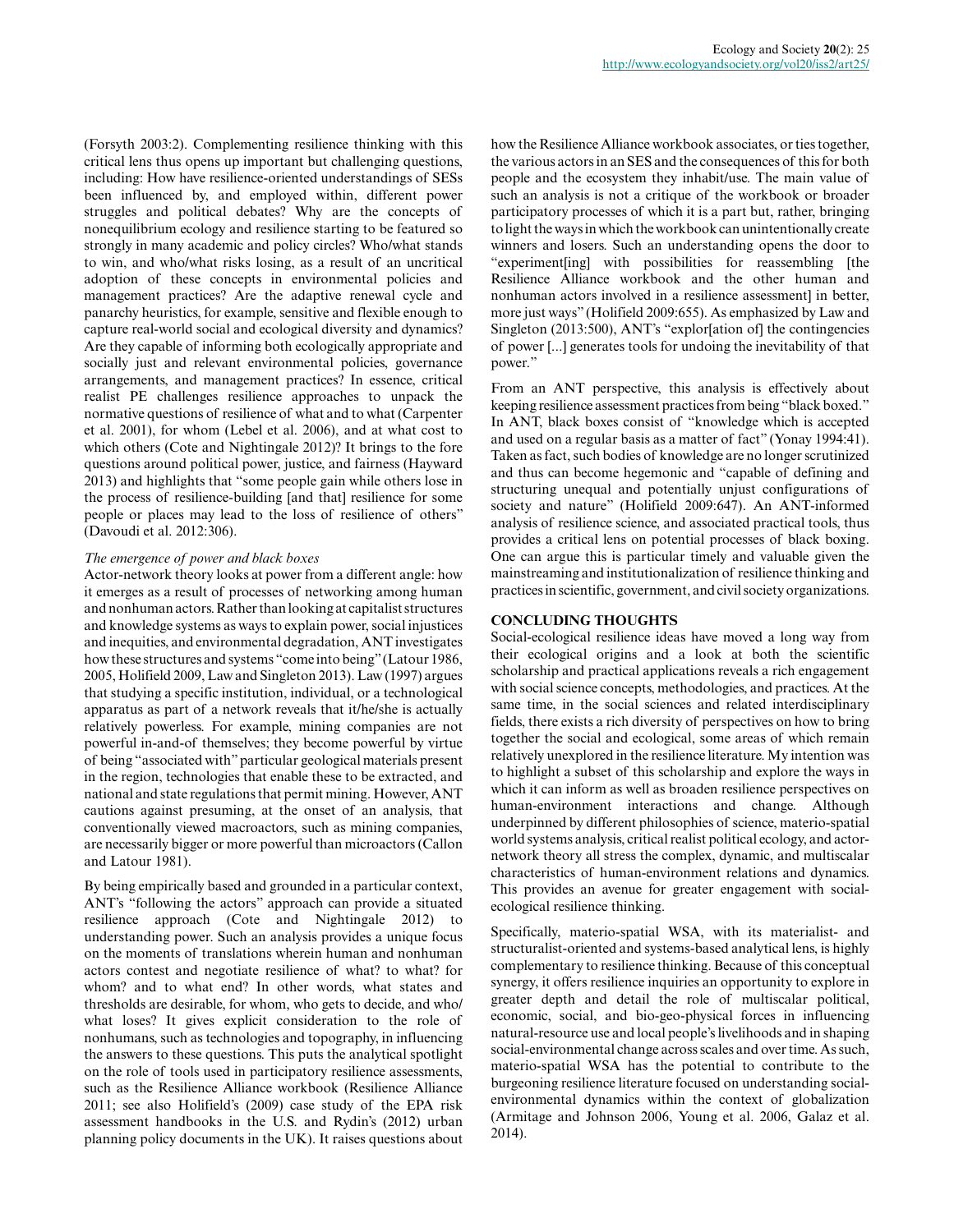(Forsyth 2003:2). Complementing resilience thinking with this critical lens thus opens up important but challenging questions, including: How have resilience-oriented understandings of SESs been influenced by, and employed within, different power struggles and political debates? Why are the concepts of nonequilibrium ecology and resilience starting to be featured so strongly in many academic and policy circles? Who/what stands to win, and who/what risks losing, as a result of an uncritical adoption of these concepts in environmental policies and management practices? Are the adaptive renewal cycle and panarchy heuristics, for example, sensitive and flexible enough to capture real-world social and ecological diversity and dynamics? Are they capable of informing both ecologically appropriate and socially just and relevant environmental policies, governance arrangements, and management practices? In essence, critical realist PE challenges resilience approaches to unpack the normative questions of resilience of what and to what (Carpenter et al. 2001), for whom (Lebel et al. 2006), and at what cost to which others (Cote and Nightingale 2012)? It brings to the fore questions around political power, justice, and fairness (Hayward 2013) and highlights that "some people gain while others lose in the process of resilience-building [and that] resilience for some people or places may lead to the loss of resilience of others" (Davoudi et al. 2012:306).

### *The emergence of power and black boxes*

Actor-network theory looks at power from a different angle: how it emerges as a result of processes of networking among human and nonhuman actors. Rather than looking at capitalist structures and knowledge systems as ways to explain power, social injustices and inequities, and environmental degradation, ANT investigates how these structures and systems "come into being" (Latour 1986, 2005, Holifield 2009, Law and Singleton 2013). Law (1997) argues that studying a specific institution, individual, or a technological apparatus as part of a network reveals that it/he/she is actually relatively powerless. For example, mining companies are not powerful in-and-of themselves; they become powerful by virtue of being "associated with" particular geological materials present in the region, technologies that enable these to be extracted, and national and state regulations that permit mining. However, ANT cautions against presuming, at the onset of an analysis, that conventionally viewed macroactors, such as mining companies, are necessarily bigger or more powerful than microactors (Callon and Latour 1981).

By being empirically based and grounded in a particular context, ANT's "following the actors" approach can provide a situated resilience approach (Cote and Nightingale 2012) to understanding power. Such an analysis provides a unique focus on the moments of translations wherein human and nonhuman actors contest and negotiate resilience of what? to what? for whom? and to what end? In other words, what states and thresholds are desirable, for whom, who gets to decide, and who/ what loses? It gives explicit consideration to the role of nonhumans, such as technologies and topography, in influencing the answers to these questions. This puts the analytical spotlight on the role of tools used in participatory resilience assessments, such as the Resilience Alliance workbook (Resilience Alliance 2011; see also Holifield's (2009) case study of the EPA risk assessment handbooks in the U.S. and Rydin's (2012) urban planning policy documents in the UK). It raises questions about how the Resilience Alliance workbook associates, or ties together, the various actors in an SES and the consequences of this for both people and the ecosystem they inhabit/use. The main value of such an analysis is not a critique of the workbook or broader participatory processes of which it is a part but, rather, bringing to light the ways in which the workbook can unintentionally create winners and losers. Such an understanding opens the door to "experiment[ing] with possibilities for reassembling [the Resilience Alliance workbook and the other human and nonhuman actors involved in a resilience assessment] in better, more just ways" (Holifield 2009:655). As emphasized by Law and Singleton (2013:500), ANT's "explor[ation of] the contingencies of power [...] generates tools for undoing the inevitability of that power."

From an ANT perspective, this analysis is effectively about keeping resilience assessment practices from being "black boxed." In ANT, black boxes consist of "knowledge which is accepted and used on a regular basis as a matter of fact" (Yonay 1994:41). Taken as fact, such bodies of knowledge are no longer scrutinized and thus can become hegemonic and "capable of defining and structuring unequal and potentially unjust configurations of society and nature" (Holifield 2009:647). An ANT-informed analysis of resilience science, and associated practical tools, thus provides a critical lens on potential processes of black boxing. One can argue this is particular timely and valuable given the mainstreaming and institutionalization of resilience thinking and practices in scientific, government, and civil society organizations.

## **CONCLUDING THOUGHTS**

Social-ecological resilience ideas have moved a long way from their ecological origins and a look at both the scientific scholarship and practical applications reveals a rich engagement with social science concepts, methodologies, and practices. At the same time, in the social sciences and related interdisciplinary fields, there exists a rich diversity of perspectives on how to bring together the social and ecological, some areas of which remain relatively unexplored in the resilience literature. My intention was to highlight a subset of this scholarship and explore the ways in which it can inform as well as broaden resilience perspectives on human-environment interactions and change. Although underpinned by different philosophies of science, materio-spatial world systems analysis, critical realist political ecology, and actornetwork theory all stress the complex, dynamic, and multiscalar characteristics of human-environment relations and dynamics. This provides an avenue for greater engagement with socialecological resilience thinking.

Specifically, materio-spatial WSA, with its materialist- and structuralist-oriented and systems-based analytical lens, is highly complementary to resilience thinking. Because of this conceptual synergy, it offers resilience inquiries an opportunity to explore in greater depth and detail the role of multiscalar political, economic, social, and bio-geo-physical forces in influencing natural-resource use and local people's livelihoods and in shaping social-environmental change across scales and over time. As such, materio-spatial WSA has the potential to contribute to the burgeoning resilience literature focused on understanding socialenvironmental dynamics within the context of globalization (Armitage and Johnson 2006, Young et al. 2006, Galaz et al. 2014).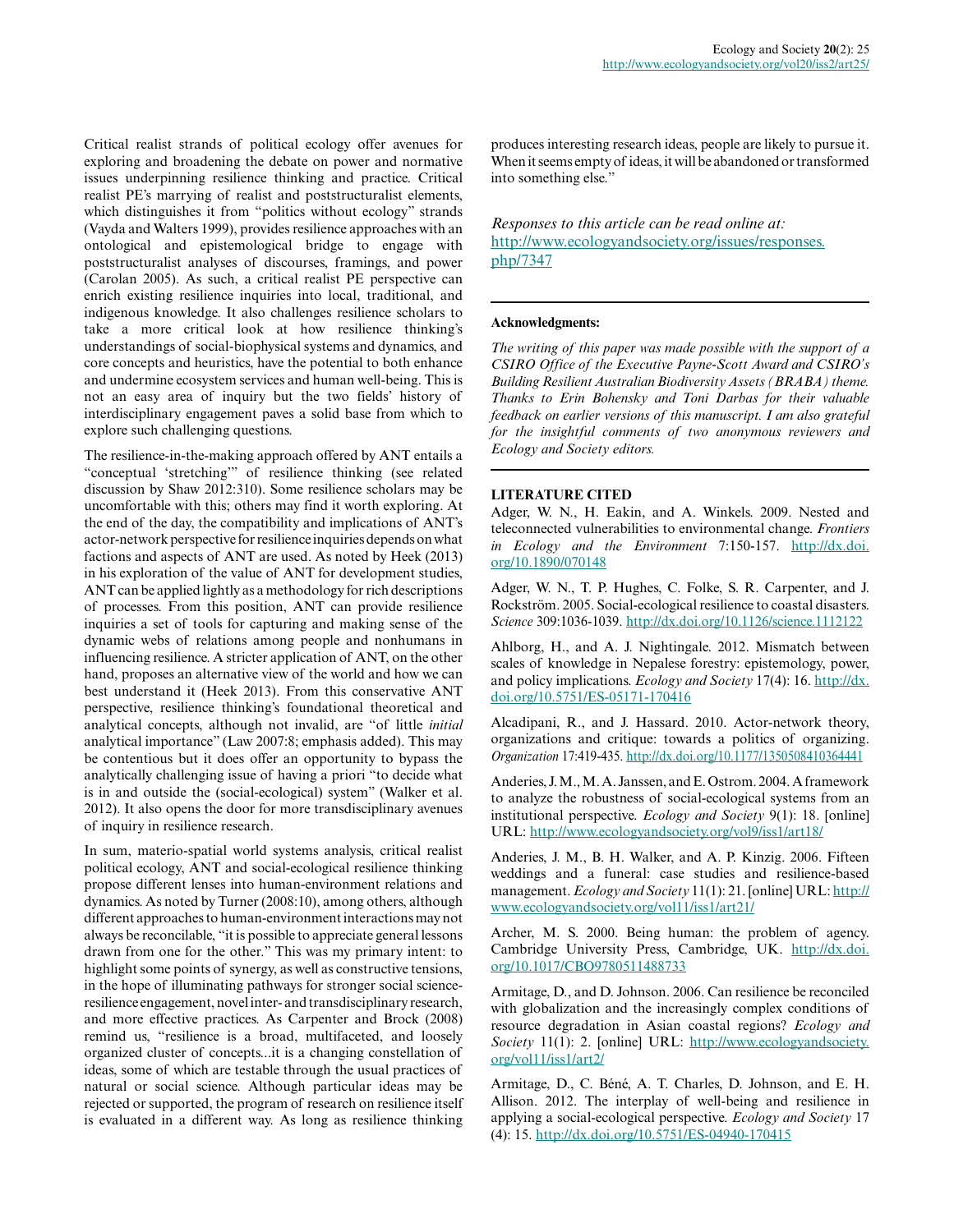Critical realist strands of political ecology offer avenues for exploring and broadening the debate on power and normative issues underpinning resilience thinking and practice. Critical realist PE's marrying of realist and poststructuralist elements, which distinguishes it from "politics without ecology" strands (Vayda and Walters 1999), provides resilience approaches with an ontological and epistemological bridge to engage with poststructuralist analyses of discourses, framings, and power (Carolan 2005). As such, a critical realist PE perspective can enrich existing resilience inquiries into local, traditional, and indigenous knowledge. It also challenges resilience scholars to take a more critical look at how resilience thinking's understandings of social-biophysical systems and dynamics, and core concepts and heuristics, have the potential to both enhance and undermine ecosystem services and human well-being. This is not an easy area of inquiry but the two fields' history of interdisciplinary engagement paves a solid base from which to explore such challenging questions.

The resilience-in-the-making approach offered by ANT entails a "conceptual 'stretching'" of resilience thinking (see related discussion by Shaw 2012:310). Some resilience scholars may be uncomfortable with this; others may find it worth exploring. At the end of the day, the compatibility and implications of ANT's actor-network perspective for resilience inquiries depends on what factions and aspects of ANT are used. As noted by Heek (2013) in his exploration of the value of ANT for development studies, ANT can be applied lightly as a methodology for rich descriptions of processes. From this position, ANT can provide resilience inquiries a set of tools for capturing and making sense of the dynamic webs of relations among people and nonhumans in influencing resilience. A stricter application of ANT, on the other hand, proposes an alternative view of the world and how we can best understand it (Heek 2013). From this conservative ANT perspective, resilience thinking's foundational theoretical and analytical concepts, although not invalid, are "of little *initial* analytical importance" (Law 2007:8; emphasis added). This may be contentious but it does offer an opportunity to bypass the analytically challenging issue of having a priori "to decide what is in and outside the (social-ecological) system" (Walker et al. 2012). It also opens the door for more transdisciplinary avenues of inquiry in resilience research.

In sum, materio-spatial world systems analysis, critical realist political ecology, ANT and social-ecological resilience thinking propose different lenses into human-environment relations and dynamics. As noted by Turner (2008:10), among others, although different approaches to human-environment interactions may not always be reconcilable, "it is possible to appreciate general lessons drawn from one for the other." This was my primary intent: to highlight some points of synergy, as well as constructive tensions, in the hope of illuminating pathways for stronger social scienceresilience engagement, novel inter- and transdisciplinary research, and more effective practices. As Carpenter and Brock (2008) remind us, "resilience is a broad, multifaceted, and loosely organized cluster of concepts...it is a changing constellation of ideas, some of which are testable through the usual practices of natural or social science. Although particular ideas may be rejected or supported, the program of research on resilience itself is evaluated in a different way. As long as resilience thinking

produces interesting research ideas, people are likely to pursue it. When it seems empty of ideas, it will be abandoned or transformed into something else."

# *Responses to this article can be read online at:* [http://www.ecologyandsociety.org/issues/responses.](http://www.ecologyandsociety.org/issues/responses.php/7347) [php/7347](http://www.ecologyandsociety.org/issues/responses.php/7347)

## **Acknowledgments:**

*The writing of this paper was made possible with the support of a CSIRO Office of the Executive Payne-Scott Award and CSIRO's Building Resilient Australian Biodiversity Assets (BRABA) theme. Thanks to Erin Bohensky and Toni Darbas for their valuable feedback on earlier versions of this manuscript. I am also grateful for the insightful comments of two anonymous reviewers and Ecology and Society editors.*

#### **LITERATURE CITED**

Adger, W. N., H. Eakin, and A. Winkels. 2009. Nested and teleconnected vulnerabilities to environmental change. *Frontiers in Ecology and the Environment* 7:150-157. [http://dx.doi.](http://dx.doi.org/10.1890%2F070148) [org/10.1890/070148](http://dx.doi.org/10.1890%2F070148)

Adger, W. N., T. P. Hughes, C. Folke, S. R. Carpenter, and J. Rockström. 2005. Social-ecological resilience to coastal disasters. *Science* 309:1036-1039. [http://dx.doi.org/10.1126/science.1112122](http://dx.doi.org/10.1126%2Fscience.1112122) 

Ahlborg, H., and A. J. Nightingale. 2012. Mismatch between scales of knowledge in Nepalese forestry: epistemology, power, and policy implications. *Ecology and Society* 17(4): 16. [http://dx.](http://dx.doi.org/10.5751%2FES-05171-170416) [doi.org/10.5751/ES-05171-170416](http://dx.doi.org/10.5751%2FES-05171-170416)

Alcadipani, R., and J. Hassard. 2010. Actor-network theory, organizations and critique: towards a politics of organizing. *Organization* 17:419-435. [http://dx.doi.org/10.1177/1350508410364441](http://dx.doi.org/10.1177%2F1350508410364441) 

Anderies, J. M., M. A. Janssen, and E. Ostrom. 2004. A framework to analyze the robustness of social-ecological systems from an institutional perspective. *Ecology and Society* 9(1): 18. [online] URL:<http://www.ecologyandsociety.org/vol9/iss1/art18/>

Anderies, J. M., B. H. Walker, and A. P. Kinzig. 2006. Fifteen weddings and a funeral: case studies and resilience-based management. *Ecology and Society* 11(1): 21. [online] URL: [http://](http://www.ecologyandsociety.org/vol11/iss1/art21/) [www.ecologyandsociety.org/vol11/iss1/art21/](http://www.ecologyandsociety.org/vol11/iss1/art21/)

Archer, M. S. 2000. Being human: the problem of agency. Cambridge University Press, Cambridge, UK. [http://dx.doi.](http://dx.doi.org/10.1017%2FCBO9780511488733) [org/10.1017/CBO9780511488733](http://dx.doi.org/10.1017%2FCBO9780511488733)

Armitage, D., and D. Johnson. 2006. Can resilience be reconciled with globalization and the increasingly complex conditions of resource degradation in Asian coastal regions? *Ecology and Society* 11(1): 2. [online] URL: [http://www.ecologyandsociety.](http://www.ecologyandsociety.org/vol11/iss1/art2/) [org/vol11/iss1/art2/](http://www.ecologyandsociety.org/vol11/iss1/art2/) 

Armitage, D., C. Béné, A. T. Charles, D. Johnson, and E. H. Allison. 2012. The interplay of well-being and resilience in applying a social-ecological perspective. *Ecology and Society* 17 (4): 15. [http://dx.doi.org/10.5751/ES-04940-170415](http://dx.doi.org/10.5751%2FES-04940-170415)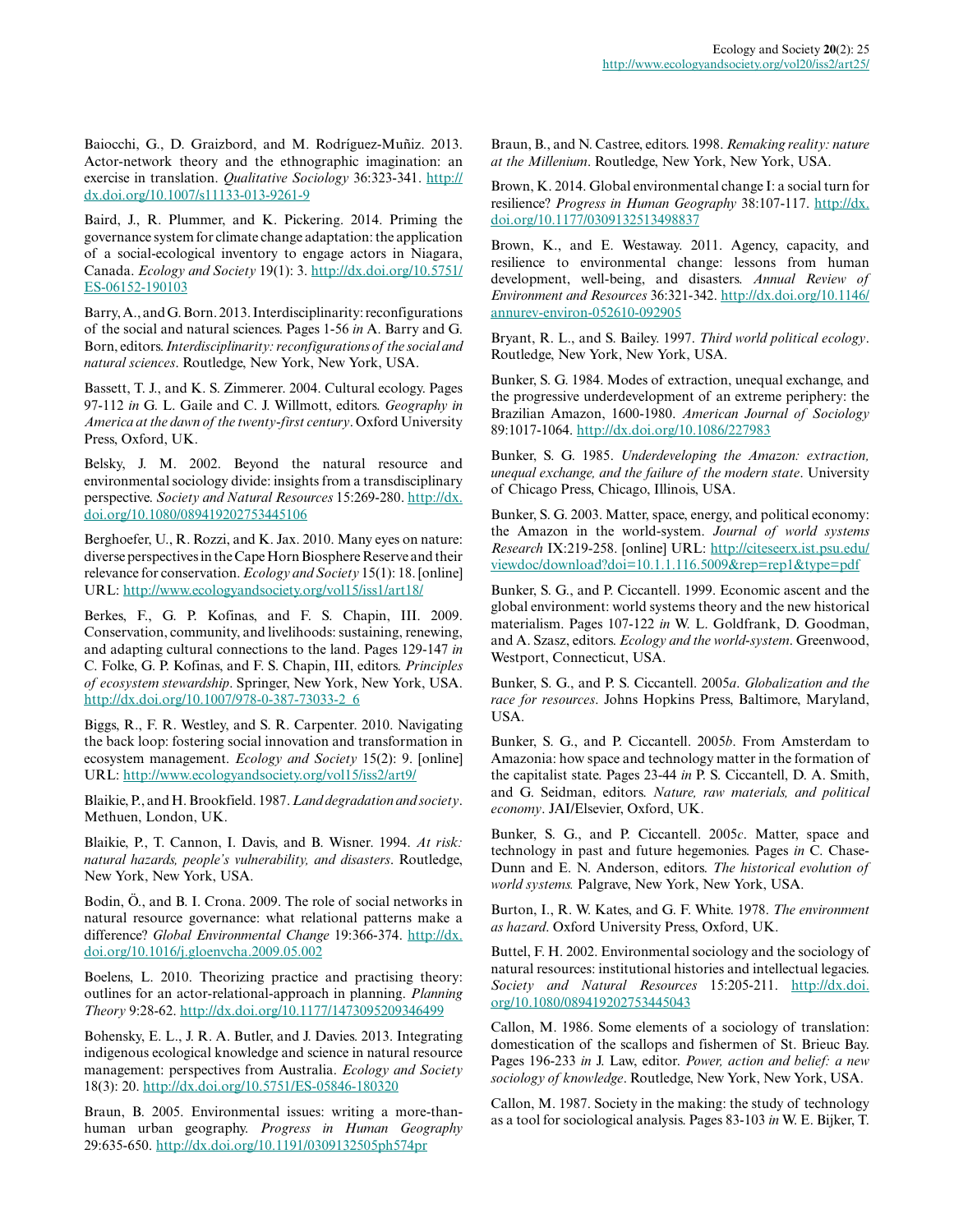Baiocchi, G., D. Graizbord, and M. Rodríguez-Muñiz. 2013. Actor-network theory and the ethnographic imagination: an exercise in translation. *Qualitative Sociology* 36:323-341. [http://](http://dx.doi.org/10.1007%2Fs11133-013-9261-9) [dx.doi.org/10.1007/s11133-013-9261-9](http://dx.doi.org/10.1007%2Fs11133-013-9261-9) 

Baird, J., R. Plummer, and K. Pickering. 2014. Priming the governance system for climate change adaptation: the application of a social-ecological inventory to engage actors in Niagara, Canada. *Ecology and Society* 19(1): 3. [http://dx.doi.org/10.5751/](http://dx.doi.org/10.5751%2FES-06152-190103) [ES-06152-190103](http://dx.doi.org/10.5751%2FES-06152-190103)

Barry, A., and G. Born. 2013. Interdisciplinarity: reconfigurations of the social and natural sciences. Pages 1-56 *in* A. Barry and G. Born, editors. *Interdisciplinarity: reconfigurations of the social and natural sciences*. Routledge, New York, New York, USA.

Bassett, T. J., and K. S. Zimmerer. 2004. Cultural ecology. Pages 97-112 *in* G. L. Gaile and C. J. Willmott, editors. *Geography in America at the dawn of the twenty-first century*. Oxford University Press, Oxford, UK.

Belsky, J. M. 2002. Beyond the natural resource and environmental sociology divide: insights from a transdisciplinary perspective. *Society and Natural Resources* 15:269-280. [http://dx.](http://dx.doi.org/10.1080%2F089419202753445106) [doi.org/10.1080/089419202753445106](http://dx.doi.org/10.1080%2F089419202753445106)

Berghoefer, U., R. Rozzi, and K. Jax. 2010. Many eyes on nature: diverse perspectives in the Cape Horn Biosphere Reserve and their relevance for conservation. *Ecology and Society* 15(1): 18. [online] URL:<http://www.ecologyandsociety.org/vol15/iss1/art18/>

Berkes, F., G. P. Kofinas, and F. S. Chapin, III. 2009. Conservation, community, and livelihoods: sustaining, renewing, and adapting cultural connections to the land. Pages 129-147 *in* C. Folke, G. P. Kofinas, and F. S. Chapin, III, editors. *Principles of ecosystem stewardship*. Springer, New York, New York, USA. [http://dx.doi.org/10.1007/978-0-387-73033-2\\_6](http://dx.doi.org/10.1007%2F978-0-387-73033-2_6) 

Biggs, R., F. R. Westley, and S. R. Carpenter. 2010. Navigating the back loop: fostering social innovation and transformation in ecosystem management. *Ecology and Society* 15(2): 9. [online] URL:<http://www.ecologyandsociety.org/vol15/iss2/art9/>

Blaikie, P., and H. Brookfield. 1987. *Land degradation and society*. Methuen, London, UK.

Blaikie, P., T. Cannon, I. Davis, and B. Wisner. 1994. *At risk: natural hazards, people's vulnerability, and disasters*. Routledge, New York, New York, USA.

Bodin, Ö., and B. I. Crona. 2009. The role of social networks in natural resource governance: what relational patterns make a difference? *Global Environmental Change* 19:366-374. [http://dx.](http://dx.doi.org/10.1016%2Fj.gloenvcha.2009.05.002) [doi.org/10.1016/j.gloenvcha.2009.05.002](http://dx.doi.org/10.1016%2Fj.gloenvcha.2009.05.002) 

Boelens, L. 2010. Theorizing practice and practising theory: outlines for an actor-relational-approach in planning. *Planning Theory* 9:28-62. [http://dx.doi.org/10.1177/1473095209346499](http://dx.doi.org/10.1177%2F1473095209346499) 

Bohensky, E. L., J. R. A. Butler, and J. Davies. 2013. Integrating indigenous ecological knowledge and science in natural resource management: perspectives from Australia. *Ecology and Society* 18(3): 20. [http://dx.doi.org/10.5751/ES-05846-180320](http://dx.doi.org/10.5751%2FES-05846-180320) 

Braun, B. 2005. Environmental issues: writing a more-thanhuman urban geography. *Progress in Human Geography* 29:635-650. [http://dx.doi.org/10.1191/0309132505ph574pr](http://dx.doi.org/10.1191%2F0309132505ph574pr)

Braun, B., and N. Castree, editors. 1998. *Remaking reality: nature at the Millenium*. Routledge, New York, New York, USA.

Brown, K. 2014. Global environmental change I: a social turn for resilience? *Progress in Human Geography* 38:107-117. [http://dx.](http://dx.doi.org/10.1177/0309132513498837) [doi.org/10.1177/0309132513498837](http://dx.doi.org/10.1177/0309132513498837)

Brown, K., and E. Westaway. 2011. Agency, capacity, and resilience to environmental change: lessons from human development, well-being, and disasters. *Annual Review of Environment and Resources* 36:321-342. [http://dx.doi.org/10.1146/](http://dx.doi.org/10.1146%2Fannurev-environ-052610-092905) [annurev-environ-052610-092905](http://dx.doi.org/10.1146%2Fannurev-environ-052610-092905)

Bryant, R. L., and S. Bailey. 1997. *Third world political ecology*. Routledge, New York, New York, USA.

Bunker, S. G. 1984. Modes of extraction, unequal exchange, and the progressive underdevelopment of an extreme periphery: the Brazilian Amazon, 1600-1980. *American Journal of Sociology* 89:1017-1064. [http://dx.doi.org/10.1086/227983](http://dx.doi.org/10.1086%2F227983)

Bunker, S. G. 1985. *Underdeveloping the Amazon: extraction, unequal exchange, and the failure of the modern state*. University of Chicago Press, Chicago, Illinois, USA.

Bunker, S. G. 2003. Matter, space, energy, and political economy: the Amazon in the world-system. *Journal of world systems Research* IX:219-258. [online] URL: [http://citeseerx.ist.psu.edu/](http://citeseerx.ist.psu.edu/viewdoc/download?doi=10.1.1.116.5009&rep=rep1&type=pdf) [viewdoc/download?doi=10.1.1.116.5009&rep=rep1&type=pdf](http://citeseerx.ist.psu.edu/viewdoc/download?doi=10.1.1.116.5009&rep=rep1&type=pdf)

Bunker, S. G., and P. Ciccantell. 1999. Economic ascent and the global environment: world systems theory and the new historical materialism. Pages 107-122 *in* W. L. Goldfrank, D. Goodman, and A. Szasz, editors. *Ecology and the world-system*. Greenwood, Westport, Connecticut, USA.

Bunker, S. G., and P. S. Ciccantell. 2005*a*. *Globalization and the race for resources*. Johns Hopkins Press, Baltimore, Maryland, USA.

Bunker, S. G., and P. Ciccantell. 2005*b*. From Amsterdam to Amazonia: how space and technology matter in the formation of the capitalist state. Pages 23-44 *in* P. S. Ciccantell, D. A. Smith, and G. Seidman, editors. *Nature, raw materials, and political economy*. JAI/Elsevier, Oxford, UK.

Bunker, S. G., and P. Ciccantell. 2005*c*. Matter, space and technology in past and future hegemonies. Pages *in* C. Chase-Dunn and E. N. Anderson, editors. *The historical evolution of world systems.* Palgrave, New York, New York, USA.

Burton, I., R. W. Kates, and G. F. White. 1978. *The environment as hazard*. Oxford University Press, Oxford, UK.

Buttel, F. H. 2002. Environmental sociology and the sociology of natural resources: institutional histories and intellectual legacies. *Society and Natural Resources* 15:205-211. [http://dx.doi.](http://dx.doi.org/10.1080%2F089419202753445043) [org/10.1080/089419202753445043](http://dx.doi.org/10.1080%2F089419202753445043)

Callon, M. 1986. Some elements of a sociology of translation: domestication of the scallops and fishermen of St. Brieuc Bay. Pages 196-233 *in* J. Law, editor. *Power, action and belief: a new sociology of knowledge*. Routledge, New York, New York, USA.

Callon, M. 1987. Society in the making: the study of technology as a tool for sociological analysis. Pages 83-103 *in* W. E. Bijker, T.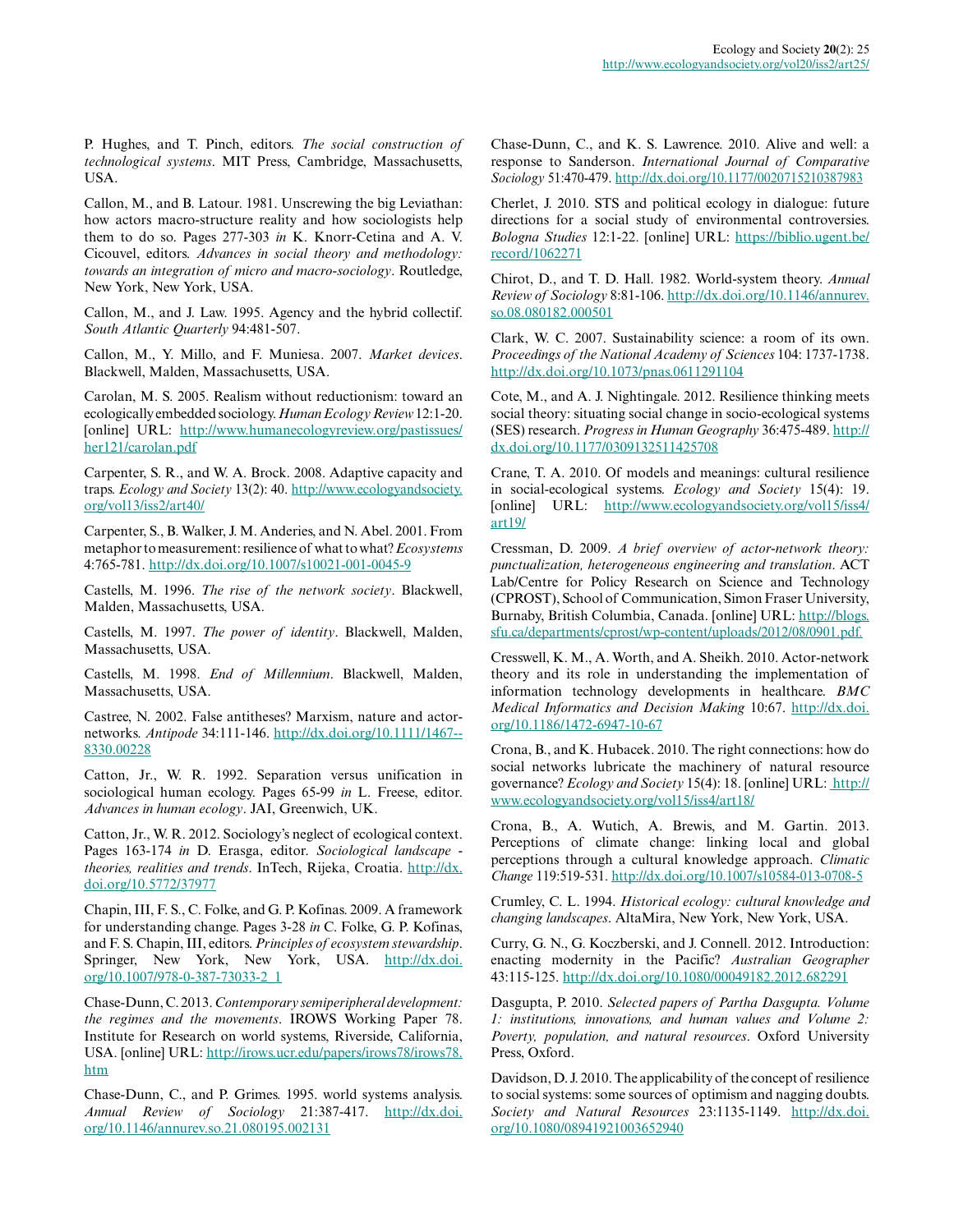P. Hughes, and T. Pinch, editors. *The social construction of technological systems*. MIT Press, Cambridge, Massachusetts, USA.

Callon, M., and B. Latour. 1981. Unscrewing the big Leviathan: how actors macro-structure reality and how sociologists help them to do so. Pages 277-303 *in* K. Knorr-Cetina and A. V. Cicouvel, editors. *Advances in social theory and methodology: towards an integration of micro and macro-sociology*. Routledge, New York, New York, USA.

Callon, M., and J. Law. 1995. Agency and the hybrid collectif. *South Atlantic Quarterly* 94:481-507.

Callon, M., Y. Millo, and F. Muniesa. 2007. *Market devices*. Blackwell, Malden, Massachusetts, USA.

Carolan, M. S. 2005. Realism without reductionism: toward an ecologically embedded sociology. *Human Ecology Review* 12:1-20. [online] URL: [http://www.humanecologyreview.org/pastissues/](http://www.humanecologyreview.org/pastissues/her121/carolan.pdf) [her121/carolan.pdf](http://www.humanecologyreview.org/pastissues/her121/carolan.pdf)

Carpenter, S. R., and W. A. Brock. 2008. Adaptive capacity and traps. *Ecology and Society* 13(2): 40. [http://www.ecologyandsociety.](http://www.ecologyandsociety.org/vol13/iss2/art40/) [org/vol13/iss2/art40/](http://www.ecologyandsociety.org/vol13/iss2/art40/)

Carpenter, S., B. Walker, J. M. Anderies, and N. Abel. 2001. From metaphor to measurement: resilience of what to what? *Ecosystems* 4:765-781. [http://dx.doi.org/10.1007/s10021-001-0045-9](http://dx.doi.org/10.1007%2Fs10021-001-0045-9) 

Castells, M. 1996. *The rise of the network society*. Blackwell, Malden, Massachusetts, USA.

Castells, M. 1997. *The power of identity*. Blackwell, Malden, Massachusetts, USA.

Castells, M. 1998. *End of Millennium*. Blackwell, Malden, Massachusetts, USA.

Castree, N. 2002. False antitheses? Marxism, nature and actornetworks. *Antipode* 34:111-146. [http://dx.doi.org/10.1111/1467-](http://dx.doi.org/10.1111%2F1467-8330.00228) [8330.00228](http://dx.doi.org/10.1111%2F1467-8330.00228) 

Catton, Jr., W. R. 1992. Separation versus unification in sociological human ecology. Pages 65-99 *in* L. Freese, editor. *Advances in human ecology*. JAI, Greenwich, UK.

Catton, Jr., W. R. 2012. Sociology's neglect of ecological context. Pages 163-174 *in* D. Erasga, editor. *Sociological landscape theories, realities and trends*. InTech, Rijeka, Croatia. [http://dx.](http://dx.doi.org/10.5772%2F37977) [doi.org/10.5772/37977](http://dx.doi.org/10.5772%2F37977) 

Chapin, III, F. S., C. Folke, and G. P. Kofinas. 2009. A framework for understanding change. Pages 3-28 *in* C. Folke, G. P. Kofinas, and F. S. Chapin, III, editors. *Principles of ecosystem stewardship*. Springer, New York, New York, USA. [http://dx.doi.](http://dx.doi.org/10.1007%2F978-0-387-73033-2_1) [org/10.1007/978-0-387-73033-2\\_1](http://dx.doi.org/10.1007%2F978-0-387-73033-2_1) 

Chase-Dunn, C. 2013. *Contemporary semiperipheral development: the regimes and the movements*. IROWS Working Paper 78. Institute for Research on world systems, Riverside, California, USA. [online] URL: [http://irows.ucr.edu/papers/irows78/irows78.](http://irows.ucr.edu/papers/irows78/irows78.htm) [htm](http://irows.ucr.edu/papers/irows78/irows78.htm)

Chase-Dunn, C., and P. Grimes. 1995. world systems analysis. *Annual Review of Sociology* 21:387-417. [http://dx.doi.](http://dx.doi.org/10.1146%2Fannurev.so.21.080195.002131) [org/10.1146/annurev.so.21.080195.002131](http://dx.doi.org/10.1146%2Fannurev.so.21.080195.002131) 

Chase-Dunn, C., and K. S. Lawrence. 2010. Alive and well: a response to Sanderson. *International Journal of Comparative Sociology* 51:470-479. [http://dx.doi.org/10.1177/0020715210387983](http://dx.doi.org/10.1177%2F0020715210387983) 

Cherlet, J. 2010. STS and political ecology in dialogue: future directions for a social study of environmental controversies. *Bologna Studies* 12:1-22. [online] URL: [https://biblio.ugent.be/](https://biblio.ugent.be/record/1062271) [record/1062271](https://biblio.ugent.be/record/1062271) 

Chirot, D., and T. D. Hall. 1982. World-system theory. *Annual Review of Sociology* 8:81-106. [http://dx.doi.org/10.1146/annurev.](http://dx.doi.org/10.1146%2Fannurev.so.08.080182.000501) [so.08.080182.000501](http://dx.doi.org/10.1146%2Fannurev.so.08.080182.000501)

Clark, W. C. 2007. Sustainability science: a room of its own. *Proceedings of the National Academy of Sciences* 104: 1737-1738. [http://dx.doi.org/10.1073/pnas.0611291104](http://dx.doi.org/10.1073%2Fpnas.0611291104)

Cote, M., and A. J. Nightingale. 2012. Resilience thinking meets social theory: situating social change in socio-ecological systems (SES) research. *Progress in Human Geography* 36:475-489. [http://](http://dx.doi.org/10.1177%2F0309132511425708) [dx.doi.org/10.1177/0309132511425708](http://dx.doi.org/10.1177%2F0309132511425708) 

Crane, T. A. 2010. Of models and meanings: cultural resilience in social-ecological systems. *Ecology and Society* 15(4): 19. [online] URL: [http://www.ecologyandsociety.org/vol15/iss4/](http://www.ecologyandsociety.org/vol15/iss4/art19/) [art19/](http://www.ecologyandsociety.org/vol15/iss4/art19/)

Cressman, D. 2009. *A brief overview of actor-network theory: punctualization, heterogeneous engineering and translation*. ACT Lab/Centre for Policy Research on Science and Technology (CPROST), School of Communication, Simon Fraser University, Burnaby, British Columbia, Canada. [online] URL: [http://blogs.](http://blogs.sfu.ca/departments/cprost/wp-content/uploads/2012/08/0901.pdf) [sfu.ca/departments/cprost/wp-content/uploads/2012/08/0901.pdf.](http://blogs.sfu.ca/departments/cprost/wp-content/uploads/2012/08/0901.pdf) 

Cresswell, K. M., A. Worth, and A. Sheikh. 2010. Actor-network theory and its role in understanding the implementation of information technology developments in healthcare. *BMC Medical Informatics and Decision Making* 10:67. [http://dx.doi.](http://dx.doi.org/10.1186%2F1472-6947-10-67) [org/10.1186/1472-6947-10-67](http://dx.doi.org/10.1186%2F1472-6947-10-67)

Crona, B., and K. Hubacek. 2010. The right connections: how do social networks lubricate the machinery of natural resource governance? *Ecology and Society* 15(4): 18. [online] URL: [http://](http://www.ecologyandsociety.org/vol15/iss4/art18/) [www.ecologyandsociety.org/vol15/iss4/art18/](http://www.ecologyandsociety.org/vol15/iss4/art18/)

Crona, B., A. Wutich, A. Brewis, and M. Gartin. 2013. Perceptions of climate change: linking local and global perceptions through a cultural knowledge approach. *Climatic Change* 119:519-531. [http://dx.doi.org/10.1007/s10584-013-0708-5](http://dx.doi.org/10.1007%2Fs10584-013-0708-5) 

Crumley, C. L. 1994. *Historical ecology: cultural knowledge and changing landscapes*. AltaMira, New York, New York, USA.

Curry, G. N., G. Koczberski, and J. Connell. 2012. Introduction: enacting modernity in the Pacific? *Australian Geographer* 43:115-125. [http://dx.doi.org/10.1080/00049182.2012.682291](http://dx.doi.org/10.1080%2F00049182.2012.682291)

Dasgupta, P. 2010. *Selected papers of Partha Dasgupta. Volume 1: institutions, innovations, and human values and Volume 2: Poverty, population, and natural resources*. Oxford University Press, Oxford.

Davidson, D. J. 2010. The applicability of the concept of resilience to social systems: some sources of optimism and nagging doubts. *Society and Natural Resources* 23:1135-1149. [http://dx.doi.](http://dx.doi.org/10.1080%2F08941921003652940) [org/10.1080/08941921003652940](http://dx.doi.org/10.1080%2F08941921003652940)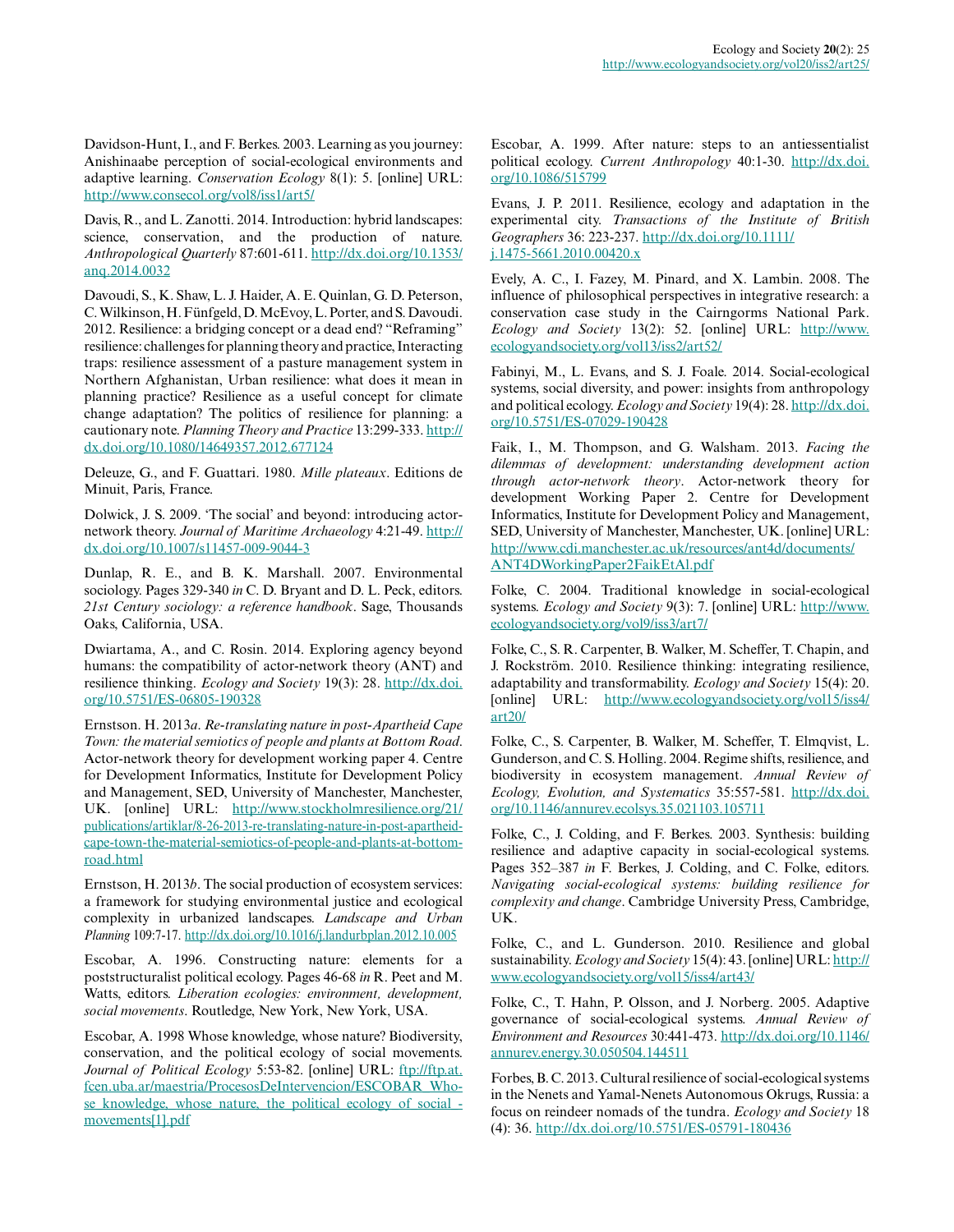Davidson-Hunt, I., and F. Berkes. 2003. Learning as you journey: Anishinaabe perception of social-ecological environments and adaptive learning. *Conservation Ecology* 8(1): 5. [online] URL: <http://www.consecol.org/vol8/iss1/art5/>

Davis, R., and L. Zanotti. 2014. Introduction: hybrid landscapes: science, conservation, and the production of nature. *Anthropological Quarterly* 87:601-611. [http://dx.doi.org/10.1353/](http://dx.doi.org/10.1353%2Fanq.2014.0032) [anq.2014.0032](http://dx.doi.org/10.1353%2Fanq.2014.0032)

Davoudi, S., K. Shaw, L. J. Haider, A. E. Quinlan, G. D. Peterson, C. Wilkinson, H. Fünfgeld, D. McEvoy, L. Porter, and S. Davoudi. 2012. Resilience: a bridging concept or a dead end? "Reframing" resilience: challenges for planning theory and practice, Interacting traps: resilience assessment of a pasture management system in Northern Afghanistan, Urban resilience: what does it mean in planning practice? Resilience as a useful concept for climate change adaptation? The politics of resilience for planning: a cautionary note. *Planning Theory and Practice* 13:299-333. [http://](http://dx.doi.org/10.1080%2F14649357.2012.677124) [dx.doi.org/10.1080/14649357.2012.677124](http://dx.doi.org/10.1080%2F14649357.2012.677124) 

Deleuze, G., and F. Guattari. 1980. *Mille plateaux*. Editions de Minuit, Paris, France.

Dolwick, J. S. 2009. 'The social' and beyond: introducing actornetwork theory. *Journal of Maritime Archaeology* 4:21-49. [http://](http://dx.doi.org/10.1007%2Fs11457-009-9044-3) [dx.doi.org/10.1007/s11457-009-9044-3](http://dx.doi.org/10.1007%2Fs11457-009-9044-3) 

Dunlap, R. E., and B. K. Marshall. 2007. Environmental sociology. Pages 329-340 *in* C. D. Bryant and D. L. Peck, editors. *21st Century sociology: a reference handbook*. Sage, Thousands Oaks, California, USA.

Dwiartama, A., and C. Rosin. 2014. Exploring agency beyond humans: the compatibility of actor-network theory (ANT) and resilience thinking. *Ecology and Society* 19(3): 28. [http://dx.doi.](http://dx.doi.org/10.5751%2FES-06805-190328) [org/10.5751/ES-06805-190328](http://dx.doi.org/10.5751%2FES-06805-190328) 

Ernstson. H. 2013*a*. *Re-translating nature in post-Apartheid Cape Town: the material semiotics of people and plants at Bottom Road*. Actor-network theory for development working paper 4. Centre for Development Informatics, Institute for Development Policy and Management, SED, University of Manchester, Manchester, UK. [online] URL: [http://www.stockholmresilience.org/21/](http://www.stockholmresilience.org/21/publications/artiklar/8-26-2013-re-translating-nature-in-post-apartheid-cape-town-the-material-semiotics-of-people-and-plants-at-bottom-road.html) [publications/artiklar/8-26-2013-re-translating-nature-in-post-apartheid](http://www.stockholmresilience.org/21/publications/artiklar/8-26-2013-re-translating-nature-in-post-apartheid-cape-town-the-material-semiotics-of-people-and-plants-at-bottom-road.html)[cape-town-the-material-semiotics-of-people-and-plants-at-bottom](http://www.stockholmresilience.org/21/publications/artiklar/8-26-2013-re-translating-nature-in-post-apartheid-cape-town-the-material-semiotics-of-people-and-plants-at-bottom-road.html)[road.html](http://www.stockholmresilience.org/21/publications/artiklar/8-26-2013-re-translating-nature-in-post-apartheid-cape-town-the-material-semiotics-of-people-and-plants-at-bottom-road.html) 

Ernstson, H. 2013*b*. The social production of ecosystem services: a framework for studying environmental justice and ecological complexity in urbanized landscapes. *Landscape and Urban Planning* 109:7-17. [http://dx.doi.org/10.1016/j.landurbplan.2012.10.005](http://dx.doi.org/10.1016%2Fj.landurbplan.2012.10.005)

Escobar, A. 1996. Constructing nature: elements for a poststructuralist political ecology. Pages 46-68 *in* R. Peet and M. Watts, editors. *Liberation ecologies: environment, development, social movements*. Routledge, New York, New York, USA.

Escobar, A. 1998 Whose knowledge, whose nature? Biodiversity, conservation, and the political ecology of social movements. *Journal of Political Ecology* 5:53-82. [online] URL: [ftp://ftp.at.](ftp://ftp.at.fcen.uba.ar/maestria/ProcesosDeIntervencion/ESCOBAR_Whose_knowledge,_whose_nature,_the_political_ecology_of_social_movements[1].pdf) [fcen.uba.ar/maestria/ProcesosDeIntervencion/ESCOBAR\\_Who](ftp://ftp.at.fcen.uba.ar/maestria/ProcesosDeIntervencion/ESCOBAR_Whose_knowledge,_whose_nature,_the_political_ecology_of_social_movements[1].pdf)[se\\_knowledge,\\_whose\\_nature,\\_the\\_political\\_ecology\\_of\\_social\\_](ftp://ftp.at.fcen.uba.ar/maestria/ProcesosDeIntervencion/ESCOBAR_Whose_knowledge,_whose_nature,_the_political_ecology_of_social_movements[1].pdf)[movements\[1\].pdf](ftp://ftp.at.fcen.uba.ar/maestria/ProcesosDeIntervencion/ESCOBAR_Whose_knowledge,_whose_nature,_the_political_ecology_of_social_movements[1].pdf)

Escobar, A. 1999. After nature: steps to an antiessentialist political ecology. *Current Anthropology* 40:1-30. [http://dx.doi.](http://dx.doi.org/10.1086%2F515799) [org/10.1086/515799](http://dx.doi.org/10.1086%2F515799)

Evans, J. P. 2011. Resilience, ecology and adaptation in the experimental city. *Transactions of the Institute of British Geographers* 36: 223-237. [http://dx.doi.org/10.1111/](http://dx.doi.org/10.1111%2Fj.1475-5661.2010.00420.x) [j.1475-5661.2010.00420.x](http://dx.doi.org/10.1111%2Fj.1475-5661.2010.00420.x)

Evely, A. C., I. Fazey, M. Pinard, and X. Lambin. 2008. The influence of philosophical perspectives in integrative research: a conservation case study in the Cairngorms National Park. *Ecology and Society* 13(2): 52. [online] URL: [http://www.](http://www.ecologyandsociety.org/vol13/iss2/art52/) [ecologyandsociety.org/vol13/iss2/art52/](http://www.ecologyandsociety.org/vol13/iss2/art52/)

Fabinyi, M., L. Evans, and S. J. Foale. 2014. Social-ecological systems, social diversity, and power: insights from anthropology and political ecology. *Ecology and Society* 19(4): 28. [http://dx.doi.](http://dx.doi.org/10.5751/ES-07029-190428) [org/10.5751/ES-07029-190428](http://dx.doi.org/10.5751/ES-07029-190428) 

Faik, I., M. Thompson, and G. Walsham. 2013. *Facing the dilemmas of development: understanding development action through actor-network theory*. Actor-network theory for development Working Paper 2. Centre for Development Informatics, Institute for Development Policy and Management, SED, University of Manchester, Manchester, UK. [online] URL: [http://www.cdi.manchester.ac.uk/resources/ant4d/documents/](http://www.cdi.manchester.ac.uk/resources/ant4d/documents/ANT4DWorkingPaper2FaikEtAl.pdf) [ANT4DWorkingPaper2FaikEtAl.pdf](http://www.cdi.manchester.ac.uk/resources/ant4d/documents/ANT4DWorkingPaper2FaikEtAl.pdf)

Folke, C. 2004. Traditional knowledge in social-ecological systems. *Ecology and Society* 9(3): 7. [online] URL: [http://www.](http://www.ecologyandsociety.org/vol9/iss3/art7/) [ecologyandsociety.org/vol9/iss3/art7/](http://www.ecologyandsociety.org/vol9/iss3/art7/)

Folke, C., S. R. Carpenter, B. Walker, M. Scheffer, T. Chapin, and J. Rockström. 2010. Resilience thinking: integrating resilience, adaptability and transformability. *Ecology and Society* 15(4): 20. [online] URL: [http://www.ecologyandsociety.org/vol15/iss4/](http://www.ecologyandsociety.org/vol15/iss4/art20/) [art20/](http://www.ecologyandsociety.org/vol15/iss4/art20/)

Folke, C., S. Carpenter, B. Walker, M. Scheffer, T. Elmqvist, L. Gunderson, and C. S. Holling. 2004. Regime shifts, resilience, and biodiversity in ecosystem management. *Annual Review of Ecology, Evolution, and Systematics* 35:557-581. [http://dx.doi.](http://dx.doi.org/10.1146%2Fannurev.ecolsys.35.021103.105711) [org/10.1146/annurev.ecolsys.35.021103.105711](http://dx.doi.org/10.1146%2Fannurev.ecolsys.35.021103.105711)

Folke, C., J. Colding, and F. Berkes. 2003. Synthesis: building resilience and adaptive capacity in social-ecological systems. Pages 352–387 *in* F. Berkes, J. Colding, and C. Folke, editors. *Navigating social-ecological systems: building resilience for complexity and change*. Cambridge University Press, Cambridge, UK.

Folke, C., and L. Gunderson. 2010. Resilience and global sustainability. *Ecology and Society* 15(4): 43. [online] URL: [http://](http://www.ecologyandsociety.org/vol15/iss4/art43/) [www.ecologyandsociety.org/vol15/iss4/art43/](http://www.ecologyandsociety.org/vol15/iss4/art43/)

Folke, C., T. Hahn, P. Olsson, and J. Norberg. 2005. Adaptive governance of social-ecological systems. *Annual Review of Environment and Resources* 30:441-473. [http://dx.doi.org/10.1146/](http://dx.doi.org/10.1146%2Fannurev.energy.30.050504.144511) [annurev.energy.30.050504.144511](http://dx.doi.org/10.1146%2Fannurev.energy.30.050504.144511) 

Forbes, B. C. 2013. Cultural resilience of social-ecological systems in the Nenets and Yamal-Nenets Autonomous Okrugs, Russia: a focus on reindeer nomads of the tundra. *Ecology and Society* 18 (4): 36. [http://dx.doi.org/10.5751/ES-05791-180436](http://dx.doi.org/10.5751%2FES-05791-180436)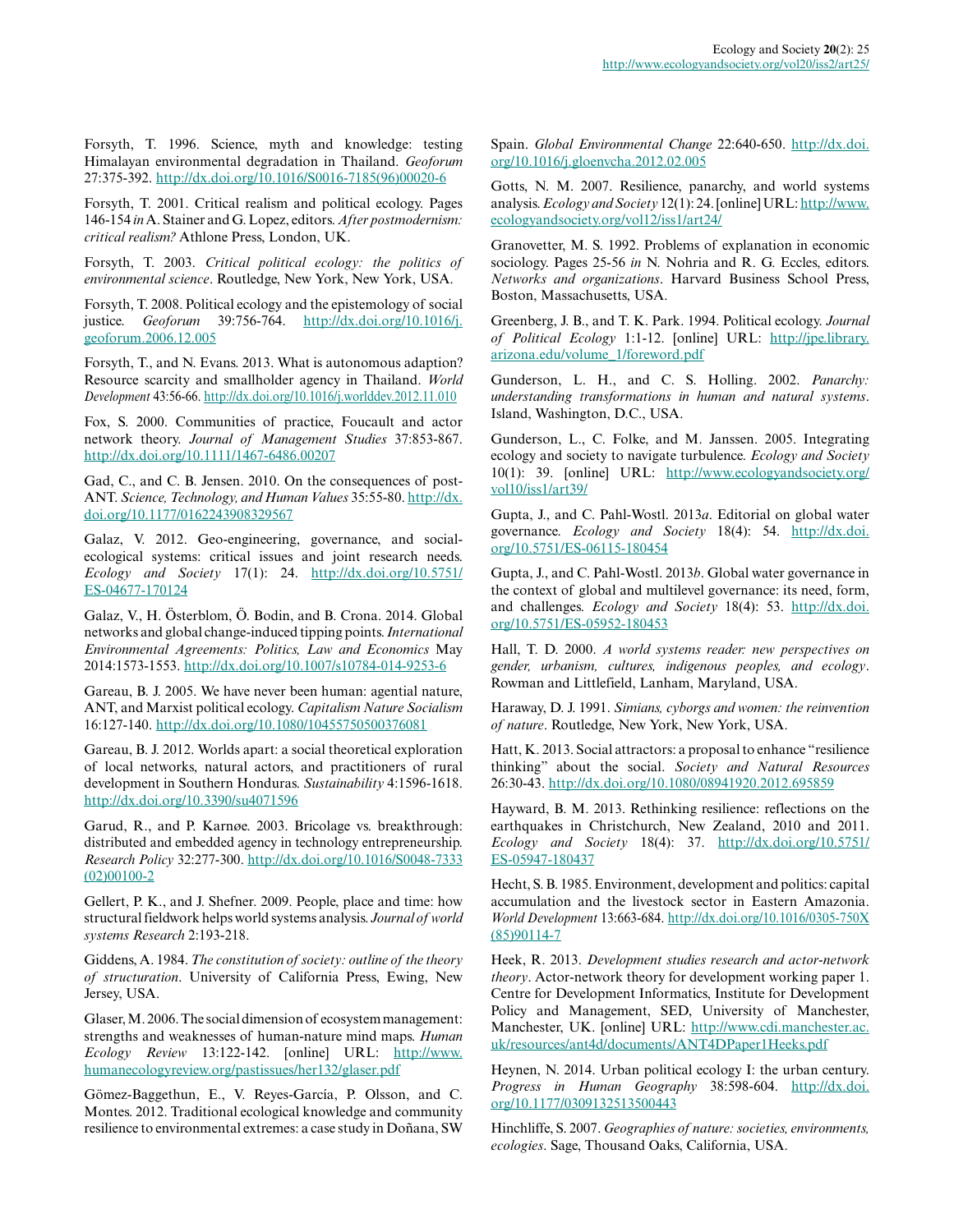Forsyth, T. 1996. Science, myth and knowledge: testing Himalayan environmental degradation in Thailand. *Geoforum* 27:375-392. [http://dx.doi.org/10.1016/S0016-7185\(96\)00020-6](http://dx.doi.org/10.1016%2FS0016-7185%2896%2900020-6)

Forsyth, T. 2001. Critical realism and political ecology. Pages 146-154 *in* A. Stainer and G. Lopez, editors. *After postmodernism: critical realism?* Athlone Press, London, UK.

Forsyth, T. 2003. *Critical political ecology: the politics of environmental science*. Routledge, New York, New York, USA.

Forsyth, T. 2008. Political ecology and the epistemology of social justice. *Geoforum* 39:756-764. [http://dx.doi.org/10.1016/j.](http://dx.doi.org/10.1016%2Fj.geoforum.2006.12.005) [geoforum.2006.12.005](http://dx.doi.org/10.1016%2Fj.geoforum.2006.12.005) 

Forsyth, T., and N. Evans. 2013. What is autonomous adaption? Resource scarcity and smallholder agency in Thailand. *World Development* 43:56-66. [http://dx.doi.org/10.1016/j.worlddev.2012.11.010](http://dx.doi.org/10.1016%2Fj.worlddev.2012.11.010)

Fox, S. 2000. Communities of practice, Foucault and actor network theory. *Journal of Management Studies* 37:853-867. [http://dx.doi.org/10.1111/1467-6486.00207](http://dx.doi.org/10.1111%2F1467-6486.00207)

Gad, C., and C. B. Jensen. 2010. On the consequences of post-ANT. *Science, Technology, and Human Values* 35:55-80. [http://dx.](http://dx.doi.org/10.1177%2F0162243908329567) [doi.org/10.1177/0162243908329567](http://dx.doi.org/10.1177%2F0162243908329567)

Galaz, V. 2012. Geo-engineering, governance, and socialecological systems: critical issues and joint research needs. *Ecology and Society* 17(1): 24. [http://dx.doi.org/10.5751/](http://dx.doi.org/10.5751%2FES-04677-170124) [ES-04677-170124](http://dx.doi.org/10.5751%2FES-04677-170124)

Galaz, V., H. Österblom, Ö. Bodin, and B. Crona. 2014. Global networks and global change-induced tipping points. *International Environmental Agreements: Politics, Law and Economics* May 2014:1573-1553. [http://dx.doi.org/10.1007/s10784-014-9253-6](http://dx.doi.org/10.1007%2Fs10784-014-9253-6)

Gareau, B. J. 2005. We have never been human: agential nature, ANT, and Marxist political ecology. *Capitalism Nature Socialism* 16:127-140. [http://dx.doi.org/10.1080/10455750500376081](http://dx.doi.org/10.1080%2F10455750500376081) 

Gareau, B. J. 2012. Worlds apart: a social theoretical exploration of local networks, natural actors, and practitioners of rural development in Southern Honduras. *Sustainability* 4:1596-1618. [http://dx.doi.org/10.3390/su4071596](http://dx.doi.org/10.3390%2Fsu4071596)

Garud, R., and P. Karnøe. 2003. Bricolage vs. breakthrough: distributed and embedded agency in technology entrepreneurship. *Research Policy* 32:277-300. [http://dx.doi.org/10.1016/S0048-7333](http://dx.doi.org/10.1016%2FS0048-7333%2802%2900100-2) [\(02\)00100-2](http://dx.doi.org/10.1016%2FS0048-7333%2802%2900100-2) 

Gellert, P. K., and J. Shefner. 2009. People, place and time: how structural fieldwork helps world systems analysis. *Journal of world systems Research* 2:193-218.

Giddens, A. 1984. *The constitution of society: outline of the theory of structuration*. University of California Press, Ewing, New Jersey, USA.

Glaser, M. 2006. The social dimension of ecosystem management: strengths and weaknesses of human-nature mind maps. *Human Ecology Review* 13:122-142. [online] URL: [http://www.](http://www.humanecologyreview.org/pastissues/her132/glaser.pdf) [humanecologyreview.org/pastissues/her132/glaser.pdf](http://www.humanecologyreview.org/pastissues/her132/glaser.pdf)

Gömez-Baggethun, E., V. Reyes-García, P. Olsson, and C. Montes. 2012. Traditional ecological knowledge and community resilience to environmental extremes: a case study in Doñana, SW Spain. *Global Environmental Change* 22:640-650. [http://dx.doi.](http://dx.doi.org/10.1016%2Fj.gloenvcha.2012.02.005) [org/10.1016/j.gloenvcha.2012.02.005](http://dx.doi.org/10.1016%2Fj.gloenvcha.2012.02.005)

Gotts, N. M. 2007. Resilience, panarchy, and world systems analysis. *Ecology and Society* 12(1): 24. [online] URL: [http://www.](http://www.ecologyandsociety.org/vol12/iss1/art24/) [ecologyandsociety.org/vol12/iss1/art24/](http://www.ecologyandsociety.org/vol12/iss1/art24/)

Granovetter, M. S. 1992. Problems of explanation in economic sociology. Pages 25-56 *in* N. Nohria and R. G. Eccles, editors. *Networks and organizations*. Harvard Business School Press, Boston, Massachusetts, USA.

Greenberg, J. B., and T. K. Park. 1994. Political ecology. *Journal of Political Ecology* 1:1-12. [online] URL: [http://jpe.library.](http://jpe.library.arizona.edu/volume_1/foreword.pdf) [arizona.edu/volume\\_1/foreword.pdf](http://jpe.library.arizona.edu/volume_1/foreword.pdf)

Gunderson, L. H., and C. S. Holling. 2002. *Panarchy: understanding transformations in human and natural systems*. Island, Washington, D.C., USA.

Gunderson, L., C. Folke, and M. Janssen. 2005. Integrating ecology and society to navigate turbulence. *Ecology and Society* 10(1): 39. [online] URL: [http://www.ecologyandsociety.org/](http://www.ecologyandsociety.org/vol10/iss1/art39/) [vol10/iss1/art39/](http://www.ecologyandsociety.org/vol10/iss1/art39/)

Gupta, J., and C. Pahl-Wostl. 2013*a*. Editorial on global water governance. *Ecology and Society* 18(4): 54. [http://dx.doi.](http://dx.doi.org/10.5751%2FES-06115-180454) [org/10.5751/ES-06115-180454](http://dx.doi.org/10.5751%2FES-06115-180454) 

Gupta, J., and C. Pahl-Wostl. 2013*b*. Global water governance in the context of global and multilevel governance: its need, form, and challenges. *Ecology and Society* 18(4): 53. [http://dx.doi.](http://dx.doi.org/10.5751%2FES-05952-180453) [org/10.5751/ES-05952-180453](http://dx.doi.org/10.5751%2FES-05952-180453) 

Hall, T. D. 2000. *A world systems reader: new perspectives on gender, urbanism, cultures, indigenous peoples, and ecology*. Rowman and Littlefield, Lanham, Maryland, USA.

Haraway, D. J. 1991. *Simians, cyborgs and women: the reinvention of nature*. Routledge, New York, New York, USA.

Hatt, K. 2013. Social attractors: a proposal to enhance "resilience thinking" about the social. *Society and Natural Resources* 26:30-43. [http://dx.doi.org/10.1080/08941920.2012.695859](http://dx.doi.org/10.1080%2F08941920.2012.695859)

Hayward, B. M. 2013. Rethinking resilience: reflections on the earthquakes in Christchurch, New Zealand, 2010 and 2011. *Ecology and Society* 18(4): 37. [http://dx.doi.org/10.5751/](http://dx.doi.org/10.5751/ES-05947-180437) [ES-05947-180437](http://dx.doi.org/10.5751/ES-05947-180437)

Hecht, S. B. 1985. Environment, development and politics: capital accumulation and the livestock sector in Eastern Amazonia. *World Development* 13:663-684. [http://dx.doi.org/10.1016/0305-750X](http://dx.doi.org/10.1016%2F0305-750X%2885%2990114-7) [\(85\)90114-7](http://dx.doi.org/10.1016%2F0305-750X%2885%2990114-7) 

Heek, R. 2013. *Development studies research and actor-network theory*. Actor-network theory for development working paper 1. Centre for Development Informatics, Institute for Development Policy and Management, SED, University of Manchester, Manchester, UK. [online] URL: [http://www.cdi.manchester.ac.](http://www.cdi.manchester.ac.uk/resources/ant4d/documents/ANT4DPaper1Heeks.pdf) [uk/resources/ant4d/documents/ANT4DPaper1Heeks.pdf](http://www.cdi.manchester.ac.uk/resources/ant4d/documents/ANT4DPaper1Heeks.pdf)

Heynen, N. 2014. Urban political ecology I: the urban century. *Progress in Human Geography* 38:598-604. [http://dx.doi.](http://dx.doi.org/10.1177%2F0309132513500443) [org/10.1177/0309132513500443](http://dx.doi.org/10.1177%2F0309132513500443)

Hinchliffe, S. 2007. *Geographies of nature: societies, environments, ecologies*. Sage, Thousand Oaks, California, USA.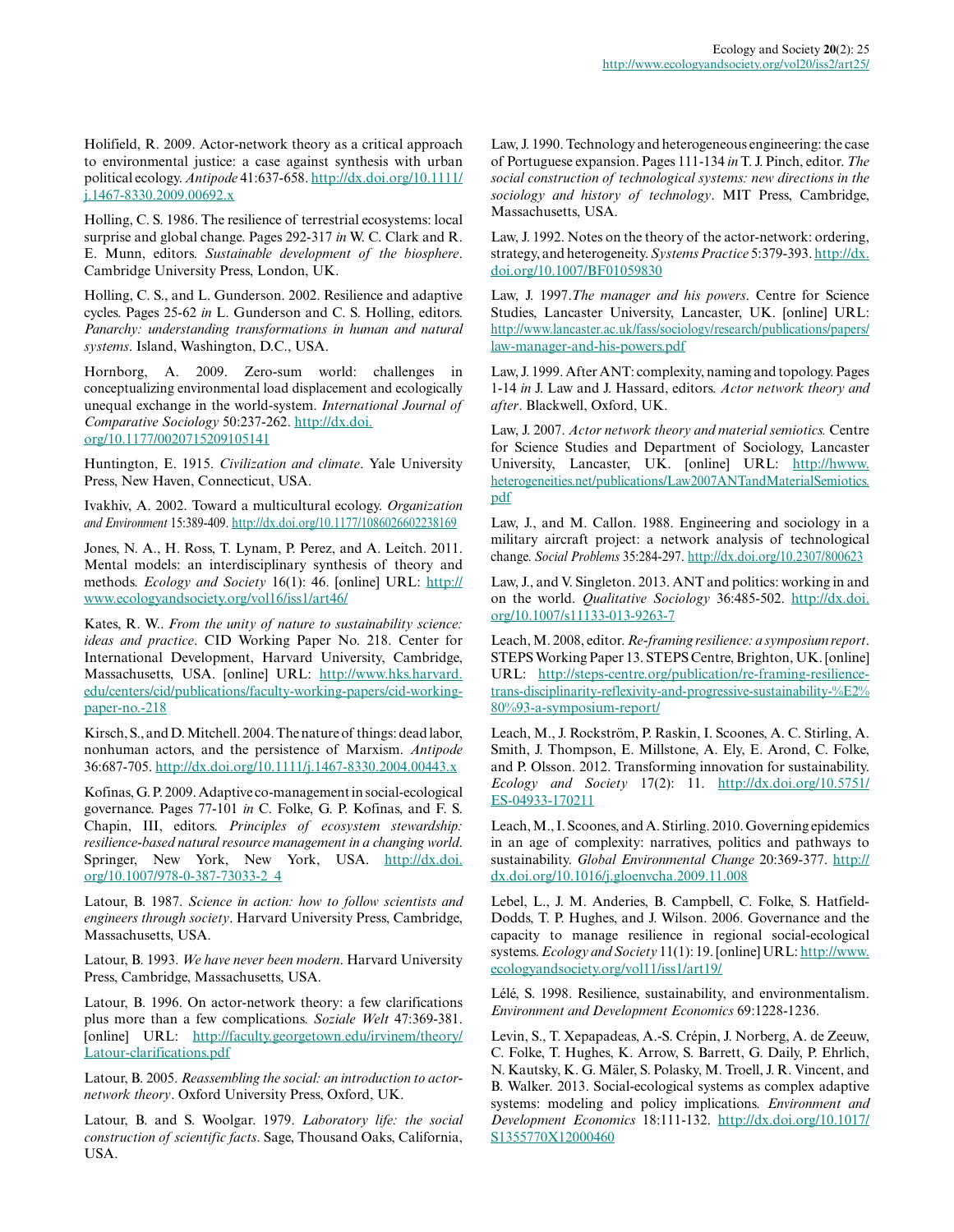Holifield, R. 2009. Actor-network theory as a critical approach to environmental justice: a case against synthesis with urban political ecology. *Antipode* 41:637-658. [http://dx.doi.org/10.1111/](http://dx.doi.org/10.1111%2Fj.1467-8330.2009.00692.x) [j.1467-8330.2009.00692.x](http://dx.doi.org/10.1111%2Fj.1467-8330.2009.00692.x)

Holling, C. S. 1986. The resilience of terrestrial ecosystems: local surprise and global change. Pages 292-317 *in* W. C. Clark and R. E. Munn, editors. *Sustainable development of the biosphere*. Cambridge University Press, London, UK.

Holling, C. S., and L. Gunderson. 2002. Resilience and adaptive cycles. Pages 25-62 *in* L. Gunderson and C. S. Holling, editors. *Panarchy: understanding transformations in human and natural systems*. Island, Washington, D.C., USA.

Hornborg, A. 2009. Zero-sum world: challenges in conceptualizing environmental load displacement and ecologically unequal exchange in the world-system. *International Journal of Comparative Sociology* 50:237-262. [http://dx.doi.](http://dx.doi.org/10.1177%2F0020715209105141) [org/10.1177/0020715209105141](http://dx.doi.org/10.1177%2F0020715209105141)

Huntington, E. 1915. *Civilization and climate*. Yale University Press, New Haven, Connecticut, USA.

Ivakhiv, A. 2002. Toward a multicultural ecology. *Organization and Environment* 15:389-409. [http://dx.doi.org/10.1177/1086026602238169](http://dx.doi.org/10.1177%2F1086026602238169)

Jones, N. A., H. Ross, T. Lynam, P. Perez, and A. Leitch. 2011. Mental models: an interdisciplinary synthesis of theory and methods. *Ecology and Society* 16(1): 46. [online] URL: [http://](http://www.ecologyandsociety.org/vol16/iss1/art46/) [www.ecologyandsociety.org/vol16/iss1/art46/](http://www.ecologyandsociety.org/vol16/iss1/art46/)

Kates, R. W.. *From the unity of nature to sustainability science: ideas and practice*. CID Working Paper No. 218. Center for International Development, Harvard University, Cambridge, Massachusetts, USA. [online] URL: [http://www.hks.harvard.](http://www.hks.harvard.edu/centers/cid/publications/faculty-working-papers/cid-working-paper-no.-218) [edu/centers/cid/publications/faculty-working-papers/cid-working](http://www.hks.harvard.edu/centers/cid/publications/faculty-working-papers/cid-working-paper-no.-218)[paper-no.-218](http://www.hks.harvard.edu/centers/cid/publications/faculty-working-papers/cid-working-paper-no.-218) 

Kirsch, S., and D. Mitchell. 2004. The nature of things: dead labor, nonhuman actors, and the persistence of Marxism. *Antipode* 36:687-705. [http://dx.doi.org/10.1111/j.1467-8330.2004.00443.x](http://dx.doi.org/10.1111%2Fj.1467-8330.2004.00443.x)

Kofinas, G. P. 2009. Adaptive co-management in social-ecological governance. Pages 77-101 *in* C. Folke, G. P. Kofinas, and F. S. Chapin, III, editors. *Principles of ecosystem stewardship: resilience-based natural resource management in a changing world*. Springer, New York, New York, USA. [http://dx.doi.](http://dx.doi.org/10.1007%2F978-0-387-73033-2_4) [org/10.1007/978-0-387-73033-2\\_4](http://dx.doi.org/10.1007%2F978-0-387-73033-2_4) 

Latour, B. 1987. *Science in action: how to follow scientists and engineers through society*. Harvard University Press, Cambridge, Massachusetts, USA.

Latour, B. 1993. *We have never been modern*. Harvard University Press, Cambridge, Massachusetts, USA.

Latour, B. 1996. On actor-network theory: a few clarifications plus more than a few complications. *Soziale Welt* 47:369-381. [online] URL: [http://faculty.georgetown.edu/irvinem/theory/](http://faculty.georgetown.edu/irvinem/theory/Latour-clarifications.pdf) [Latour-clarifications.pdf](http://faculty.georgetown.edu/irvinem/theory/Latour-clarifications.pdf)

Latour, B. 2005. *Reassembling the social: an introduction to actornetwork theory*. Oxford University Press, Oxford, UK.

Latour, B. and S. Woolgar. 1979. *Laboratory life: the social construction of scientific facts*. Sage, Thousand Oaks, California, USA.

Law, J. 1990. Technology and heterogeneous engineering: the case of Portuguese expansion. Pages 111-134 *in* T. J. Pinch, editor. *The social construction of technological systems: new directions in the sociology and history of technology*. MIT Press, Cambridge, Massachusetts, USA.

Law, J. 1992. Notes on the theory of the actor-network: ordering, strategy, and heterogeneity. *Systems Practice* 5:379-393. [http://dx.](http://dx.doi.org/10.1007%2FBF01059830) [doi.org/10.1007/BF01059830](http://dx.doi.org/10.1007%2FBF01059830)

Law, J. 1997.*The manager and his powers*. Centre for Science Studies, Lancaster University, Lancaster, UK. [online] URL: [http://www.lancaster.ac.uk/fass/sociology/research/publications/papers/](http://www.lancaster.ac.uk/fass/sociology/research/publications/papers/law-manager-and-his-powers.pdf) [law-manager-and-his-powers.pdf](http://www.lancaster.ac.uk/fass/sociology/research/publications/papers/law-manager-and-his-powers.pdf)

Law, J. 1999. After ANT: complexity, naming and topology. Pages 1-14 *in* J. Law and J. Hassard, editors. *Actor network theory and after*. Blackwell, Oxford, UK.

Law, J. 2007. *Actor network theory and material semiotics.* Centre for Science Studies and Department of Sociology, Lancaster University, Lancaster, UK. [online] URL: [http://hwww.](http://hwww.heterogeneities.net/publications/Law2007ANTandMaterialSemiotics.pdf) [heterogeneities.net/publications/Law2007ANTandMaterialSemiotics.](http://hwww.heterogeneities.net/publications/Law2007ANTandMaterialSemiotics.pdf) [pdf](http://hwww.heterogeneities.net/publications/Law2007ANTandMaterialSemiotics.pdf)

Law, J., and M. Callon. 1988. Engineering and sociology in a military aircraft project: a network analysis of technological change. *Social Problems* 35:284-297. [http://dx.doi.org/10.2307/800623](http://dx.doi.org/10.2307%2F800623) 

Law, J., and V. Singleton. 2013. ANT and politics: working in and on the world. *Qualitative Sociology* 36:485-502. [http://dx.doi.](http://dx.doi.org/10.1007%2Fs11133-013-9263-7) [org/10.1007/s11133-013-9263-7](http://dx.doi.org/10.1007%2Fs11133-013-9263-7)

Leach, M. 2008, editor. *Re-framing resilience: a symposium report*. STEPS Working Paper 13. STEPS Centre, Brighton, UK. [online] URL: [http://steps-centre.org/publication/re-framing-resilience](http://steps-centre.org/publication/re-framing-resilience-trans-disciplinarity-reflexivity-and-progressive-sustainability-%E2%80%93-a-symposium-report/)[trans-disciplinarity-reflexivity-and-progressive-sustainability-%E2%](http://steps-centre.org/publication/re-framing-resilience-trans-disciplinarity-reflexivity-and-progressive-sustainability-%E2%80%93-a-symposium-report/) [80%93-a-symposium-report/](http://steps-centre.org/publication/re-framing-resilience-trans-disciplinarity-reflexivity-and-progressive-sustainability-%E2%80%93-a-symposium-report/) 

Leach, M., J. Rockström, P. Raskin, I. Scoones, A. C. Stirling, A. Smith, J. Thompson, E. Millstone, A. Ely, E. Arond, C. Folke, and P. Olsson. 2012. Transforming innovation for sustainability. *Ecology and Society* 17(2): 11. [http://dx.doi.org/10.5751/](http://dx.doi.org/10.5751%2FES-04933-170211) [ES-04933-170211](http://dx.doi.org/10.5751%2FES-04933-170211)

Leach, M., I. Scoones, and A. Stirling. 2010. Governing epidemics in an age of complexity: narratives, politics and pathways to sustainability. *Global Environmental Change* 20:369-377. [http://](http://dx.doi.org/10.1016%2Fj.gloenvcha.2009.11.008) [dx.doi.org/10.1016/j.gloenvcha.2009.11.008](http://dx.doi.org/10.1016%2Fj.gloenvcha.2009.11.008) 

Lebel, L., J. M. Anderies, B. Campbell, C. Folke, S. Hatfield-Dodds, T. P. Hughes, and J. Wilson. 2006. Governance and the capacity to manage resilience in regional social-ecological systems. *Ecology and Society* 11(1): 19. [online] URL: [http://www.](http://www.ecologyandsociety.org/vol11/iss1/art19/) [ecologyandsociety.org/vol11/iss1/art19/](http://www.ecologyandsociety.org/vol11/iss1/art19/)

Lélé, S. 1998. Resilience, sustainability, and environmentalism. *Environment and Development Economics* 69:1228-1236.

Levin, S., T. Xepapadeas, A.-S. Crépin, J. Norberg, A. de Zeeuw, C. Folke, T. Hughes, K. Arrow, S. Barrett, G. Daily, P. Ehrlich, N. Kautsky, K. G. Mäler, S. Polasky, M. Troell, J. R. Vincent, and B. Walker. 2013. Social-ecological systems as complex adaptive systems: modeling and policy implications. *Environment and Development Economics* 18:111-132. [http://dx.doi.org/10.1017/](http://dx.doi.org/10.1017%2FS1355770X12000460) [S1355770X12000460](http://dx.doi.org/10.1017%2FS1355770X12000460)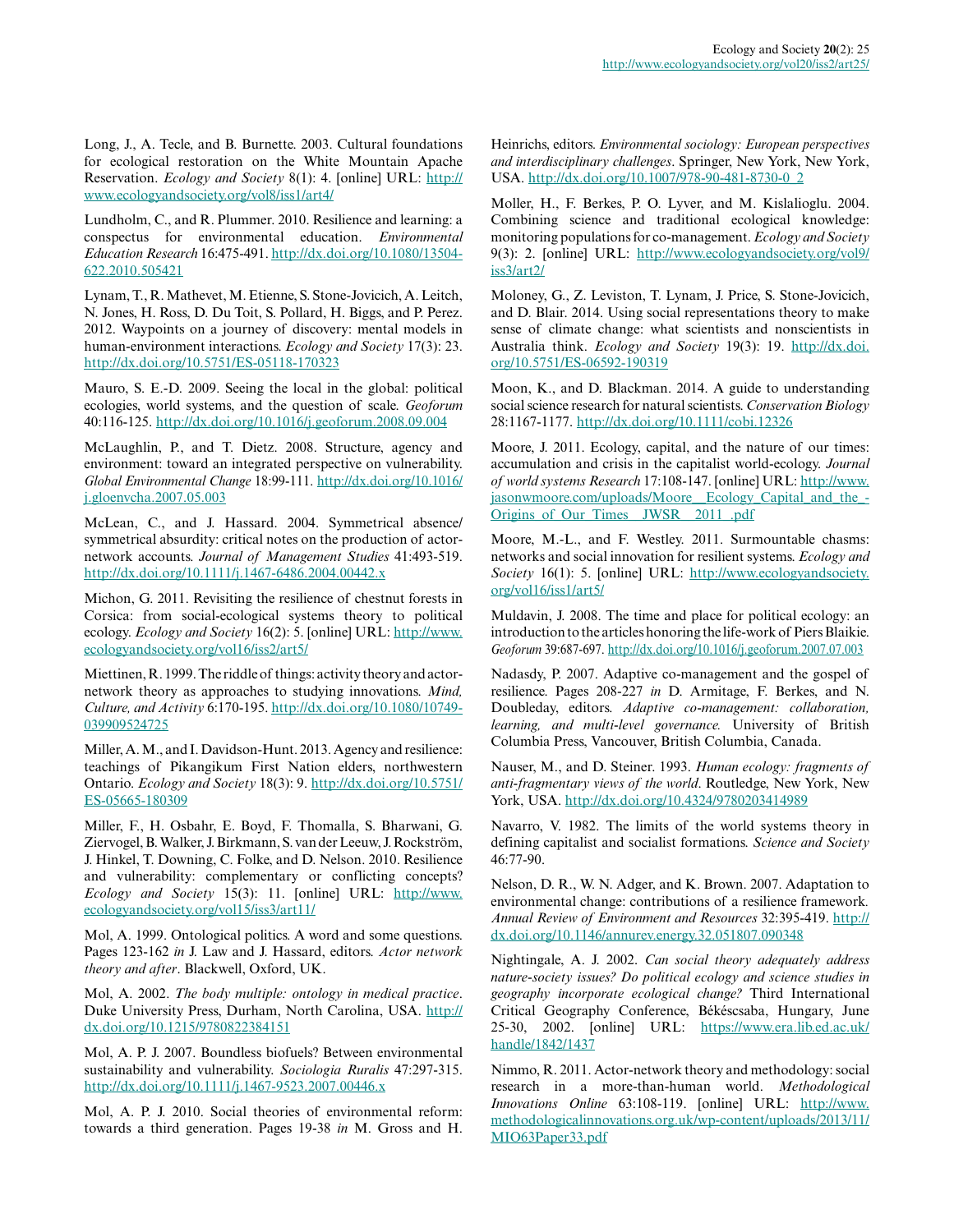Long, J., A. Tecle, and B. Burnette. 2003. Cultural foundations for ecological restoration on the White Mountain Apache Reservation. *Ecology and Society* 8(1): 4. [online] URL: [http://](http://www.ecologyandsociety.org/vol8/iss1/art4/) [www.ecologyandsociety.org/vol8/iss1/art4/](http://www.ecologyandsociety.org/vol8/iss1/art4/)

Lundholm, C., and R. Plummer. 2010. Resilience and learning: a conspectus for environmental education. *Environmental Education Research* 16:475-491. [http://dx.doi.org/10.1080/13504](http://dx.doi.org/10.1080%2F13504622.2010.505421) [622.2010.505421](http://dx.doi.org/10.1080%2F13504622.2010.505421)

Lynam, T., R. Mathevet, M. Etienne, S. Stone-Jovicich, A. Leitch, N. Jones, H. Ross, D. Du Toit, S. Pollard, H. Biggs, and P. Perez. 2012. Waypoints on a journey of discovery: mental models in human-environment interactions. *Ecology and Society* 17(3): 23. [http://dx.doi.org/10.5751/ES-05118-170323](http://dx.doi.org/10.5751%2FES-05118-170323) 

Mauro, S. E.-D. 2009. Seeing the local in the global: political ecologies, world systems, and the question of scale. *Geoforum* 40:116-125. [http://dx.doi.org/10.1016/j.geoforum.2008.09.004](http://dx.doi.org/10.1016%2Fj.geoforum.2008.09.004)

McLaughlin, P., and T. Dietz. 2008. Structure, agency and environment: toward an integrated perspective on vulnerability. *Global Environmental Change* 18:99-111. [http://dx.doi.org/10.1016/](http://dx.doi.org/10.1016%2Fj.gloenvcha.2007.05.003) [j.gloenvcha.2007.05.003](http://dx.doi.org/10.1016%2Fj.gloenvcha.2007.05.003) 

McLean, C., and J. Hassard. 2004. Symmetrical absence/ symmetrical absurdity: critical notes on the production of actornetwork accounts. *Journal of Management Studies* 41:493-519. [http://dx.doi.org/10.1111/j.1467-6486.2004.00442.x](http://dx.doi.org/10.1111%2Fj.1467-6486.2004.00442.x) 

Michon, G. 2011. Revisiting the resilience of chestnut forests in Corsica: from social-ecological systems theory to political ecology. *Ecology and Society* 16(2): 5. [online] URL: [http://www.](http://www.ecologyandsociety.org/vol16/iss2/art5/) [ecologyandsociety.org/vol16/iss2/art5/](http://www.ecologyandsociety.org/vol16/iss2/art5/) 

Miettinen, R. 1999. The riddle of things: activity theory and actornetwork theory as approaches to studying innovations. *Mind, Culture, and Activity* 6:170-195. [http://dx.doi.org/10.1080/10749](http://dx.doi.org/10.1080%2F10749039909524725) [039909524725](http://dx.doi.org/10.1080%2F10749039909524725)

Miller, A. M., and I. Davidson-Hunt. 2013. Agency and resilience: teachings of Pikangikum First Nation elders, northwestern Ontario. *Ecology and Society* 18(3): 9. [http://dx.doi.org/10.5751/](http://dx.doi.org/10.5751%2FES-05665-180309) [ES-05665-180309](http://dx.doi.org/10.5751%2FES-05665-180309)

Miller, F., H. Osbahr, E. Boyd, F. Thomalla, S. Bharwani, G. Ziervogel, B. Walker, J. Birkmann, S. van der Leeuw, J. Rockström, J. Hinkel, T. Downing, C. Folke, and D. Nelson. 2010. Resilience and vulnerability: complementary or conflicting concepts? *Ecology and Society* 15(3): 11. [online] URL: [http://www.](http://www.ecologyandsociety.org/vol15/iss3/art11/) [ecologyandsociety.org/vol15/iss3/art11/](http://www.ecologyandsociety.org/vol15/iss3/art11/)

Mol, A. 1999. Ontological politics. A word and some questions. Pages 123-162 *in* J. Law and J. Hassard, editors. *Actor network theory and after*. Blackwell, Oxford, UK.

Mol, A. 2002. *The body multiple: ontology in medical practice*. Duke University Press, Durham, North Carolina, USA. [http://](http://dx.doi.org/10.1215%2F9780822384151) [dx.doi.org/10.1215/9780822384151](http://dx.doi.org/10.1215%2F9780822384151)

Mol, A. P. J. 2007. Boundless biofuels? Between environmental sustainability and vulnerability. *Sociologia Ruralis* 47:297-315. [http://dx.doi.org/10.1111/j.1467-9523.2007.00446.x](http://dx.doi.org/10.1111%2Fj.1467-9523.2007.00446.x) 

Mol, A. P. J. 2010. Social theories of environmental reform: towards a third generation. Pages 19-38 *in* M. Gross and H. Heinrichs, editors. *Environmental sociology: European perspectives and interdisciplinary challenges*. Springer, New York, New York, USA. [http://dx.doi.org/10.1007/978-90-481-8730-0\\_2](http://dx.doi.org/10.1007%2F978-90-481-8730-0_2) 

Moller, H., F. Berkes, P. O. Lyver, and M. Kislalioglu. 2004. Combining science and traditional ecological knowledge: monitoring populations for co-management. *Ecology and Society* 9(3): 2. [online] URL: [http://www.ecologyandsociety.org/vol9/](http://www.ecologyandsociety.org/vol9/iss3/art2/) [iss3/art2/](http://www.ecologyandsociety.org/vol9/iss3/art2/)

Moloney, G., Z. Leviston, T. Lynam, J. Price, S. Stone-Jovicich, and D. Blair. 2014. Using social representations theory to make sense of climate change: what scientists and nonscientists in Australia think. *Ecology and Society* 19(3): 19. [http://dx.doi.](http://dx.doi.org/10.5751%2FES-06592-190319) [org/10.5751/ES-06592-190319](http://dx.doi.org/10.5751%2FES-06592-190319) 

Moon, K., and D. Blackman. 2014. A guide to understanding social science research for natural scientists. *Conservation Biology* 28:1167-1177. [http://dx.doi.org/10.1111/cobi.12326](http://dx.doi.org/10.1111%2Fcobi.12326) 

Moore, J. 2011. Ecology, capital, and the nature of our times: accumulation and crisis in the capitalist world-ecology. *Journal of world systems Research* 17:108-147. [online] URL: [http://www.](http://www.jasonwmoore.com/uploads/Moore__Ecology_Capital_and_the_Origins_of_Our_Times__JWSR__2011_.pdf) jasonwmoore.com/uploads/Moore\_Ecology\_Capital\_and\_the\_ Origins of Our\_Times\_JWSR\_2011\_.pdf

Moore, M.-L., and F. Westley. 2011. Surmountable chasms: networks and social innovation for resilient systems. *Ecology and Society* 16(1): 5. [online] URL: [http://www.ecologyandsociety.](http://www.ecologyandsociety.org/vol16/iss1/art5/) [org/vol16/iss1/art5/](http://www.ecologyandsociety.org/vol16/iss1/art5/) 

Muldavin, J. 2008. The time and place for political ecology: an introduction to the articles honoring the life-work of Piers Blaikie. *Geoforum* 39:687-697. [http://dx.doi.org/10.1016/j.geoforum.2007.07.003](http://dx.doi.org/10.1016%2Fj.geoforum.2007.07.003)

Nadasdy, P. 2007. Adaptive co-management and the gospel of resilience. Pages 208-227 *in* D. Armitage, F. Berkes, and N. Doubleday, editors. *Adaptive co-management: collaboration, learning, and multi-level governance.* University of British Columbia Press, Vancouver, British Columbia, Canada.

Nauser, M., and D. Steiner. 1993. *Human ecology: fragments of anti-fragmentary views of the world*. Routledge, New York, New York, USA. [http://dx.doi.org/10.4324/9780203414989](http://dx.doi.org/10.4324%2F9780203414989)

Navarro, V. 1982. The limits of the world systems theory in defining capitalist and socialist formations. *Science and Society* 46:77-90.

Nelson, D. R., W. N. Adger, and K. Brown. 2007. Adaptation to environmental change: contributions of a resilience framework*. Annual Review of Environment and Resources* 32:395-419. [http://](http://dx.doi.org/10.1146%2Fannurev.energy.32.051807.090348) [dx.doi.org/10.1146/annurev.energy.32.051807.090348](http://dx.doi.org/10.1146%2Fannurev.energy.32.051807.090348) 

Nightingale, A. J. 2002. *Can social theory adequately address nature-society issues? Do political ecology and science studies in geography incorporate ecological change?* Third International Critical Geography Conference, Békéscsaba, Hungary, June 25-30, 2002. [online] URL: [https://www.era.lib.ed.ac.uk/](https://www.era.lib.ed.ac.uk/handle/1842/1437) [handle/1842/1437](https://www.era.lib.ed.ac.uk/handle/1842/1437) 

Nimmo, R. 2011. Actor-network theory and methodology: social research in a more-than-human world. *Methodological Innovations Online* 63:108-119. [online] URL: [http://www.](http://www.methodologicalinnovations.org.uk/wp-content/uploads/2013/11/MIO63Paper33.pdf) [methodologicalinnovations.org.uk/wp-content/uploads/2013/11/](http://www.methodologicalinnovations.org.uk/wp-content/uploads/2013/11/MIO63Paper33.pdf) [MIO63Paper33.pdf](http://www.methodologicalinnovations.org.uk/wp-content/uploads/2013/11/MIO63Paper33.pdf)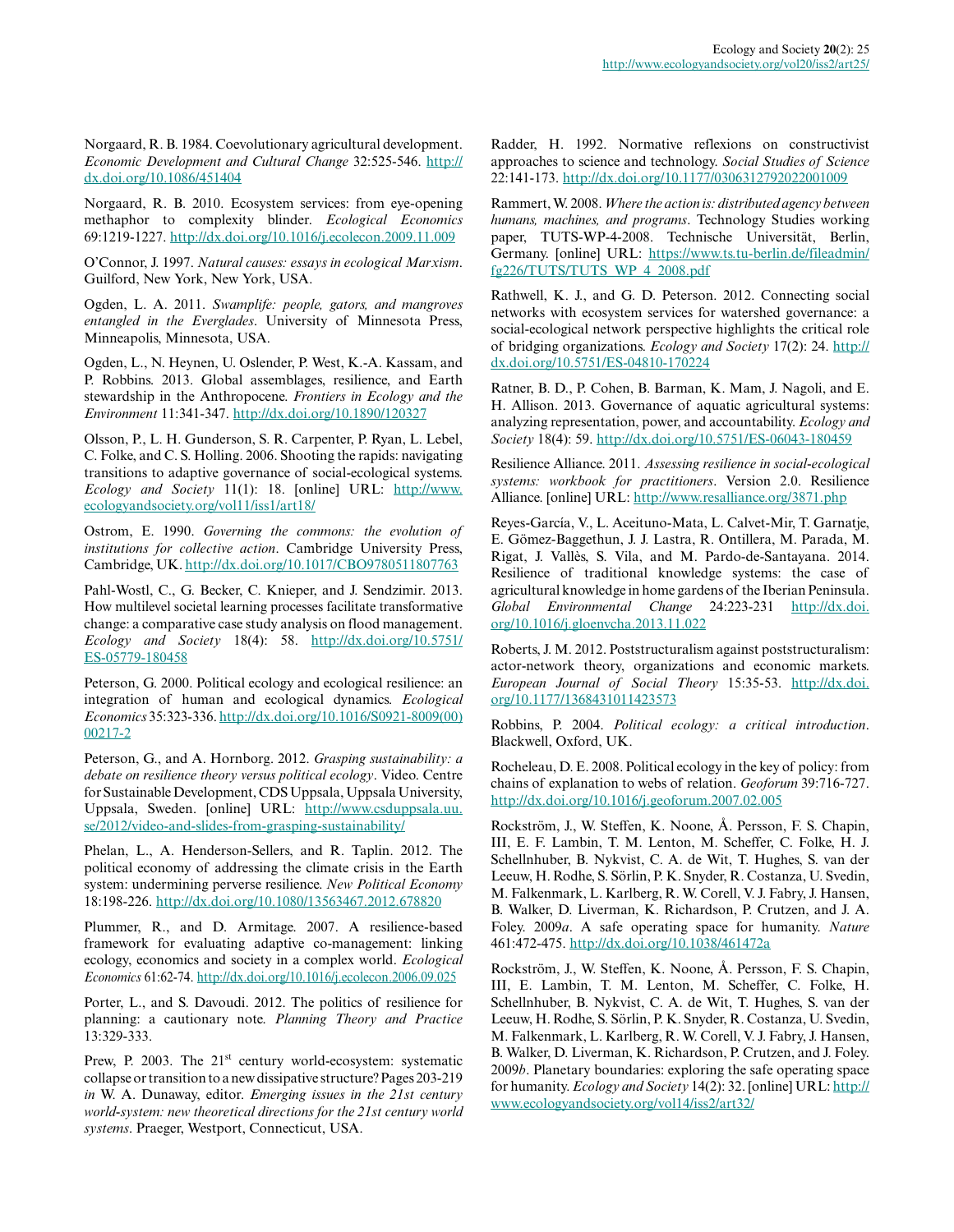Norgaard, R. B. 1984. Coevolutionary agricultural development. *Economic Development and Cultural Change* 32:525-546. [http://](http://dx.doi.org/10.1086%2F451404) [dx.doi.org/10.1086/451404](http://dx.doi.org/10.1086%2F451404) 

Norgaard, R. B. 2010. Ecosystem services: from eye-opening methaphor to complexity blinder. *Ecological Economics* 69:1219-1227. [http://dx.doi.org/10.1016/j.ecolecon.2009.11.009](http://dx.doi.org/10.1016%2Fj.ecolecon.2009.11.009)

O'Connor, J. 1997. *Natural causes: essays in ecological Marxism*. Guilford, New York, New York, USA.

Ogden, L. A. 2011. *Swamplife: people, gators, and mangroves entangled in the Everglades*. University of Minnesota Press, Minneapolis, Minnesota, USA.

Ogden, L., N. Heynen, U. Oslender, P. West, K.-A. Kassam, and P. Robbins. 2013. Global assemblages, resilience, and Earth stewardship in the Anthropocene. *Frontiers in Ecology and the Environment* 11:341-347. [http://dx.doi.org/10.1890/120327](http://dx.doi.org/10.1890%2F120327) 

Olsson, P., L. H. Gunderson, S. R. Carpenter, P. Ryan, L. Lebel, C. Folke, and C. S. Holling. 2006. Shooting the rapids: navigating transitions to adaptive governance of social-ecological systems. *Ecology and Society* 11(1): 18. [online] URL: [http://www.](http://www.ecologyandsociety.org/vol11/iss1/art18/) [ecologyandsociety.org/vol11/iss1/art18/](http://www.ecologyandsociety.org/vol11/iss1/art18/)

Ostrom, E. 1990. *Governing the commons: the evolution of institutions for collective action*. Cambridge University Press, Cambridge, UK. [http://dx.doi.org/10.1017/CBO9780511807763](http://dx.doi.org/10.1017%2FCBO9780511807763)

Pahl-Wostl, C., G. Becker, C. Knieper, and J. Sendzimir. 2013. How multilevel societal learning processes facilitate transformative change: a comparative case study analysis on flood management. *Ecology and Society* 18(4): 58. [http://dx.doi.org/10.5751/](http://dx.doi.org/10.5751%2FES-05779-180458) [ES-05779-180458](http://dx.doi.org/10.5751%2FES-05779-180458)

Peterson, G. 2000. Political ecology and ecological resilience: an integration of human and ecological dynamics. *Ecological Economics* 35:323-336. [http://dx.doi.org/10.1016/S0921-8009\(00\)](http://dx.doi.org/10.1016%2FS0921-8009%2800%2900217-2) [00217-2](http://dx.doi.org/10.1016%2FS0921-8009%2800%2900217-2) 

Peterson, G., and A. Hornborg. 2012. *Grasping sustainability: a debate on resilience theory versus political ecology*. Video. Centre for Sustainable Development, CDS Uppsala, Uppsala University, Uppsala, Sweden. [online] URL: [http://www.csduppsala.uu.](http://www.csduppsala.uu.se/2012/video-and-slides-from-grasping-sustainability/) [se/2012/video-and-slides-from-grasping-sustainability/](http://www.csduppsala.uu.se/2012/video-and-slides-from-grasping-sustainability/) 

Phelan, L., A. Henderson-Sellers, and R. Taplin. 2012. The political economy of addressing the climate crisis in the Earth system: undermining perverse resilience. *New Political Economy* 18:198-226. [http://dx.doi.org/10.1080/13563467.2012.678820](http://dx.doi.org/10.1080%2F13563467.2012.678820)

Plummer, R., and D. Armitage. 2007. A resilience-based framework for evaluating adaptive co-management: linking ecology, economics and society in a complex world. *Ecological Economics* 61:62-74. [http://dx.doi.org/10.1016/j.ecolecon.2006.09.025](http://dx.doi.org/10.1016%2Fj.ecolecon.2006.09.025) 

Porter, L., and S. Davoudi. 2012. The politics of resilience for planning: a cautionary note. *Planning Theory and Practice* 13:329-333.

Prew, P. 2003. The 21<sup>st</sup> century world-ecosystem: systematic collapse or transition to a new dissipative structure? Pages 203-219 *in* W. A. Dunaway, editor. *Emerging issues in the 21st century world-system: new theoretical directions for the 21st century world systems*. Praeger, Westport, Connecticut, USA.

Radder, H. 1992. Normative reflexions on constructivist approaches to science and technology. *Social Studies of Science* 22:141-173. [http://dx.doi.org/10.1177/0306312792022001009](http://dx.doi.org/10.1177%2F0306312792022001009) 

Rammert, W. 2008. *Where the action is: distributed agency between humans, machines, and programs*. Technology Studies working paper, TUTS-WP-4-2008. Technische Universität, Berlin, Germany. [online] URL: [https://www.ts.tu-berlin.de/fileadmin/](https://www.ts.tu-berlin.de/fileadmin/fg226/TUTS/TUTS_WP_4_2008.pdf) [fg226/TUTS/TUTS\\_WP\\_4\\_2008.pdf](https://www.ts.tu-berlin.de/fileadmin/fg226/TUTS/TUTS_WP_4_2008.pdf)

Rathwell, K. J., and G. D. Peterson. 2012. Connecting social networks with ecosystem services for watershed governance: a social-ecological network perspective highlights the critical role of bridging organizations. *Ecology and Society* 17(2): 24. [http://](http://dx.doi.org/10.5751%2FES-04810-170224) [dx.doi.org/10.5751/ES-04810-170224](http://dx.doi.org/10.5751%2FES-04810-170224)

Ratner, B. D., P. Cohen, B. Barman, K. Mam, J. Nagoli, and E. H. Allison. 2013. Governance of aquatic agricultural systems: analyzing representation, power, and accountability. *Ecology and Society* 18(4): 59. [http://dx.doi.org/10.5751/ES-06043-180459](http://dx.doi.org/10.5751%2FES-06043-180459) 

Resilience Alliance. 2011. *Assessing resilience in social-ecological systems: workbook for practitioners*. Version 2.0. Resilience Alliance. [online] URL: <http://www.resalliance.org/3871.php>

Reyes-García, V., L. Aceituno-Mata, L. Calvet-Mir, T. Garnatje, E. Gömez-Baggethun, J. J. Lastra, R. Ontillera, M. Parada, M. Rigat, J. Vallès, S. Vila, and M. Pardo-de-Santayana. 2014. Resilience of traditional knowledge systems: the case of agricultural knowledge in home gardens of the Iberian Peninsula. *Global Environmental Change* 24:223-231 [http://dx.doi.](http://dx.doi.org/10.1016%2Fj.gloenvcha.2013.11.022) [org/10.1016/j.gloenvcha.2013.11.022](http://dx.doi.org/10.1016%2Fj.gloenvcha.2013.11.022)

Roberts, J. M. 2012. Poststructuralism against poststructuralism: actor-network theory, organizations and economic markets. *European Journal of Social Theory* 15:35-53. [http://dx.doi.](http://dx.doi.org/10.1177%2F1368431011423573) [org/10.1177/1368431011423573](http://dx.doi.org/10.1177%2F1368431011423573)

Robbins, P. 2004. *Political ecology: a critical introduction*. Blackwell, Oxford, UK.

Rocheleau, D. E. 2008. Political ecology in the key of policy: from chains of explanation to webs of relation. *Geoforum* 39:716-727. [http://dx.doi.org/10.1016/j.geoforum.2007.02.005](http://dx.doi.org/10.1016%2Fj.geoforum.2007.02.005) 

Rockström, J., W. Steffen, K. Noone, Å. Persson, F. S. Chapin, III, E. F. Lambin, T. M. Lenton, M. Scheffer, C. Folke, H. J. Schellnhuber, B. Nykvist, C. A. de Wit, T. Hughes, S. van der Leeuw, H. Rodhe, S. Sörlin, P. K. Snyder, R. Costanza, U. Svedin, M. Falkenmark, L. Karlberg, R. W. Corell, V. J. Fabry, J. Hansen, B. Walker, D. Liverman, K. Richardson, P. Crutzen, and J. A. Foley. 2009*a*. A safe operating space for humanity. *Nature* 461:472-475. [http://dx.doi.org/10.1038/461472a](http://dx.doi.org/10.1038%2F461472a)

Rockström, J., W. Steffen, K. Noone, Å. Persson, F. S. Chapin, III, E. Lambin, T. M. Lenton, M. Scheffer, C. Folke, H. Schellnhuber, B. Nykvist, C. A. de Wit, T. Hughes, S. van der Leeuw, H. Rodhe, S. Sörlin, P. K. Snyder, R. Costanza, U. Svedin, M. Falkenmark, L. Karlberg, R. W. Corell, V. J. Fabry, J. Hansen, B. Walker, D. Liverman, K. Richardson, P. Crutzen, and J. Foley. 2009*b*. Planetary boundaries: exploring the safe operating space for humanity. *Ecology and Society* 14(2): 32. [online] URL: [http://](http://www.ecologyandsociety.org/vol14/iss2/art32/) [www.ecologyandsociety.org/vol14/iss2/art32/](http://www.ecologyandsociety.org/vol14/iss2/art32/)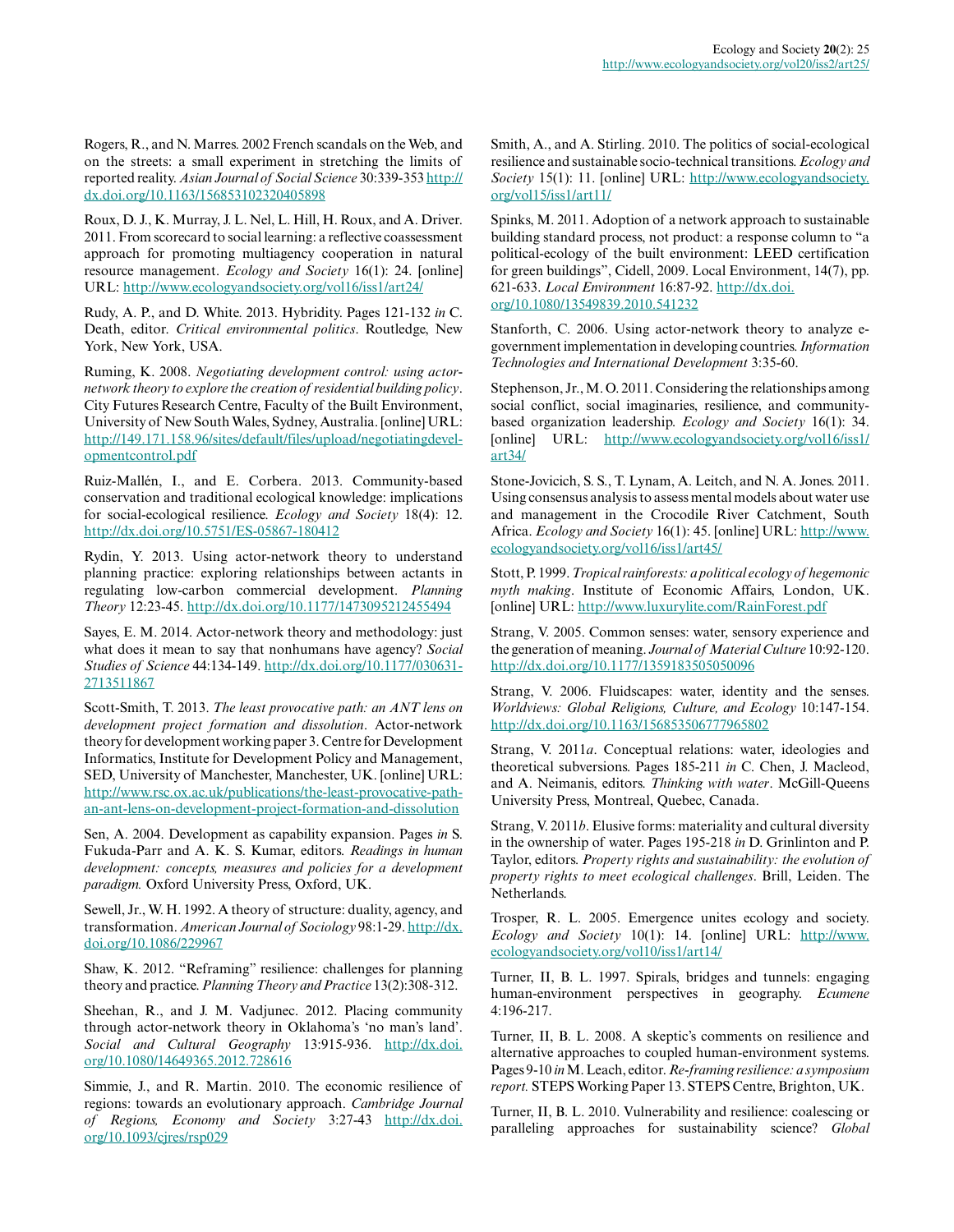Rogers, R., and N. Marres. 2002 French scandals on the Web, and on the streets: a small experiment in stretching the limits of reported reality. *Asian Journal of Social Science* 30:339-353 [http://](http://dx.doi.org/10.1163%2F156853102320405898) [dx.doi.org/10.1163/156853102320405898](http://dx.doi.org/10.1163%2F156853102320405898) 

Roux, D. J., K. Murray, J. L. Nel, L. Hill, H. Roux, and A. Driver. 2011. From scorecard to social learning: a reflective coassessment approach for promoting multiagency cooperation in natural resource management. *Ecology and Society* 16(1): 24. [online] URL:<http://www.ecologyandsociety.org/vol16/iss1/art24/>

Rudy, A. P., and D. White. 2013. Hybridity. Pages 121-132 *in* C. Death, editor. *Critical environmental politics*. Routledge, New York, New York, USA.

Ruming, K. 2008. *Negotiating development control: using actornetwork theory to explore the creation of residential building policy*. City Futures Research Centre, Faculty of the Built Environment, University of New South Wales, Sydney, Australia. [online] URL: [http://149.171.158.96/sites/default/files/upload/negotiatingdevel](http://149.171.158.96/sites/default/files/upload/negotiatingdevelopmentcontrol.pdf)[opmentcontrol.pdf](http://149.171.158.96/sites/default/files/upload/negotiatingdevelopmentcontrol.pdf)

Ruiz-Mallén, I., and E. Corbera. 2013. Community-based conservation and traditional ecological knowledge: implications for social-ecological resilience. *Ecology and Society* 18(4): 12. [http://dx.doi.org/10.5751/ES-05867-180412](http://dx.doi.org/10.5751%2FES-05867-180412) 

Rydin, Y. 2013. Using actor-network theory to understand planning practice: exploring relationships between actants in regulating low-carbon commercial development. *Planning Theory* 12:23-45. [http://dx.doi.org/10.1177/1473095212455494](http://dx.doi.org/10.1177%2F1473095212455494)

Sayes, E. M. 2014. Actor-network theory and methodology: just what does it mean to say that nonhumans have agency? *Social Studies of Science* 44:134-149. [http://dx.doi.org/10.1177/030631](http://dx.doi.org/10.1177%2F0306312713511867) [2713511867](http://dx.doi.org/10.1177%2F0306312713511867)

Scott-Smith, T. 2013. *The least provocative path: an ANT lens on development project formation and dissolution*. Actor-network theory for development working paper 3. Centre for Development Informatics, Institute for Development Policy and Management, SED, University of Manchester, Manchester, UK. [online] URL: [http://www.rsc.ox.ac.uk/publications/the-least-provocative-path](http://www.rsc.ox.ac.uk/publications/the-least-provocative-path-an-ant-lens-on-development-project-formation-and-dissolution)[an-ant-lens-on-development-project-formation-and-dissolution](http://www.rsc.ox.ac.uk/publications/the-least-provocative-path-an-ant-lens-on-development-project-formation-and-dissolution) 

Sen, A. 2004. Development as capability expansion. Pages *in* S. Fukuda-Parr and A. K. S. Kumar, editors. *Readings in human development: concepts, measures and policies for a development paradigm.* Oxford University Press, Oxford, UK.

Sewell, Jr., W. H. 1992. A theory of structure: duality, agency, and transformation. *American Journal of Sociology* 98:1-29. [http://dx.](http://dx.doi.org/10.1086%2F229967) [doi.org/10.1086/229967](http://dx.doi.org/10.1086%2F229967)

Shaw, K. 2012. "Reframing" resilience: challenges for planning theory and practice. *Planning Theory and Practice* 13(2):308-312.

Sheehan, R., and J. M. Vadjunec. 2012. Placing community through actor-network theory in Oklahoma's 'no man's land'. Social and Cultural Geography 13:915-936. [http://dx.doi.](http://dx.doi.org/10.1080%2F14649365.2012.728616) [org/10.1080/14649365.2012.728616](http://dx.doi.org/10.1080%2F14649365.2012.728616)

Simmie, J., and R. Martin. 2010. The economic resilience of regions: towards an evolutionary approach. *Cambridge Journal of Regions, Economy and Society* 3:27-43 [http://dx.doi.](http://dx.doi.org/10.1093%2Fcjres%2Frsp029) [org/10.1093/cjres/rsp029](http://dx.doi.org/10.1093%2Fcjres%2Frsp029)

Smith, A., and A. Stirling. 2010. The politics of social-ecological resilience and sustainable socio-technical transitions. *Ecology and Society* 15(1): 11. [online] URL: [http://www.ecologyandsociety.](http://www.ecologyandsociety.org/vol15/iss1/art11/) [org/vol15/iss1/art11/](http://www.ecologyandsociety.org/vol15/iss1/art11/)

Spinks, M. 2011. Adoption of a network approach to sustainable building standard process, not product: a response column to "a political-ecology of the built environment: LEED certification for green buildings", Cidell, 2009. Local Environment, 14(7), pp. 621-633. *Local Environment* 16:87-92. [http://dx.doi.](http://dx.doi.org/10.1080%2F13549839.2010.541232) [org/10.1080/13549839.2010.541232](http://dx.doi.org/10.1080%2F13549839.2010.541232)

Stanforth, C. 2006. Using actor-network theory to analyze egovernment implementation in developing countries. *Information Technologies and International Development* 3:35-60.

Stephenson, Jr., M. O. 2011. Considering the relationships among social conflict, social imaginaries, resilience, and communitybased organization leadership. *Ecology and Society* 16(1): 34. [online] URL: [http://www.ecologyandsociety.org/vol16/iss1/](http://www.ecologyandsociety.org/vol16/iss1/art34/) [art34/](http://www.ecologyandsociety.org/vol16/iss1/art34/)

Stone-Jovicich, S. S., T. Lynam, A. Leitch, and N. A. Jones. 2011. Using consensus analysis to assess mental models about water use and management in the Crocodile River Catchment, South Africa. *Ecology and Society* 16(1): 45. [online] URL: [http://www.](http://www.ecologyandsociety.org/vol16/iss1/art45/) [ecologyandsociety.org/vol16/iss1/art45/](http://www.ecologyandsociety.org/vol16/iss1/art45/)

Stott, P. 1999. *Tropical rainforests: a political ecology of hegemonic myth making*. Institute of Economic Affairs, London, UK. [online] URL: <http://www.luxurylite.com/RainForest.pdf>

Strang, V. 2005. Common senses: water, sensory experience and the generation of meaning. *Journal of Material Culture* 10:92-120. [http://dx.doi.org/10.1177/1359183505050096](http://dx.doi.org/10.1177%2F1359183505050096)

Strang, V. 2006. Fluidscapes: water, identity and the senses. *Worldviews: Global Religions, Culture, and Ecology* 10:147-154. [http://dx.doi.org/10.1163/156853506777965802](http://dx.doi.org/10.1163%2F156853506777965802)

Strang, V. 2011*a*. Conceptual relations: water, ideologies and theoretical subversions. Pages 185-211 *in* C. Chen, J. Macleod, and A. Neimanis, editors. *Thinking with water*. McGill-Queens University Press, Montreal, Quebec, Canada.

Strang, V. 2011*b*. Elusive forms: materiality and cultural diversity in the ownership of water. Pages 195-218 *in* D. Grinlinton and P. Taylor, editors. *Property rights and sustainability: the evolution of property rights to meet ecological challenges*. Brill, Leiden. The Netherlands.

Trosper, R. L. 2005. Emergence unites ecology and society. *Ecology and Society* 10(1): 14. [online] URL: [http://www.](http://www.ecologyandsociety.org/vol10/iss1/art14/) [ecologyandsociety.org/vol10/iss1/art14/](http://www.ecologyandsociety.org/vol10/iss1/art14/)

Turner, II, B. L. 1997. Spirals, bridges and tunnels: engaging human-environment perspectives in geography. *Ecumene* 4:196-217.

Turner, II, B. L. 2008. A skeptic's comments on resilience and alternative approaches to coupled human-environment systems. Pages 9-10 *in* M. Leach, editor. *Re-framing resilience: a symposium report.* STEPS Working Paper 13. STEPS Centre, Brighton, UK.

Turner, II, B. L. 2010. Vulnerability and resilience: coalescing or paralleling approaches for sustainability science? *Global*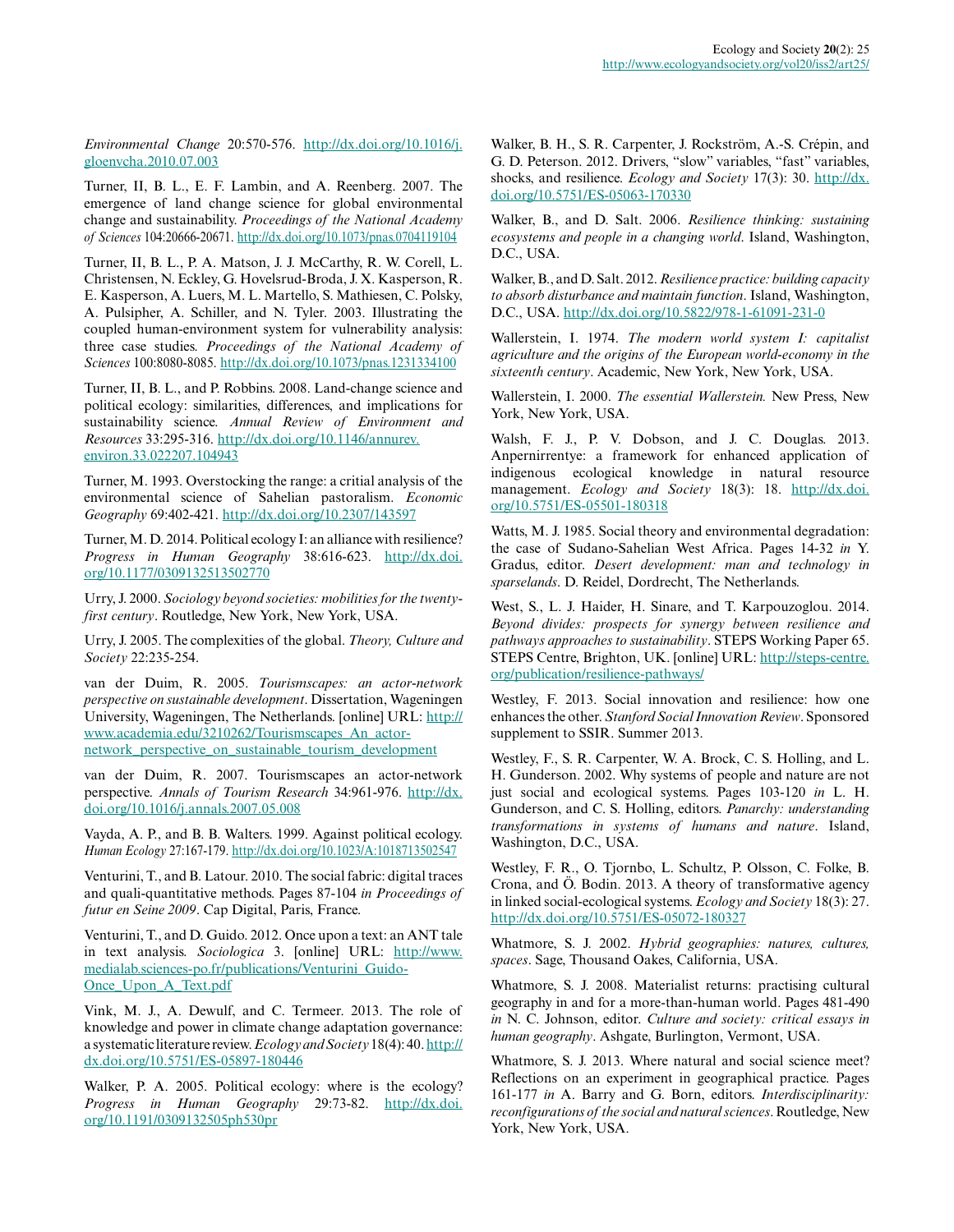*Environmental Change* 20:570-576. [http://dx.doi.org/10.1016/j.](http://dx.doi.org/10.1016%2Fj.gloenvcha.2010.07.003) [gloenvcha.2010.07.003](http://dx.doi.org/10.1016%2Fj.gloenvcha.2010.07.003)

Turner, II, B. L., E. F. Lambin, and A. Reenberg. 2007. The emergence of land change science for global environmental change and sustainability. *Proceedings of the National Academy of Sciences* 104:20666-20671. [http://dx.doi.org/10.1073/pnas.0704119104](http://dx.doi.org/10.1073%2Fpnas.0704119104)

Turner, II, B. L., P. A. Matson, J. J. McCarthy, R. W. Corell, L. Christensen, N. Eckley, G. Hovelsrud-Broda, J. X. Kasperson, R. E. Kasperson, A. Luers, M. L. Martello, S. Mathiesen, C. Polsky, A. Pulsipher, A. Schiller, and N. Tyler. 2003. Illustrating the coupled human-environment system for vulnerability analysis: three case studies. *Proceedings of the National Academy of Sciences* 100:8080-8085. [http://dx.doi.org/10.1073/pnas.1231334100](http://dx.doi.org/10.1073%2Fpnas.1231334100) 

Turner, II, B. L., and P. Robbins. 2008. Land-change science and political ecology: similarities, differences, and implications for sustainability science. *Annual Review of Environment and Resources* 33:295-316. [http://dx.doi.org/10.1146/annurev.](http://dx.doi.org/10.1146%2Fannurev.environ.33.022207.104943) [environ.33.022207.104943](http://dx.doi.org/10.1146%2Fannurev.environ.33.022207.104943) 

Turner, M. 1993. Overstocking the range: a critial analysis of the environmental science of Sahelian pastoralism. *Economic Geography* 69:402-421. [http://dx.doi.org/10.2307/143597](http://dx.doi.org/10.2307%2F143597)

Turner, M. D. 2014. Political ecology I: an alliance with resilience? *Progress in Human Geography* 38:616-623. [http://dx.doi.](http://dx.doi.org/10.1177/0309132513502770) [org/10.1177/0309132513502770](http://dx.doi.org/10.1177/0309132513502770)

Urry, J. 2000. *Sociology beyond societies: mobilities for the twentyfirst century*. Routledge, New York, New York, USA.

Urry, J. 2005. The complexities of the global. *Theory, Culture and Society* 22:235-254.

van der Duim, R. 2005. *Tourismscapes: an actor-network perspective on sustainable development*. Dissertation, Wageningen University, Wageningen, The Netherlands. [online] URL: [http://](http://www.academia.edu/3210262/Tourismscapes_An_actor-network_perspective_on_sustainable_tourism_development) [www.academia.edu/3210262/Tourismscapes\\_An\\_actor](http://www.academia.edu/3210262/Tourismscapes_An_actor-network_perspective_on_sustainable_tourism_development)[network\\_perspective\\_on\\_sustainable\\_tourism\\_development](http://www.academia.edu/3210262/Tourismscapes_An_actor-network_perspective_on_sustainable_tourism_development) 

van der Duim, R. 2007. Tourismscapes an actor-network perspective. *Annals of Tourism Research* 34:961-976. [http://dx.](http://dx.doi.org/10.1016%2Fj.annals.2007.05.008) [doi.org/10.1016/j.annals.2007.05.008](http://dx.doi.org/10.1016%2Fj.annals.2007.05.008) 

Vayda, A. P., and B. B. Walters. 1999. Against political ecology. *Human Ecology* 27:167-179. [http://dx.doi.org/10.1023/A:1018713502547](http://dx.doi.org/10.1023%2FA%3A1018713502547)

Venturini, T., and B. Latour. 2010. The social fabric: digital traces and quali-quantitative methods. Pages 87-104 *in Proceedings of futur en Seine 2009*. Cap Digital, Paris, France.

Venturini, T., and D. Guido. 2012. Once upon a text: an ANT tale in text analysis. *Sociologica* 3. [online] URL: [http://www.](http://www.medialab.sciences-po.fr/publications/Venturini_Guido-Once_Upon_A_Text.pdf) [medialab.sciences-po.fr/publications/Venturini\\_Guido-](http://www.medialab.sciences-po.fr/publications/Venturini_Guido-Once_Upon_A_Text.pdf)[Once\\_Upon\\_A\\_Text.pdf](http://www.medialab.sciences-po.fr/publications/Venturini_Guido-Once_Upon_A_Text.pdf)

Vink, M. J., A. Dewulf, and C. Termeer. 2013. The role of knowledge and power in climate change adaptation governance: a systematic literature review. *Ecology and Society* 18(4): 40. [http://](http://dx.doi.org/10.5751%2FES-05897-180446) [dx.doi.org/10.5751/ES-05897-180446](http://dx.doi.org/10.5751%2FES-05897-180446)

Walker, P. A. 2005. Political ecology: where is the ecology? *Progress in Human Geography* 29:73-82. [http://dx.doi.](http://dx.doi.org/10.1191%2F0309132505ph530pr) [org/10.1191/0309132505ph530pr](http://dx.doi.org/10.1191%2F0309132505ph530pr)

Walker, B. H., S. R. Carpenter, J. Rockström, A.-S. Crépin, and G. D. Peterson. 2012. Drivers, "slow" variables, "fast" variables, shocks, and resilience. *Ecology and Society* 17(3): 30. [http://dx.](http://dx.doi.org/10.5751%2FES-05063-170330) [doi.org/10.5751/ES-05063-170330](http://dx.doi.org/10.5751%2FES-05063-170330)

Walker, B., and D. Salt. 2006. *Resilience thinking: sustaining ecosystems and people in a changing world*. Island, Washington, D.C., USA.

Walker, B., and D. Salt. 2012. *Resilience practice: building capacity to absorb disturbance and maintain function*. Island, Washington, D.C., USA. [http://dx.doi.org/10.5822/978-1-61091-231-0](http://dx.doi.org/10.5822%2F978-1-61091-231-0)

Wallerstein, I. 1974. *The modern world system I: capitalist agriculture and the origins of the European world-economy in the sixteenth century*. Academic, New York, New York, USA.

Wallerstein, I. 2000. *The essential Wallerstein.* New Press, New York, New York, USA.

Walsh, F. J., P. V. Dobson, and J. C. Douglas. 2013. Anpernirrentye: a framework for enhanced application of indigenous ecological knowledge in natural resource management. *Ecology and Society* 18(3): 18. [http://dx.doi.](http://dx.doi.org/10.5751%2FES-05501-180318) [org/10.5751/ES-05501-180318](http://dx.doi.org/10.5751%2FES-05501-180318) 

Watts, M. J. 1985. Social theory and environmental degradation: the case of Sudano-Sahelian West Africa. Pages 14-32 *in* Y. Gradus, editor. *Desert development: man and technology in sparselands*. D. Reidel, Dordrecht, The Netherlands.

West, S., L. J. Haider, H. Sinare, and T. Karpouzoglou. 2014. *Beyond divides: prospects for synergy between resilience and pathways approaches to sustainability*. STEPS Working Paper 65. STEPS Centre, Brighton, UK. [online] URL: [http://steps-centre.](http://steps-centre.org/publication/resilience-pathways/) [org/publication/resilience-pathways/](http://steps-centre.org/publication/resilience-pathways/) 

Westley, F. 2013. Social innovation and resilience: how one enhances the other. *Stanford Social Innovation Review*. Sponsored supplement to SSIR. Summer 2013.

Westley, F., S. R. Carpenter, W. A. Brock, C. S. Holling, and L. H. Gunderson. 2002. Why systems of people and nature are not just social and ecological systems. Pages 103-120 *in* L. H. Gunderson, and C. S. Holling, editors. *Panarchy: understanding transformations in systems of humans and nature*. Island, Washington, D.C., USA.

Westley, F. R., O. Tjornbo, L. Schultz, P. Olsson, C. Folke, B. Crona, and Ö. Bodin. 2013. A theory of transformative agency in linked social-ecological systems. *Ecology and Society* 18(3): 27. [http://dx.doi.org/10.5751/ES-05072-180327](http://dx.doi.org/10.5751%2FES-05072-180327) 

Whatmore, S. J. 2002. *Hybrid geographies: natures, cultures, spaces*. Sage, Thousand Oakes, California, USA.

Whatmore, S. J. 2008. Materialist returns: practising cultural geography in and for a more-than-human world. Pages 481-490 *in* N. C. Johnson, editor. *Culture and society: critical essays in human geography*. Ashgate, Burlington, Vermont, USA.

Whatmore, S. J. 2013. Where natural and social science meet? Reflections on an experiment in geographical practice. Pages 161-177 *in* A. Barry and G. Born, editors. *Interdisciplinarity: reconfigurations of the social and natural sciences*. Routledge, New York, New York, USA.